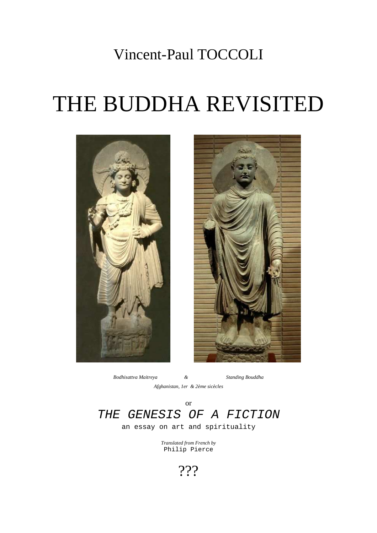## Vincent-Paul TOCCOLI

# THE BUDDHA REVISITED





*Bodhisattva Maitreya & Standing Bouddha Afghanistan, 1er & 2ème sicècles* 

### or THE GENESIS OF A FICTION

an essay on art and spirituality

*Translated from French by*  Philip Pierce

???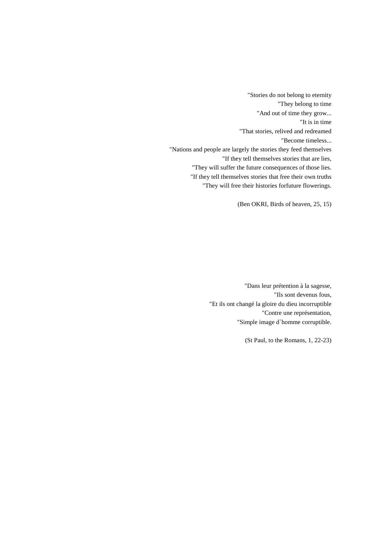"Stories do not belong to eternity "They belong to time "And out of time they grow... "It is in time "That stories, relived and redreamed "Become timeless... "Nations and people are largely the stories they feed themselves "If they tell themselves stories that are lies, "They will suffer the future consequences of those lies. "If they tell themselves stories that free their own truths "They will free their histories forfuture flowerings.

(Ben OKRI, Birds of heaven, 25, 15)

"Dans leur prétention à la sagesse, "Ils sont devenus fous, "Et ils ont changé la gloire du dieu incorruptible "Contre une représentation, "Simple image d`homme corruptible.

(St Paul, to the Romans, 1, 22-23)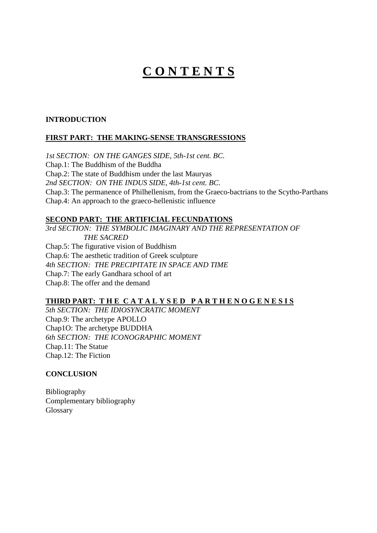### **C O N T E N T S**

#### **INTRODUCTION**

#### **FIRST PART: THE MAKING-SENSE TRANSGRESSIONS**

*1st SECTION: ON THE GANGES SIDE, 5th-1st cent. BC.* Chap.1: The Buddhism of the Buddha Chap.2: The state of Buddhism under the last Mauryas *2nd SECTION: ON THE INDUS SIDE, 4th-1st cent. BC.*  Chap.3: The permanence of Philhellenism, from the Graeco-bactrians to the Scytho-Parthans Chap.4: An approach to the graeco-hellenistic influence

#### **SECOND PART: THE ARTIFICIAL FECUNDATIONS**

*3rd SECTION: THE SYMBOLIC IMAGINARY AND THE REPRESENTATION OF THE SACRED*  Chap.5: The figurative vision of Buddhism Chap.6: The aesthetic tradition of Greek sculpture *4th SECTION: THE PRECIPITATE IN SPACE AND TIME*  Chap.7: The early Gandhara school of art Chap.8: The offer and the demand

#### **THIRD PART: T H E C A T A L Y S E D P A R T H E N O G E N E S I S**

*5th SECTION: THE IDIOSYNCRATIC MOMENT*  Chap.9: The archetype APOLLO Chap1O: The archetype BUDDHA *6th SECTION: THE ICONOGRAPHIC MOMENT*  Chap.11: The Statue Chap.12: The Fiction

#### **CONCLUSION**

Bibliography Complementary bibliography Glossary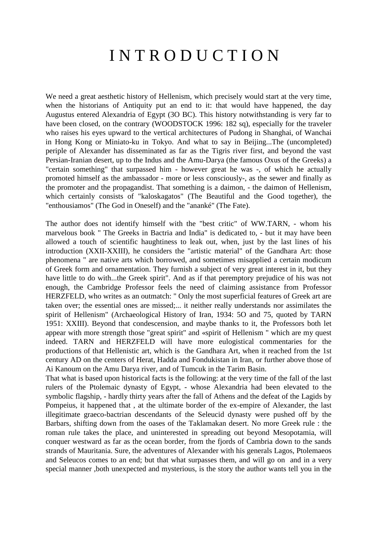## I N T R O D U C T I O N

We need a great aesthetic history of Hellenism, which precisely would start at the very time, when the historians of Antiquity put an end to it: that would have happened, the day Augustus entered Alexandria of Egypt (3O BC). This history notwithstanding is very far to have been closed, on the contrary (WOODSTOCK 1996: 182 sq), especially for the traveler who raises his eyes upward to the vertical architectures of Pudong in Shanghai, of Wanchai in Hong Kong or Miniato-ku in Tokyo. And what to say in Beijing...The (uncompleted) periple of Alexander has disseminated as far as the Tigris river first, and beyond the vast Persian-Iranian desert, up to the Indus and the Amu-Darya (the famous Oxus of the Greeks) a "certain something" that surpassed him - however great he was -, of which he actually promoted himself as the ambassador - more or less consciously-, as the sewer and finally as the promoter and the propagandist. That something is a daimon, - the daimon of Hellenism, which certainly consists of "kaloskagatos" (The Beautiful and the Good together), the "enthousiamos" (The God in Oneself) and the "ananké" (The Fate).

The author does not identify himself with the "best critic" of WW.TARN, - whom his marvelous book " The Greeks in Bactria and India" is dedicated to, - but it may have been allowed a touch of scientific haughtiness to leak out, when, just by the last lines of his introduction (XXII-XXIII), he considers the "artistic material" of the Gandhara Art: those phenomena " are native arts which borrowed, and sometimes misapplied a certain modicum of Greek form and ornamentation. They furnish a subject of very great interest in it, but they have little to do with...the Greek spirit". And as if that peremptory prejudice of his was not enough, the Cambridge Professor feels the need of claiming assistance from Professor HERZFELD, who writes as an outmatch: " Only the most superficial features of Greek art are taken over; the essential ones are missed;... it neither really understands nor assimilates the spirit of Hellenism" (Archaeological History of Iran, 1934: 5O and 75, quoted by TARN 1951: XXIII). Beyond that condescension, and maybe thanks to it, the Professors both let appear with more strength those "great spirit" and «spirit of Hellenism " which are my quest indeed. TARN and HERZFELD will have more eulogistical commentaries for the productions of that Hellenistic art, which is the Gandhara Art, when it reached from the 1st century AD on the centers of Herat, Hadda and Fondukistan in Iran, or further above those of Ai Kanoum on the Amu Darya river, and of Tumcuk in the Tarim Basin.

That what is based upon historical facts is the following: at the very time of the fall of the last rulers of the Ptolemaic dynasty of Egypt, - whose Alexandria had been elevated to the symbolic flagship, - hardly thirty years after the fall of Athens and the defeat of the Lagids by Pompeius, it happened that , at the ultimate border of the ex-empire of Alexander, the last illegitimate graeco-bactrian descendants of the Seleucid dynasty were pushed off by the Barbars, shifting down from the oases of the Taklamakan desert. No more Greek rule : the roman rule takes the place, and uninterested in spreading out beyond Mesopotamia, will conquer westward as far as the ocean border, from the fjords of Cambria down to the sands strands of Mauritania. Sure, the adventures of Alexander with his generals Lagos, Ptolemaeos and Seleucos comes to an end; but that what surpasses them, and will go on and in a very special manner ,both unexpected and mysterious, is the story the author wants tell you in the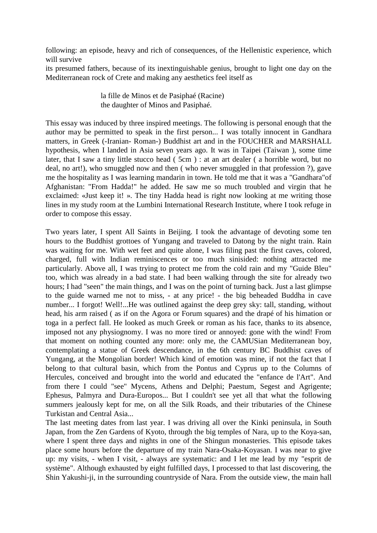following: an episode, heavy and rich of consequences, of the Hellenistic experience, which will survive

its presumed fathers, because of its inextinguishable genius, brought to light one day on the Mediterranean rock of Crete and making any aesthetics feel itself as

> la fille de Minos et de Pasiphaé (Racine) the daughter of Minos and Pasiphaé.

This essay was induced by three inspired meetings. The following is personal enough that the author may be permitted to speak in the first person... I was totally innocent in Gandhara matters, in Greek (-Iranian- Roman-) Buddhist art and in the FOUCHER and MARSHALL hypothesis, when I landed in Asia seven years ago. It was in Taipei (Taiwan ), some time later, that I saw a tiny little stucco head ( 5cm ) : at an art dealer ( a horrible word, but no deal, no art!), who smuggled now and then ( who never smuggled in that profession ?), gave me the hospitality as I was learning mandarin in town. He told me that it was a "Gandhara"of Afghanistan: "From Hadda!" he added. He saw me so much troubled and virgin that he exclaimed: «Just keep it! ». The tiny Hadda head is right now looking at me writing those lines in my study room at the Lumbini International Research Institute, where I took refuge in order to compose this essay.

Two years later, I spent All Saints in Beijing. I took the advantage of devoting some ten hours to the Buddhist grottoes of Yungang and traveled to Datong by the night train. Rain was waiting for me. With wet feet and quite alone, I was filing past the first caves, colored, charged, full with Indian reminiscences or too much sinisided: nothing attracted me particularly. Above all, I was trying to protect me from the cold rain and my "Guide Bleu" too, which was already in a bad state. I had been walking through the site for already two hours; I had "seen" the main things, and I was on the point of turning back. Just a last glimpse to the guide warned me not to miss, - at any price! - the big beheaded Buddha in cave number... I forgot! Well!...He was outlined against the deep grey sky: tall, standing, without head, his arm raised ( as if on the Agora or Forum squares) and the drapé of his himation or toga in a perfect fall. He looked as much Greek or roman as his face, thanks to its absence, imposed not any physiognomy. I was no more tired or annoyed: gone with the wind! From that moment on nothing counted any more: only me, the CAMUSian Mediterranean boy, contemplating a statue of Greek descendance, in the 6th century BC Buddhist caves of Yungang, at the Mongolian border! Which kind of emotion was mine, if not the fact that I belong to that cultural basin, which from the Pontus and Cyprus up to the Columns of Hercules, conceived and brought into the world and educated the "enfance de l'Art". And from there I could "see" Mycens, Athens and Delphi; Paestum, Segest and Agrigente; Ephesus, Palmyra and Dura-Europos... But I couldn't see yet all that what the following summers jealously kept for me, on all the Silk Roads, and their tributaries of the Chinese Turkistan and Central Asia...

The last meeting dates from last year. I was driving all over the Kinki peninsula, in South Japan, from the Zen Gardens of Kyoto, through the big temples of Nara, up to the Koya-san, where I spent three days and nights in one of the Shingun monasteries. This episode takes place some hours before the departure of my train Nara-Osaka-Koyasan. I was near to give up: my visits, - when I visit, - always are systematic: and I let me lead by my "esprit de système". Although exhausted by eight fulfilled days, I processed to that last discovering, the Shin Yakushi-ji, in the surrounding countryside of Nara. From the outside view, the main hall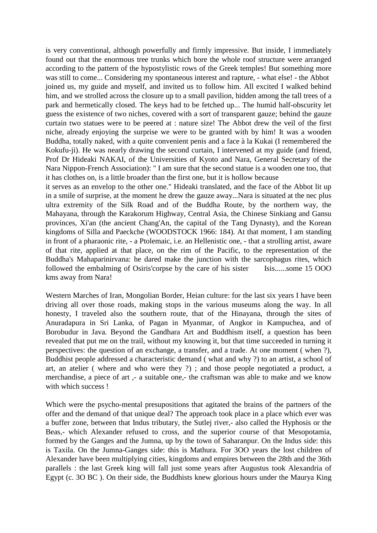is very conventional, although powerfully and firmly impressive. But inside, I immediately found out that the enormous tree trunks which bore the whole roof structure were arranged according to the pattern of the hypostylistic rows of the Greek temples! But something more was still to come... Considering my spontaneous interest and rapture, - what else! - the Abbot joined us, my guide and myself, and invited us to follow him. All excited I walked behind him, and we strolled across the closure up to a small pavilion, hidden among the tall trees of a park and hermetically closed. The keys had to be fetched up... The humid half-obscurity let guess the existence of two niches, covered with a sort of transparent gauze; behind the gauze curtain two statues were to be peered at : nature size! The Abbot drew the veil of the first niche, already enjoying the surprise we were to be granted with by him! It was a wooden Buddha, totally naked, with a quite convenient penis and a face à la Kukai (I remembered the Kokufu-ji). He was nearly drawing the second curtain, I intervened at my guide (and friend, Prof Dr Hideaki NAKAI, of the Universities of Kyoto and Nara, General Secretary of the Nara Nippon-French Association): " I am sure that the second statue is a wooden one too, that it has clothes on, is a little broader than the first one, but it is hollow because

it serves as an envelop to the other one." Hideaki translated, and the face of the Abbot lit up in a smile of surprise, at the moment he drew the gauze away...Nara is situated at the nec plus ultra extremity of the Silk Road and of the Buddha Route, by the northern way, the Mahayana, through the Karakorum Highway, Central Asia, the Chinese Sinkiang and Gansu provinces, Xi'an (the ancient Chang'An, the capital of the Tang Dynasty), and the Korean kingdoms of Silla and Paeckche (WOODSTOCK 1966: 184). At that moment, I am standing in front of a pharaonic rite, - a Ptolemaic, i.e. an Hellenistic one, - that a strolling artist, aware of that rite, applied at that place, on the rim of the Pacific, to the representation of the Buddha's Mahaparinirvana: he dared make the junction with the sarcophagus rites, which followed the embalming of Osiris'corpse by the care of his sister Isis......some 15 OOO kms away from Nara!

Western Marches of Iran, Mongolian Border, Heian culture: for the last six years I have been driving all over those roads, making stops in the various museums along the way. In all honesty, I traveled also the southern route, that of the Hinayana, through the sites of Anuradapura in Sri Lanka, of Pagan in Myanmar, of Angkor in Kampuchea, and of Borobudur in Java. Beyond the Gandhara Art and Buddhism itself, a question has been revealed that put me on the trail, without my knowing it, but that time succeeded in turning it perspectives: the question of an exchange, a transfer, and a trade. At one moment ( when ?), Buddhist people addressed a characteristic demand ( what and why ?) to an artist, a school of art, an atelier ( where and who were they ?) ; and those people negotiated a product, a merchandise, a piece of art ,- a suitable one,- the craftsman was able to make and we know with which success !

Which were the psycho-mental presupositions that agitated the brains of the partners of the offer and the demand of that unique deal? The approach took place in a place which ever was a buffer zone, between that Indus tributary, the Sutlej river,- also called the Hyphosis or the Beas,- which Alexander refused to cross, and the superior course of that Mesopotamia, formed by the Ganges and the Jumna, up by the town of Saharanpur. On the Indus side: this is Taxila. On the Jumna-Ganges side: this is Mathura. For 3OO years the lost children of Alexander have been multiplying cities, kingdoms and empires between the 28th and the 36th parallels : the last Greek king will fall just some years after Augustus took Alexandria of Egypt (c. 3O BC ). On their side, the Buddhists knew glorious hours under the Maurya King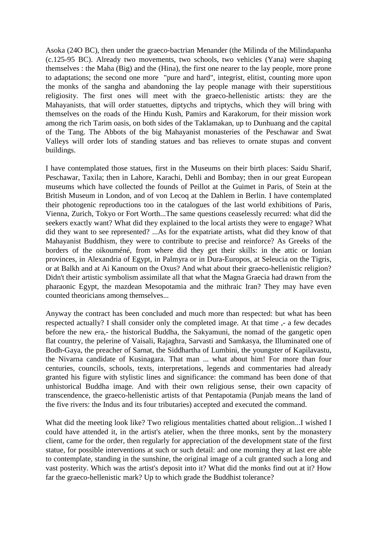Asoka (24O BC), then under the graeco-bactrian Menander (the Milinda of the Milindapanha (c.125-95 BC). Already two movements, two schools, two vehicles (Yana) were shaping themselves : the Maha (Big) and the (Hina), the first one nearer to the lay people, more prone to adaptations; the second one more "pure and hard", integrist, elitist, counting more upon the monks of the sangha and abandoning the lay people manage with their superstitious religiosity. The first ones will meet with the graeco-hellenistic artists: they are the Mahayanists, that will order statuettes, diptychs and triptychs, which they will bring with themselves on the roads of the Hindu Kush, Pamirs and Karakorum, for their mission work among the rich Tarim oasis, on both sides of the Taklamakan, up to Dunhuang and the capital of the Tang. The Abbots of the big Mahayanist monasteries of the Peschawar and Swat Valleys will order lots of standing statues and bas relieves to ornate stupas and convent buildings.

I have contemplated those statues, first in the Museums on their birth places: Saidu Sharif, Peschawar, Taxila; then in Lahore, Karachi, Dehli and Bombay; then in our great European museums which have collected the founds of Peillot at the Guimet in Paris, of Stein at the British Museum in London, and of von Lecoq at the Dahlem in Berlin. I have contemplated their photogenic reproductions too in the catalogues of the last world exhibitions of Paris, Vienna, Zurich, Tokyo or Fort Worth...The same questions ceaselessly recurred: what did the seekers exactly want? What did they explained to the local artists they were to engage? What did they want to see represented? ...As for the expatriate artists, what did they know of that Mahayanist Buddhism, they were to contribute to precise and reinforce? As Greeks of the borders of the oikouméné, from where did they get their skills: in the attic or Ionian provinces, in Alexandria of Egypt, in Palmyra or in Dura-Europos, at Seleucia on the Tigris, or at Balkh and at Ai Kanoum on the Oxus? And what about their graeco-hellenistic religion? Didn't their artistic symbolism assimilate all that what the Magna Graecia had drawn from the pharaonic Egypt, the mazdean Mesopotamia and the mithraic Iran? They may have even counted theoricians among themselves...

Anyway the contract has been concluded and much more than respected: but what has been respected actually? I shall consider only the completed image. At that time ,- a few decades before the new era,- the historical Buddha, the Sakyamuni, the nomad of the gangetic open flat country, the pelerine of Vaisali, Rajaghra, Sarvasti and Samkasya, the Illuminated one of Bodh-Gaya, the preacher of Sarnat, the Siddhartha of Lumbini, the youngster of Kapilavastu, the Nivarna candidate of Kusinagara. That man ... what about him! For more than four centuries, councils, schools, texts, interpretations, legends and commentaries had already granted his figure with stylistic lines and significance: the command has been done of that unhistorical Buddha image. And with their own religious sense, their own capacity of transcendence, the graeco-hellenistic artists of that Pentapotamia (Punjab means the land of the five rivers: the Indus and its four tributaries) accepted and executed the command.

What did the meeting look like? Two religious mentalities chatted about religion...I wished I could have attended it, in the artist's atelier, when the three monks, sent by the monastery client, came for the order, then regularly for appreciation of the development state of the first statue, for possible interventions at such or such detail: and one morning they at last ere able to contemplate, standing in the sunshine, the original image of a cult granted such a long and vast posterity. Which was the artist's deposit into it? What did the monks find out at it? How far the graeco-hellenistic mark? Up to which grade the Buddhist tolerance?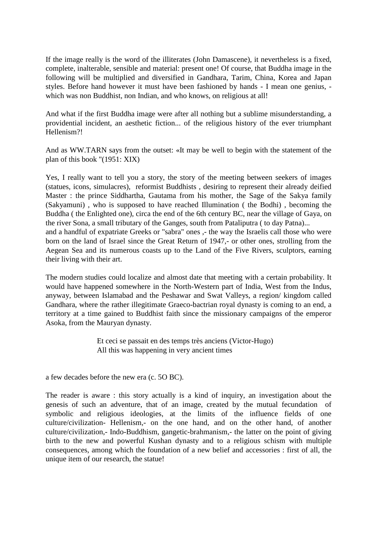If the image really is the word of the illiterates (John Damascene), it nevertheless is a fixed, complete, inalterable, sensible and material: present one! Of course, that Buddha image in the following will be multiplied and diversified in Gandhara, Tarim, China, Korea and Japan styles. Before hand however it must have been fashioned by hands - I mean one genius, which was non Buddhist, non Indian, and who knows, on religious at all!

And what if the first Buddha image were after all nothing but a sublime misunderstanding, a providential incident, an aesthetic fiction... of the religious history of the ever triumphant Hellenism?!

And as WW.TARN says from the outset: «It may be well to begin with the statement of the plan of this book "(1951: XIX)

Yes, I really want to tell you a story, the story of the meeting between seekers of images (statues, icons, simulacres), reformist Buddhists , desiring to represent their already deified Master : the prince Siddhartha, Gautama from his mother, the Sage of the Sakya family (Sakyamuni) , who is supposed to have reached Illumination ( the Bodhi) , becoming the Buddha ( the Enlighted one), circa the end of the 6th century BC, near the village of Gaya, on the river Sona, a small tributary of the Ganges, south from Pataliputra ( to day Patna)...

and a handful of expatriate Greeks or "sabra" ones ,- the way the Israelis call those who were born on the land of Israel since the Great Return of 1947,- or other ones, strolling from the Aegean Sea and its numerous coasts up to the Land of the Five Rivers, sculptors, earning their living with their art.

The modern studies could localize and almost date that meeting with a certain probability. It would have happened somewhere in the North-Western part of India, West from the Indus, anyway, between Islamabad and the Peshawar and Swat Valleys, a region/ kingdom called Gandhara, where the rather illegitimate Graeco-bactrian royal dynasty is coming to an end, a territory at a time gained to Buddhist faith since the missionary campaigns of the emperor Asoka, from the Mauryan dynasty.

> Et ceci se passait en des temps très anciens (Victor-Hugo) All this was happening in very ancient times

a few decades before the new era (c. 5O BC).

The reader is aware : this story actually is a kind of inquiry, an investigation about the genesis of such an adventure, that of an image, created by the mutual fecundation of symbolic and religious ideologies, at the limits of the influence fields of one culture/civilization- Hellenism,- on the one hand, and on the other hand, of another culture/civilization,- Indo-Buddhism, gangetic-brahmanism,- the latter on the point of giving birth to the new and powerful Kushan dynasty and to a religious schism with multiple consequences, among which the foundation of a new belief and accessories : first of all, the unique item of our research, the statue!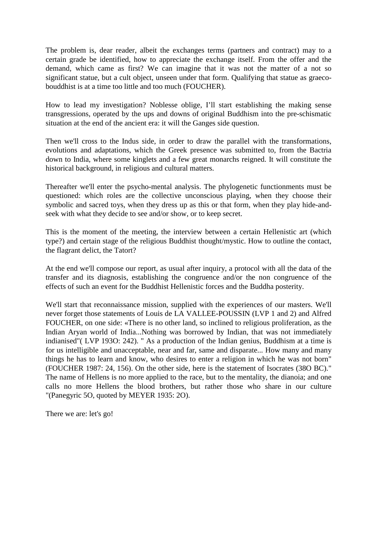The problem is, dear reader, albeit the exchanges terms (partners and contract) may to a certain grade be identified, how to appreciate the exchange itself. From the offer and the demand, which came as first? We can imagine that it was not the matter of a not so significant statue, but a cult object, unseen under that form. Qualifying that statue as graecobouddhist is at a time too little and too much (FOUCHER).

How to lead my investigation? Noblesse oblige, I'll start establishing the making sense transgressions, operated by the ups and downs of original Buddhism into the pre-schismatic situation at the end of the ancient era: it will the Ganges side question.

Then we'll cross to the Indus side, in order to draw the parallel with the transformations, evolutions and adaptations, which the Greek presence was submitted to, from the Bactria down to India, where some kinglets and a few great monarchs reigned. It will constitute the historical background, in religious and cultural matters.

Thereafter we'll enter the psycho-mental analysis. The phylogenetic functionments must be questioned: which roles are the collective unconscious playing, when they choose their symbolic and sacred toys, when they dress up as this or that form, when they play hide-andseek with what they decide to see and/or show, or to keep secret.

This is the moment of the meeting, the interview between a certain Hellenistic art (which type?) and certain stage of the religious Buddhist thought/mystic. How to outline the contact, the flagrant delict, the Tatort?

At the end we'll compose our report, as usual after inquiry, a protocol with all the data of the transfer and its diagnosis, establishing the congruence and/or the non congruence of the effects of such an event for the Buddhist Hellenistic forces and the Buddha posterity.

We'll start that reconnaissance mission, supplied with the experiences of our masters. We'll never forget those statements of Louis de LA VALLEE-POUSSIN (LVP 1 and 2) and Alfred FOUCHER, on one side: «There is no other land, so inclined to religious proliferation, as the Indian Aryan world of India...Nothing was borrowed by Indian, that was not immediately indianised"( LVP 193O: 242). " As a production of the Indian genius, Buddhism at a time is for us intelligible and unacceptable, near and far, same and disparate... How many and many things he has to learn and know, who desires to enter a religion in which he was not born" (FOUCHER 1987: 24, 156). On the other side, here is the statement of Isocrates (38O BC)." The name of Hellens is no more applied to the race, but to the mentality, the dianoia; and one calls no more Hellens the blood brothers, but rather those who share in our culture "(Panegyric 5O, quoted by MEYER 1935: 2O).

There we are: let's go!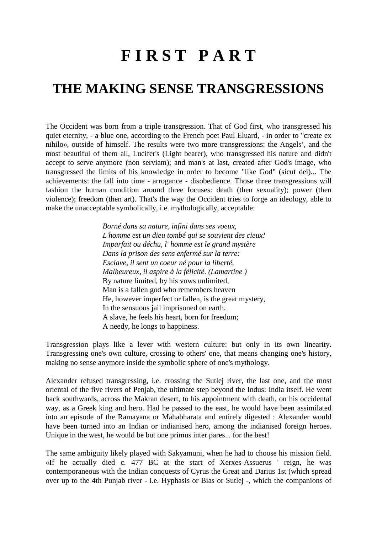# **F I R S T P A R T**

### **THE MAKING SENSE TRANSGRESSIONS**

The Occident was born from a triple transgression. That of God first, who transgressed his quiet eternity, - a blue one, according to the French poet Paul Eluard, - in order to "create ex nihilo», outside of himself. The results were two more transgressions: the Angels', and the most beautiful of them all, Lucifer's (Light bearer), who transgressed his nature and didn't accept to serve anymore (non serviam); and man's at last, created after God's image, who transgressed the limits of his knowledge in order to become "like God" (sicut dei)... The achievements: the fall into time - arrogance - disobedience. Those three transgressions will fashion the human condition around three focuses: death (then sexuality); power (then violence); freedom (then art). That's the way the Occident tries to forge an ideology, able to make the unacceptable symbolically, i.e. mythologically, acceptable:

> *Borné dans sa nature, infini dans ses voeux, L'homme est un dieu tombé qui se souvient des cieux! Imparfait ou déchu, l' homme est le grand mystère Dans la prison des sens enfermé sur la terre: Esclave, il sent un coeur né pour la liberté, Malheureux, il aspire à la félicité. (Lamartine )*  By nature limited, by his vows unlimited, Man is a fallen god who remembers heaven He, however imperfect or fallen, is the great mystery, In the sensuous jail imprisoned on earth. A slave, he feels his heart, born for freedom; A needy, he longs to happiness.

Transgression plays like a lever with western culture: but only in its own linearity. Transgressing one's own culture, crossing to others' one, that means changing one's history, making no sense anymore inside the symbolic sphere of one's mythology.

Alexander refused transgressing, i.e. crossing the Sutlej river, the last one, and the most oriental of the five rivers of Penjab, the ultimate step beyond the Indus: India itself. He went back southwards, across the Makran desert, to his appointment with death, on his occidental way, as a Greek king and hero. Had he passed to the east, he would have been assimilated into an episode of the Ramayana or Mahabharata and entirely digested : Alexander would have been turned into an Indian or indianised hero, among the indianised foreign heroes. Unique in the west, he would be but one primus inter pares... for the best!

The same ambiguity likely played with Sakyamuni, when he had to choose his mission field. «If he actually died c. 477 BC at the start of Xerxes-Assuerus ' reign, he was contemporaneous with the Indian conquests of Cyrus the Great and Darius 1st (which spread over up to the 4th Punjab river - i.e. Hyphasis or Bias or Sutlej -, which the companions of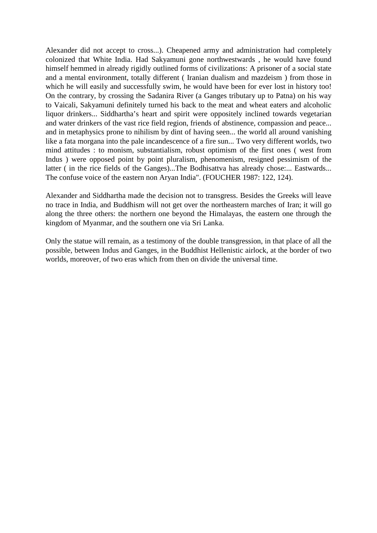Alexander did not accept to cross...). Cheapened army and administration had completely colonized that White India. Had Sakyamuni gone northwestwards , he would have found himself hemmed in already rigidly outlined forms of civilizations: A prisoner of a social state and a mental environment, totally different ( Iranian dualism and mazdeism ) from those in which he will easily and successfully swim, he would have been for ever lost in history too! On the contrary, by crossing the Sadanira River (a Ganges tributary up to Patna) on his way to Vaicali, Sakyamuni definitely turned his back to the meat and wheat eaters and alcoholic liquor drinkers... Siddhartha's heart and spirit were oppositely inclined towards vegetarian and water drinkers of the vast rice field region, friends of abstinence, compassion and peace... and in metaphysics prone to nihilism by dint of having seen... the world all around vanishing like a fata morgana into the pale incandescence of a fire sun... Two very different worlds, two mind attitudes : to monism, substantialism, robust optimism of the first ones ( west from Indus ) were opposed point by point pluralism, phenomenism, resigned pessimism of the latter ( in the rice fields of the Ganges)...The Bodhisattva has already chose:... Eastwards... The confuse voice of the eastern non Aryan India". (FOUCHER 1987: 122, 124).

Alexander and Siddhartha made the decision not to transgress. Besides the Greeks will leave no trace in India, and Buddhism will not get over the northeastern marches of Iran; it will go along the three others: the northern one beyond the Himalayas, the eastern one through the kingdom of Myanmar, and the southern one via Sri Lanka.

Only the statue will remain, as a testimony of the double transgression, in that place of all the possible, between Indus and Ganges, in the Buddhist Hellenistic airlock, at the border of two worlds, moreover, of two eras which from then on divide the universal time.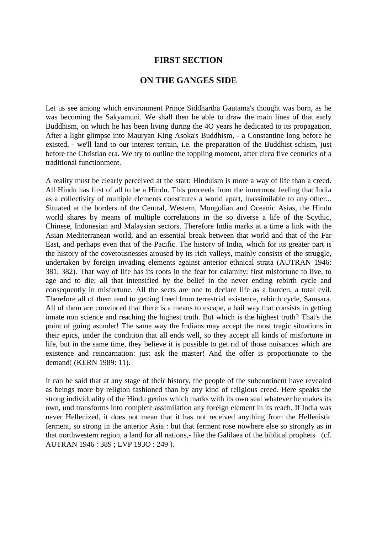#### **FIRST SECTION**

#### **ON THE GANGES SIDE**

Let us see among which environment Prince Siddhartha Gautama's thought was born, as he was becoming the Sakyamuni. We shall then be able to draw the main lines of that early Buddhism, on which he has been living during the 4O years he dedicated to its propagation. After a light glimpse into Mauryan King Asoka's Buddhism, - a Constantine long before he existed, - we'll land to our interest terrain, i.e. the preparation of the Buddhist schism, just before the Christian era. We try to outline the toppling moment, after circa five centuries of a traditional functionment.

A reality must be clearly perceived at the start: Hinduism is more a way of life than a creed. All Hindu has first of all to be a Hindu. This proceeds from the innermost feeling that India as a collectivity of multiple elements constitutes a world apart, inassimilable to any other... Situated at the borders of the Central, Western, Mongolian and Oceanic Asias, the Hindu world shares by means of multiple correlations in the so diverse a life of the Scythic, Chinese, Indonesian and Malaysian sectors. Therefore India marks at a time a link with the Asian Mediterranean world, and an essential break between that world and that of the Far East, and perhaps even that of the Pacific. The history of India, which for its greater part is the history of the covetousnesses aroused by its rich valleys, mainly consists of the struggle, undertaken by foreign invading elements against anterior ethnical strata (AUTRAN 1946: 381, 382). That way of life has its roots in the fear for calamity: first misfortune to live, to age and to die; all that intensified by the belief in the never ending rebirth cycle and consequently in misfortune. All the sects are one to declare life as a burden, a total evil. Therefore all of them tend to getting freed from terrestrial existence, rebirth cycle, Samsara. All of them are convinced that there is a means to escape, a hail way that consists in getting innate non science and reaching the highest truth. But which is the highest truth? That's the point of going asunder! The same way the Indians may accept the most tragic situations in their epics, under the condition that all ends well, so they accept all kinds of misfortune in life, but in the same time, they believe it is possible to get rid of those nuisances which are existence and reincarnation: just ask the master! And the offer is proportionate to the demand! (KERN 1989: 11).

It can be said that at any stage of their history, the people of the subcontinent have revealed as beings more by religion fashioned than by any kind of religious creed. Here speaks the strong individuality of the Hindu genius which marks with its own seal whatever he makes its own, und transforms into complete assimilation any foreign element in its reach. If India was never Hellenized, it does not mean that it has not received anything from the Hellenistic ferment, so strong in the anterior Asia : but that ferment rose nowhere else so strongly as in that northwestern region, a land for all nations,- like the Galilaea of the biblical prophets (cf. AUTRAN 1946 : 389 ; LVP 193O : 249 ).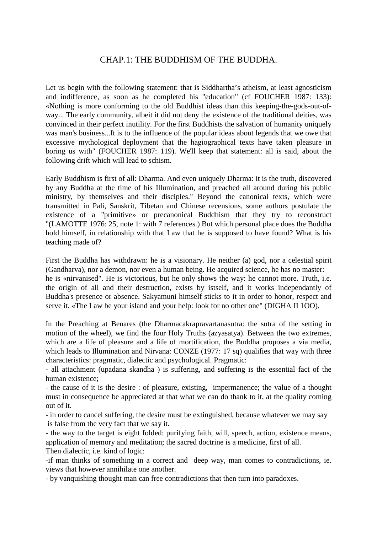#### CHAP.1: THE BUDDHISM OF THE BUDDHA.

Let us begin with the following statement: that is Siddhartha's atheism, at least agnosticism and indifference, as soon as he completed his "education" (cf FOUCHER 1987: 133): «Nothing is more conforming to the old Buddhist ideas than this keeping-the-gods-out-ofway... The early community, albeit it did not deny the existence of the traditional deities, was convinced in their perfect inutility. For the first Buddhists the salvation of humanity uniquely was man's business...It is to the influence of the popular ideas about legends that we owe that excessive mythological deployment that the hagiographical texts have taken pleasure in boring us with" (FOUCHER 1987: 119). We'll keep that statement: all is said, about the following drift which will lead to schism.

Early Buddhism is first of all: Dharma. And even uniquely Dharma: it is the truth, discovered by any Buddha at the time of his Illumination, and preached all around during his public ministry, by themselves and their disciples." Beyond the canonical texts, which were transmitted in Pali, Sanskrit, Tibetan and Chinese recensions, some authors postulate the existence of a "primitive» or precanonical Buddhism that they try to reconstruct "(LAMOTTE 1976: 25, note 1: with 7 references.) But which personal place does the Buddha hold himself, in relationship with that Law that he is supposed to have found? What is his teaching made of?

First the Buddha has withdrawn: he is a visionary. He neither (a) god, nor a celestial spirit (Gandharva), nor a demon, nor even a human being. He acquired science, he has no master: he is «nirvanised". He is victorious, but he only shows the way: he cannot more. Truth, i.e. the origin of all and their destruction, exists by istself, and it works independantly of Buddha's presence or absence. Sakyamuni himself sticks to it in order to honor, respect and serve it. «The Law be your island and your help: look for no other one" (DIGHA II 1OO).

In the Preaching at Benares (the Dharmacakrapravartanasutra: the sutra of the setting in motion of the wheel), we find the four Holy Truths (azyasatya). Between the two extremes, which are a life of pleasure and a life of mortification, the Buddha proposes a via media, which leads to Illumination and Nirvana: CONZE (1977: 17 sq) qualifies that way with three characteristics: pragmatic, dialectic and psychological. Pragmatic:

- all attachment (upadana skandha ) is suffering, and suffering is the essential fact of the human existence;

- the cause of it is the desire : of pleasure, existing, impermanence; the value of a thought must in consequence be appreciated at that what we can do thank to it, at the quality coming out of it.

- in order to cancel suffering, the desire must be extinguished, because whatever we may say is false from the very fact that we say it.

- the way to the target is eight folded: purifying faith, will, speech, action, existence means, application of memory and meditation; the sacred doctrine is a medicine, first of all.

Then dialectic, i.e. kind of logic:

-if man thinks of something in a correct and deep way, man comes to contradictions, ie. views that however annihilate one another.

- by vanquishing thought man can free contradictions that then turn into paradoxes.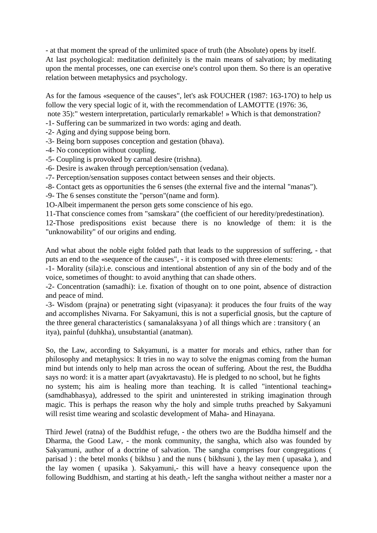- at that moment the spread of the unlimited space of truth (the Absolute) opens by itself. At last psychological: meditation definitely is the main means of salvation; by meditating upon the mental processes, one can exercise one's control upon them. So there is an operative relation between metaphysics and psychology.

As for the famous «sequence of the causes", let's ask FOUCHER (1987: 163-17O) to help us follow the very special logic of it, with the recommendation of LAMOTTE (1976: 36, note 35):" western interpretation, particularly remarkable! » Which is that demonstration?

- -1- Suffering can be summarized in two words: aging and death.
- -2- Aging and dying suppose being born.
- -3- Being born supposes conception and gestation (bhava).
- -4- No conception without coupling.
- -5- Coupling is provoked by carnal desire (trishna).
- -6- Desire is awaken through perception/sensation (vedana).
- -7- Perception/sensation supposes contact between senses and their objects.
- -8- Contact gets as opportunities the 6 senses (the external five and the internal "manas").
- -9- The 6 senses constitute the "person"(name and form).
- 1O-Albeit impermanent the person gets some conscience of his ego.
- 11-That conscience comes from "samskara" (the coefficient of our heredity/predestination).
- 12-Those predispositions exist because there is no knowledge of them: it is the "unknowability" of our origins and ending.

And what about the noble eight folded path that leads to the suppression of suffering, - that puts an end to the «sequence of the causes", - it is composed with three elements:

-1- Morality (sila):i.e. conscious and intentional abstention of any sin of the body and of the voice, sometimes of thought: to avoid anything that can shade others.

-2- Concentration (samadhi): i.e. fixation of thought on to one point, absence of distraction and peace of mind.

-3- Wisdom (prajna) or penetrating sight (vipasyana): it produces the four fruits of the way and accomplishes Nivarna. For Sakyamuni, this is not a superficial gnosis, but the capture of the three general characteristics ( samanalaksyana ) of all things which are : transitory ( an itya), painful (duhkha), unsubstantial (anatman).

So, the Law, according to Sakyamuni, is a matter for morals and ethics, rather than for philosophy and metaphysics: It tries in no way to solve the enigmas coming from the human mind but intends only to help man across the ocean of suffering. About the rest, the Buddha says no word: it is a matter apart (avyakrtavastu). He is pledged to no school, but he fights no system; his aim is healing more than teaching. It is called "intentional teaching» (samdhabhasya), addressed to the spirit and uninterested in striking imagination through magic. This is perhaps the reason why the holy and simple truths preached by Sakyamuni will resist time wearing and scolastic development of Maha- and Hinayana.

Third Jewel (ratna) of the Buddhist refuge, - the others two are the Buddha himself and the Dharma, the Good Law, - the monk community, the sangha, which also was founded by Sakyamuni, author of a doctrine of salvation. The sangha comprises four congregations ( parisad ) : the betel monks ( bikhsu ) and the nuns ( bikhsuni ), the lay men ( upasaka ), and the lay women ( upasika ). Sakyamuni,- this will have a heavy consequence upon the following Buddhism, and starting at his death,- left the sangha without neither a master nor a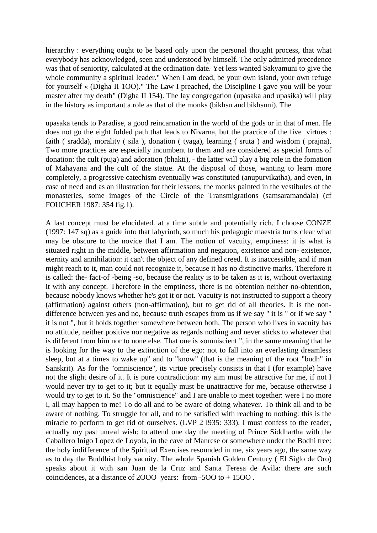hierarchy : everything ought to be based only upon the personal thought process, that what everybody has acknowledged, seen and understood by himself. The only admitted precedence was that of seniority, calculated at the ordination date. Yet less wanted Sakyamuni to give the whole community a spiritual leader." When I am dead, be your own island, your own refuge for yourself « (Digha II 1OO)." The Law I preached, the Discipline I gave you will be your master after my death" (Digha II 154). The lay congregation (upasaka and upasika) will play in the history as important a role as that of the monks (bikhsu and bikhsuni). The

upasaka tends to Paradise, a good reincarnation in the world of the gods or in that of men. He does not go the eight folded path that leads to Nivarna, but the practice of the five virtues : faith ( sradda), morality ( sila ), donation ( tyaga), learning ( sruta ) and wisdom ( prajna). Two more practices are especially incumbent to them and are considered as special forms of donation: the cult (puja) and adoration (bhakti), - the latter will play a big role in the fomation of Mahayana and the cult of the statue. At the disposal of those, wanting to learn more completely, a progressive catechism eventually was constituted (anupurvikatha), and even, in case of need and as an illustration for their lessons, the monks painted in the vestibules of the monasteries, some images of the Circle of the Transmigrations (samsaramandala) (cf FOUCHER 1987: 354 fig.1).

A last concept must be elucidated. at a time subtle and potentially rich. I choose CONZE (1997: 147 sq) as a guide into that labyrinth, so much his pedagogic maestria turns clear what may be obscure to the novice that I am. The notion of vacuity, emptiness: it is what is situated right in the middle, between affirmation and negation, existence and non- existence, eternity and annihilation: it can't the object of any defined creed. It is inaccessible, and if man might reach to it, man could not recognize it, because it has no distinctive marks. Therefore it is called: the- fact-of -being -so, because the reality is to be taken as it is, without overtaxing it with any concept. Therefore in the emptiness, there is no obtention neither no-obtention, because nobody knows whether he's got it or not. Vacuity is not instructed to support a theory (affirmation) against others (non-affirmation), but to get rid of all theories. It is the nondifference between yes and no, because truth escapes from us if we say " it is " or if we say " it is not ", but it holds together somewhere between both. The person who lives in vacuity has no attitude, neither positive nor negative as regards nothing and never sticks to whatever that is different from him nor to none else. That one is «omniscient ", in the same meaning that he is looking for the way to the extinction of the ego: not to fall into an everlasting dreamless sleep, but at a time» to wake up" and to "know" (that is the meaning of the root "budh" in Sanskrit). As for the "omniscience", its virtue precisely consists in that I (for example) have not the slight desire of it. It is pure contradiction: my aim must be attractive for me, if not I would never try to get to it; but it equally must be unattractive for me, because otherwise I would try to get to it. So the "omniscience" and I are unable to meet together: were I no more I, all may happen to me! To do all and to be aware of doing whatever. To think all and to be aware of nothing. To struggle for all, and to be satisfied with reaching to nothing: this is the miracle to perform to get rid of ourselves. (LVP 2 l935: 333). I must confess to the reader, actually my past unreal wish: to attend one day the meeting of Prince Siddhartha with the Caballero Inigo Lopez de Loyola, in the cave of Manrese or somewhere under the Bodhi tree: the holy indifference of the Spiritual Exercises resounded in me, six years ago, the same way as to day the Buddhist holy vacuity. The whole Spanish Golden Century ( El Siglo de Oro) speaks about it with san Juan de la Cruz and Santa Teresa de Avila: there are such coincidences, at a distance of 2OOO years: from -5OO to + 15OO .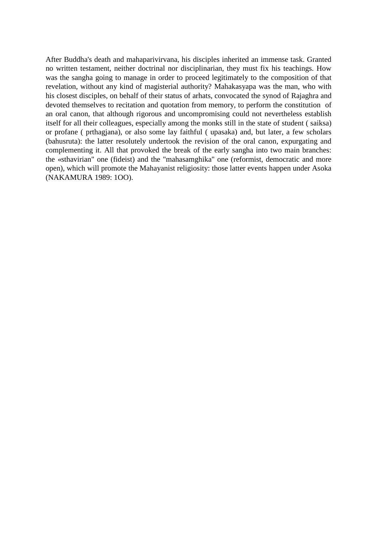After Buddha's death and mahaparivirvana, his disciples inherited an immense task. Granted no written testament, neither doctrinal nor disciplinarian, they must fix his teachings. How was the sangha going to manage in order to proceed legitimately to the composition of that revelation, without any kind of magisterial authority? Mahakasyapa was the man, who with his closest disciples, on behalf of their status of arhats, convocated the synod of Rajaghra and devoted themselves to recitation and quotation from memory, to perform the constitution of an oral canon, that although rigorous and uncompromising could not nevertheless establish itself for all their colleagues, especially among the monks still in the state of student ( saiksa) or profane ( prthagjana), or also some lay faithful ( upasaka) and, but later, a few scholars (bahusruta): the latter resolutely undertook the revision of the oral canon, expurgating and complementing it. All that provoked the break of the early sangha into two main branches: the «sthavirian" one (fideist) and the "mahasamghika" one (reformist, democratic and more open), which will promote the Mahayanist religiosity: those latter events happen under Asoka (NAKAMURA 1989: 1OO).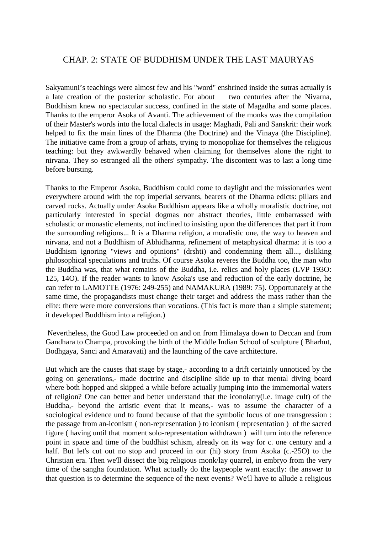#### CHAP. 2: STATE OF BUDDHISM UNDER THE LAST MAURYAS

Sakyamuni's teachings were almost few and his "word" enshrined inside the sutras actually is a late creation of the posterior scholastic. For about two centuries after the Nivarna, Buddhism knew no spectacular success, confined in the state of Magadha and some places. Thanks to the emperor Asoka of Avanti. The achievement of the monks was the compilation of their Master's words into the local dialects in usage: Maghadi, Pali and Sanskrit: their work helped to fix the main lines of the Dharma (the Doctrine) and the Vinaya (the Discipline). The initiative came from a group of arhats, trying to monopolize for themselves the religious teaching: but they awkwardly behaved when claiming for themselves alone the right to nirvana. They so estranged all the others' sympathy. The discontent was to last a long time before bursting.

Thanks to the Emperor Asoka, Buddhism could come to daylight and the missionaries went everywhere around with the top imperial servants, bearers of the Dharma edicts: pillars and carved rocks. Actually under Asoka Buddhism appears like a wholly moralistic doctrine, not particularly interested in special dogmas nor abstract theories, little embarrassed with scholastic or monastic elements, not inclined to insisting upon the differences that part it from the surrounding religions... It is a Dharma religion, a moralistic one, the way to heaven and nirvana, and not a Buddhism of Abhidharma, refinement of metaphysical dharma: it is too a Buddhism ignoring "views and opinions" (drshti) and condemning them all..., disliking philosophical speculations and truths. Of course Asoka reveres the Buddha too, the man who the Buddha was, that what remains of the Buddha, i.e. relics and holy places (LVP 193O: 125, 14O). If the reader wants to know Asoka's use and reduction of the early doctrine, he can refer to LAMOTTE (1976: 249-255) and NAMAKURA (1989: 75). Opportunately at the same time, the propagandists must change their target and address the mass rather than the elite: there were more conversions than vocations. (This fact is more than a simple statement; it developed Buddhism into a religion.)

 Nevertheless, the Good Law proceeded on and on from Himalaya down to Deccan and from Gandhara to Champa, provoking the birth of the Middle Indian School of sculpture ( Bharhut, Bodhgaya, Sanci and Amaravati) and the launching of the cave architecture.

But which are the causes that stage by stage,- according to a drift certainly unnoticed by the going on generations,- made doctrine and discipline slide up to that mental diving board where both hopped and skipped a while before actually jumping into the immemorial waters of religion? One can better and better understand that the iconolatry(i.e. image cult) of the Buddha,- beyond the artistic event that it means,- was to assume the character of a sociological evidence und to found because of that the symbolic locus of one transgression : the passage from an-iconism ( non-representation ) to iconism ( representation ) of the sacred figure ( having until that moment solo-representation withdrawn ) will turn into the reference point in space and time of the buddhist schism, already on its way for c. one century and a half. But let's cut out no stop and proceed in our (hi) story from Asoka (c.-250) to the Christian era. Then we'll dissect the big religious monk/lay quarrel, in embryo from the very time of the sangha foundation. What actually do the laypeople want exactly: the answer to that question is to determine the sequence of the next events? We'll have to allude a religious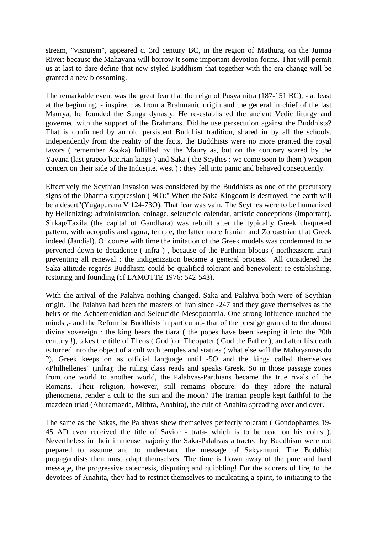stream, "visnuism", appeared c. 3rd century BC, in the region of Mathura, on the Jumna River: because the Mahayana will borrow it some important devotion forms. That will permit us at last to dare define that new-styled Buddhism that together with the era change will be granted a new blossoming.

The remarkable event was the great fear that the reign of Pusyamitra (187-151 BC), - at least at the beginning, - inspired: as from a Brahmanic origin and the general in chief of the last Maurya, he founded the Sunga dynasty. He re-established the ancient Vedic liturgy and governed with the support of the Brahmans. Did he use persecution against the Buddhists? That is confirmed by an old persistent Buddhist tradition, shared in by all the schools. Independently from the reality of the facts, the Buddhists were no more granted the royal favors ( remember Asoka) fulfilled by the Maury as, but on the contrary scared by the Yavana (last graeco-bactrian kings ) and Saka ( the Scythes : we come soon to them ) weapon concert on their side of the Indus(i.e. west ) : they fell into panic and behaved consequently.

Effectively the Scythian invasion was considered by the Buddhists as one of the precursory signs of the Dharma suppression (-9O):" When the Saka Kingdom is destroyed, the earth will be a desert"(Yugapurana V 124-73O). That fear was vain. The Scythes were to be humanized by Hellenizing: administration, coinage, seleucidic calendar, artistic conceptions (important). Sirkap/Taxila (the capital of Gandhara) was rebuilt after the typically Greek chequered pattern, with acropolis and agora, temple, the latter more Iranian and Zoroastrian that Greek indeed (Jandial). Of course with time the imitation of the Greek models was condemned to be perverted down to decadence ( infra ) , because of the Parthian blocus ( northeastern Iran) preventing all renewal : the indigenization became a general process. All considered the Saka attitude regards Buddhism could be qualified tolerant and benevolent: re-establishing, restoring and founding (cf LAMOTTE 1976: 542-543).

With the arrival of the Palahva nothing changed. Saka and Palahva both were of Scythian origin. The Palahva had been the masters of Iran since -247 and they gave themselves as the heirs of the Achaemenidian and Seleucidic Mesopotamia. One strong influence touched the minds  $\alpha$ - and the Reformist Buddhists in particular,- that of the prestige granted to the almost divine sovereign : the king bears the tiara ( the popes have been keeping it into the 20th century !), takes the title of Theos ( God ) or Theopater ( God the Father ), and after his death is turned into the object of a cult with temples and statues ( what else will the Mahayanists do ?). Greek keeps on as official language until -5O and the kings called themselves «Philhellenes" (infra); the ruling class reads and speaks Greek. So in those passage zones from one world to another world, the Palahvas-Parthians became the true rivals of the Romans. Their religion, however, still remains obscure: do they adore the natural phenomena, render a cult to the sun and the moon? The Iranian people kept faithful to the mazdean triad (Ahuramazda, Mithra, Anahita), the cult of Anahita spreading over and over.

The same as the Sakas, the Palahvas shew themselves perfectly tolerant ( Gondopharnes 19- 45 AD even received the title of Savior - trata- which is to be read on his coins ). Nevertheless in their immense majority the Saka-Palahvas attracted by Buddhism were not prepared to assume and to understand the message of Sakyamuni. The Buddhist propagandists then must adapt themselves. The time is flown away of the pure and hard message, the progressive catechesis, disputing and quibbling! For the adorers of fire, to the devotees of Anahita, they had to restrict themselves to inculcating a spirit, to initiating to the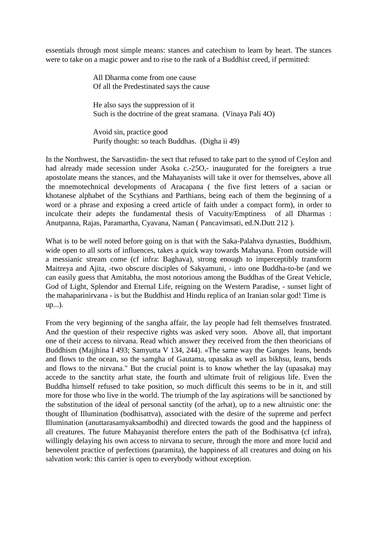essentials through most simple means: stances and catechism to learn by heart. The stances were to take on a magic power and to rise to the rank of a Buddhist creed, if permitted:

> All Dharma come from one cause Of all the Predestinated says the cause

 He also says the suppression of it Such is the doctrine of the great sramana. (Vinaya Pali 4O)

 Avoid sin, practice good Purify thought: so teach Buddhas. (Digha ii 49)

In the Northwest, the Sarvastidin- the sect that refused to take part to the synod of Ceylon and had already made secession under Asoka c.-250,- inaugurated for the foreigners a true apostolate means the stances, and the Mahayanists will take it over for themselves, above all the mnemotechnical developments of Aracapana ( the five first letters of a sacian or khotanese alphabet of the Scythians and Parthians, being each of them the beginning of a word or a phrase and exposing a creed article of faith under a compact form), in order to inculcate their adepts the fundamental thesis of Vacuity/Emptiness of all Dharmas : Anutpanna, Rajas, Paramartha, Cyavana, Naman ( Pancavimsati, ed.N.Dutt 212 ).

What is to be well noted before going on is that with the Saka-Palahva dynasties, Buddhism, wide open to all sorts of influences, takes a quick way towards Mahayana. From outside will a messianic stream come (cf infra: Baghava), strong enough to imperceptibly transform Maitreya and Ajita, -two obscure disciples of Sakyamuni, - into one Buddha-to-be (and we can easily guess that Amitabha, the most notorious among the Buddhas of the Great Vehicle, God of Light, Splendor and Eternal Life, reigning on the Western Paradise, - sunset light of the mahaparinirvana - is but the Buddhist and Hindu replica of an Iranian solar god! Time is up...).

From the very beginning of the sangha affair, the lay people had felt themselves frustrated. And the question of their respective rights was asked very soon. Above all, that important one of their access to nirvana. Read which answer they received from the then theoricians of Buddhism (Majjhina I 493; Samyutta V 134, 244). «The same way the Ganges leans, bends and flows to the ocean, so the samgha of Gautama, upasaka as well as bikhsu, leans, bends and flows to the nirvana." But the crucial point is to know whether the lay (upasaka) may accede to the sanctity arhat state, the fourth and ultimate fruit of religious life. Even the Buddha himself refused to take position, so much difficult this seems to be in it, and still more for those who live in the world. The triumph of the lay aspirations will be sanctioned by the substitution of the ideal of personal sanctity (of the arhat), up to a new altruistic one: the thought of Illumination (bodhisattva), associated with the desire of the supreme and perfect Illumination (anuttarasamyaksambodhi) and directed towards the good and the happiness of all creatures. The future Mahayanist therefore enters the path of the Bodhisattva (cf infra), willingly delaying his own access to nirvana to secure, through the more and more lucid and benevolent practice of perfections (paramita), the happiness of all creatures and doing on his salvation work: this carrier is open to everybody without exception.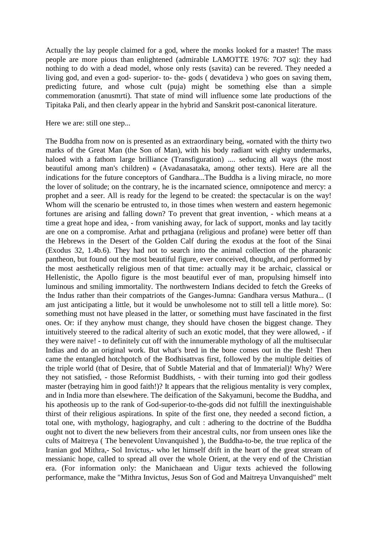Actually the lay people claimed for a god, where the monks looked for a master! The mass people are more pious than enlightened (admirable LAMOTTE 1976: 7O7 sq): they had nothing to do with a dead model, whose only rests (savita) can be revered. They needed a living god, and even a god- superior- to- the- gods ( devatideva ) who goes on saving them, predicting future, and whose cult (puja) might be something else than a simple commemoration (anusmrti). That state of mind will influence some late productions of the Tipitaka Pali, and then clearly appear in the hybrid and Sanskrit post-canonical literature.

Here we are: still one step...

The Buddha from now on is presented as an extraordinary being, «ornated with the thirty two marks of the Great Man (the Son of Man), with his body radiant with eighty undermarks, haloed with a fathom large brilliance (Transfiguration) .... seducing all ways (the most beautiful among man's children) « (Avadanasataka, among other texts). Here are all the indications for the future conceptors of Gandhara...The Buddha is a living miracle, no more the lover of solitude; on the contrary, he is the incarnated science, omnipotence and mercy: a prophet and a seer. All is ready for the legend to be created: the spectacular is on the way! Whom will the scenario be entrusted to, in those times when western and eastern hegemonic fortunes are arising and falling down? To prevent that great invention, - which means at a time a great hope and idea, - from vanishing away, for lack of support, monks and lay tacitly are one on a compromise. Arhat and prthagjana (religious and profane) were better off than the Hebrews in the Desert of the Golden Calf during the exodus at the foot of the Sinai (Exodus 32, 1.4b.6). They had not to search into the animal collection of the pharaonic pantheon, but found out the most beautiful figure, ever conceived, thought, and performed by the most aesthetically religious men of that time: actually may it be archaic, classical or Hellenistic, the Apollo figure is the most beautiful ever of man, propulsing himself into luminous and smiling immortality. The northwestern Indians decided to fetch the Greeks of the Indus rather than their compatriots of the Ganges-Jumna: Gandhara versus Mathura... (I am just anticipating a little, but it would be unwholesome not to still tell a little more). So: something must not have pleased in the latter, or something must have fascinated in the first ones. Or: if they anyhow must change, they should have chosen the biggest change. They intuitively steered to the radical alterity of such an exotic model, that they were allowed, - if they were naive! - to definitely cut off with the innumerable mythology of all the multisecular Indias and do an original work. But what's bred in the bone comes out in the flesh! Then came the entangled hotchpotch of the Bodhisattvas first, followed by the multiple deities of the triple world (that of Desire, that of Subtle Material and that of Immaterial)! Why? Were they not satisfied, - those Reformist Buddhists, - with their turning into god their godless master (betraying him in good faith!)? It appears that the religious mentality is very complex, and in India more than elsewhere. The deification of the Sakyamuni, become the Buddha, and his apotheosis up to the rank of God-superior-to-the-gods did not fulfill the inextinguishable thirst of their religious aspirations. In spite of the first one, they needed a second fiction, a total one, with mythology, hagiography, and cult : adhering to the doctrine of the Buddha ought not to divert the new believers from their ancestral cults, nor from unseen ones like the cults of Maitreya ( The benevolent Unvanquished ), the Buddha-to-be, the true replica of the Iranian god Mithra,- Sol Invictus,- who let himself drift in the heart of the great stream of messianic hope, called to spread all over the whole Orient, at the very end of the Christian era. (For information only: the Manichaean and Uigur texts achieved the following performance, make the "Mithra Invictus, Jesus Son of God and Maitreya Unvanquished" melt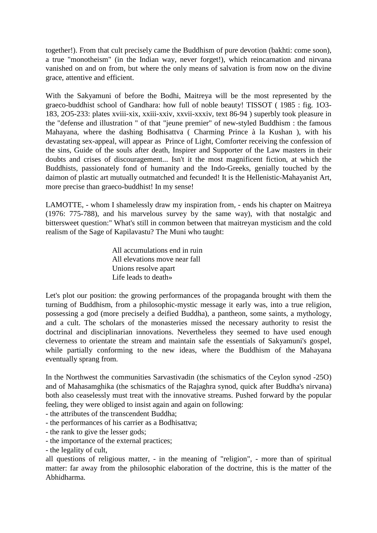together!). From that cult precisely came the Buddhism of pure devotion (bakhti: come soon), a true "monotheism" (in the Indian way, never forget!), which reincarnation and nirvana vanished on and on from, but where the only means of salvation is from now on the divine grace, attentive and efficient.

With the Sakyamuni of before the Bodhi, Maitreya will be the most represented by the graeco-buddhist school of Gandhara: how full of noble beauty! TISSOT ( 1985 : fig. 1O3- 183, 2O5-233: plates xviii-xix, xxiii-xxiv, xxvii-xxxiv, text 86-94 ) superbly took pleasure in the "defense and illustration " of that "jeune premier" of new-styled Buddhism : the famous Mahayana, where the dashing Bodhisattva ( Charming Prince à la Kushan ), with his devastating sex-appeal, will appear as Prince of Light, Comforter receiving the confession of the sins, Guide of the souls after death, Inspirer and Supporter of the Law masters in their doubts and crises of discouragement... Isn't it the most magnificent fiction, at which the Buddhists, passionately fond of humanity and the Indo-Greeks, genially touched by the daimon of plastic art mutually outmatched and fecunded! It is the Hellenistic-Mahayanist Art, more precise than graeco-buddhist! In my sense!

LAMOTTE, - whom I shamelessly draw my inspiration from, - ends his chapter on Maitreya (1976: 775-788), and his marvelous survey by the same way), with that nostalgic and bittersweet question:" What's still in common between that maitreyan mysticism and the cold realism of the Sage of Kapilavastu? The Muni who taught:

> All accumulations end in ruin All elevations move near fall Unions resolve apart Life leads to death»

Let's plot our position: the growing performances of the propaganda brought with them the turning of Buddhism, from a philosophic-mystic message it early was, into a true religion, possessing a god (more precisely a deified Buddha), a pantheon, some saints, a mythology, and a cult. The scholars of the monasteries missed the necessary authority to resist the doctrinal and disciplinarian innovations. Nevertheless they seemed to have used enough cleverness to orientate the stream and maintain safe the essentials of Sakyamuni's gospel, while partially conforming to the new ideas, where the Buddhism of the Mahayana eventually sprang from.

In the Northwest the communities Sarvastivadin (the schismatics of the Ceylon synod -25O) and of Mahasamghika (the schismatics of the Rajaghra synod, quick after Buddha's nirvana) both also ceaselessly must treat with the innovative streams. Pushed forward by the popular feeling, they were obliged to insist again and again on following:

- the attributes of the transcendent Buddha;
- the performances of his carrier as a Bodhisattva;
- the rank to give the lesser gods;
- the importance of the external practices;
- the legality of cult,

all questions of religious matter, - in the meaning of "religion", - more than of spiritual matter: far away from the philosophic elaboration of the doctrine, this is the matter of the Abhidharma.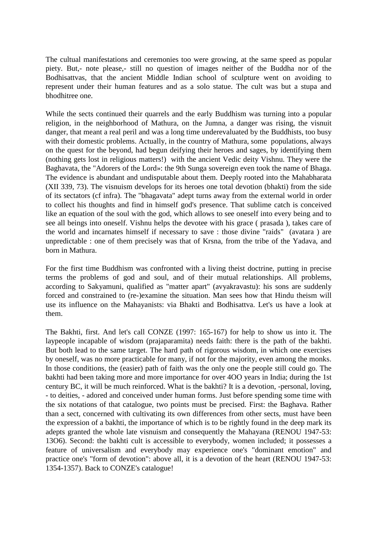The cultual manifestations and ceremonies too were growing, at the same speed as popular piety. But,- note please,- still no question of images neither of the Buddha nor of the Bodhisattvas, that the ancient Middle Indian school of sculpture went on avoiding to represent under their human features and as a solo statue. The cult was but a stupa and bhodhitree one.

While the sects continued their quarrels and the early Buddhism was turning into a popular religion, in the neighborhood of Mathura, on the Jumna, a danger was rising, the visnuit danger, that meant a real peril and was a long time underevaluated by the Buddhists, too busy with their domestic problems. Actually, in the country of Mathura, some populations, always on the quest for the beyond, had begun deifying their heroes and sages, by identifying them (nothing gets lost in religious matters!) with the ancient Vedic deity Vishnu. They were the Baghavata, the "Adorers of the Lord»: the 9th Sunga sovereign even took the name of Bhaga. The evidence is abundant and undisputable about them. Deeply rooted into the Mahabharata (XII 339, 73). The visnuism develops for its heroes one total devotion (bhakti) from the side of its sectators (cf infra). The "bhagavata" adept turns away from the external world in order to collect his thoughts and find in himself god's presence. That sublime catch is conceived like an equation of the soul with the god, which allows to see oneself into every being and to see all beings into oneself. Vishnu helps the devotee with his grace ( prasada ), takes care of the world and incarnates himself if necessary to save : those divine "raids" (avatara ) are unpredictable : one of them precisely was that of Krsna, from the tribe of the Yadava, and born in Mathura.

For the first time Buddhism was confronted with a living theist doctrine, putting in precise terms the problems of god and soul, and of their mutual relationships. All problems, according to Sakyamuni, qualified as "matter apart" (avyakravastu): his sons are suddenly forced and constrained to (re-)examine the situation. Man sees how that Hindu theism will use its influence on the Mahayanists: via Bhakti and Bodhisattva. Let's us have a look at them.

The Bakhti, first. And let's call CONZE (1997: 165-167) for help to show us into it. The laypeople incapable of wisdom (prajaparamita) needs faith: there is the path of the bakhti. But both lead to the same target. The hard path of rigorous wisdom, in which one exercises by oneself, was no more practicable for many, if not for the majority, even among the monks. In those conditions, the (easier) path of faith was the only one the people still could go. The bakhti had been taking more and more importance for over 4OO years in India; during the 1st century BC, it will be much reinforced. What is the bakhti? It is a devotion, -personal, loving, - to deities, - adored and conceived under human forms. Just before spending some time with the six notations of that catalogue, two points must be precised. First: the Baghava. Rather than a sect, concerned with cultivating its own differences from other sects, must have been the expression of a bakhti, the importance of which is to be rightly found in the deep mark its adepts granted the whole late visnuism and consequently the Mahayana (RENOU 1947-53: 13O6). Second: the bakhti cult is accessible to everybody, women included; it possesses a feature of universalism and everybody may experience one's "dominant emotion" and practice one's "form of devotion": above all, it is a devotion of the heart (RENOU 1947-53: 1354-1357). Back to CONZE's catalogue!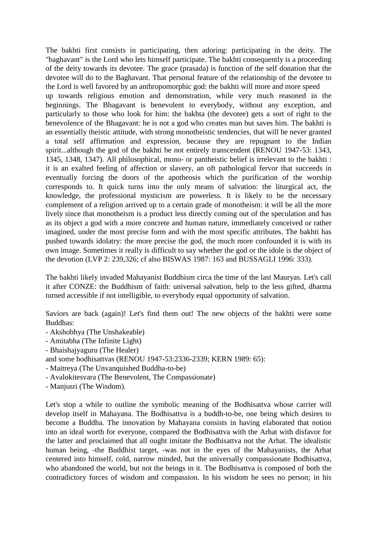The bakhti first consists in participating, then adoring: participating in the deity. The "baghavant" is the Lord who lets himself participate. The bakhti consequently is a proceeding of the deity towards its devotee. The grace (prasada) is function of the self donation that the devotee will do to the Baghavant. That personal feature of the relationship of the devotee to the Lord is well favored by an anthropomorphic god: the bakhti will more and more speed

up towards religious emotion and demonstration, while very much reasoned in the beginnings. The Bhagavant is benevolent to everybody, without any exception, and particularly to those who look for him: the bakhta (the devotee) gets a sort of right to the benevolence of the Bhagavant: he is not a god who creates man but saves him. The bakhti is an essentially theistic attitude, with strong monotheistic tendencies, that will be never granted a total self affirmation and expression, because they are repugnant to the Indian spirit...although the god of the bakhti be not entirely transcendent (RENOU 1947-53: 1343, 1345, 1348, 1347). All philosophical, mono- or pantheistic belief is irrelevant to the bakhti : it is an exalted feeling of affection or slavery, an oft pathological fervor that succeeds in eventually forcing the doors of the apotheosis which the purification of the worship corresponds to. It quick turns into the only means of salvation: the liturgical act, the knowledge, the professional mysticism are powerless. It is likely to be the necessary complement of a religion arrived up to a certain grade of monotheism: it will be all the more lively since that monotheism is a product less directly coming out of the speculation and has as its object a god with a more concrete and human nature, immediately conceived or rather imagined, under the most precise form and with the most specific attributes. The bakhti has pushed towards idolatry: the more precise the god, the much more confounded it is with its own image. Sometimes it really is difficult to say whether the god or the idole is the object of the devotion (LVP 2: 239,326; cf also BISWAS 1987: 163 and BUSSAGLI 1996: 333).

The bakhti likely invaded Mahayanist Buddhism circa the time of the last Mauryas. Let's call it after CONZE: the Buddhism of faith: universal salvation, help to the less gifted, dharma turned accessible if not intelligible, to everybody equal opportunity of salvation.

Saviors are back (again)! Let's find them out! The new objects of the bakhti were some Buddhas:

- Akshobhya (The Unshakeable)
- Amitabha (The Infinite Light)
- Bhaishajyaguru (The Healer)
- and some bodhisattvas (RENOU 1947-53:2336-2339; KERN 1989: 65):
- Maitreya (The Unvanquished Buddha-to-be)
- Avalokitesvara (The Benevolent, The Compassionate)
- Manjusri (The Wisdom).

Let's stop a while to outline the symbolic meaning of the Bodhisattva whose carrier will develop itself in Mahayana. The Bodhisattva is a buddh-to-be, one being which desires to become a Buddha. The innovation by Mahayana consists in having elaborated that notion into an ideal worth for everyone, compared the Bodhisattva with the Arhat with disfavor for the latter and proclaimed that all ought imitate the Bodhisattva not the Arhat. The idealistic human being, -the Buddhist target, -was not in the eyes of the Mahayanists, the Arhat centered into himself, cold, narrow minded, but the universally compassionate Bodhisattva, who abandoned the world, but not the beings in it. The Bodhisattva is composed of both the contradictory forces of wisdom and compassion. In his wisdom he sees no person; in his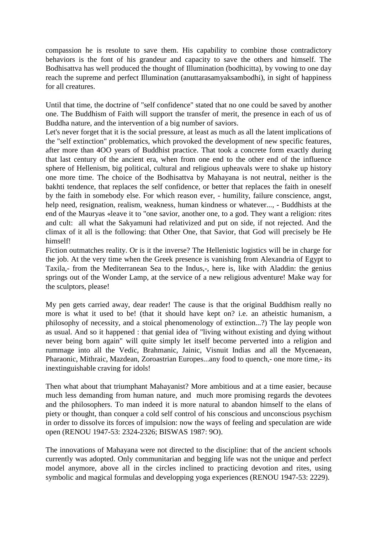compassion he is resolute to save them. His capability to combine those contradictory behaviors is the font of his grandeur and capacity to save the others and himself. The Bodhisattva has well produced the thought of Illumination (bodhicitta), by vowing to one day reach the supreme and perfect Illumination (anuttarasamyaksambodhi), in sight of happiness for all creatures.

Until that time, the doctrine of "self confidence" stated that no one could be saved by another one. The Buddhism of Faith will support the transfer of merit, the presence in each of us of Buddha nature, and the intervention of a big number of saviors.

Let's never forget that it is the social pressure, at least as much as all the latent implications of the "self extinction" problematics, which provoked the development of new specific features, after more than 4OO years of Buddhist practice. That took a concrete form exactly during that last century of the ancient era, when from one end to the other end of the influence sphere of Hellenism, big political, cultural and religious upheavals were to shake up history one more time. The choice of the Bodhisattva by Mahayana is not neutral, neither is the bakhti tendence, that replaces the self confidence, or better that replaces the faith in oneself by the faith in somebody else. For which reason ever, - humility, failure conscience, angst, help need, resignation, realism, weakness, human kindness or whatever..., - Buddhists at the end of the Mauryas «leave it to "one savior, another one, to a god. They want a religion: rites and cult: all what the Sakyamuni had relativized and put on side, if not rejected. And the climax of it all is the following: that Other One, that Savior, that God will precisely be He himself!

Fiction outmatches reality. Or is it the inverse? The Hellenistic logistics will be in charge for the job. At the very time when the Greek presence is vanishing from Alexandria of Egypt to Taxila,- from the Mediterranean Sea to the Indus,-, here is, like with Aladdin: the genius springs out of the Wonder Lamp, at the service of a new religious adventure! Make way for the sculptors, please!

My pen gets carried away, dear reader! The cause is that the original Buddhism really no more is what it used to be! (that it should have kept on? i.e. an atheistic humanism, a philosophy of necessity, and a stoical phenomenology of extinction...?) The lay people won as usual. And so it happened : that genial idea of "living without existing and dying without never being born again" will quite simply let itself become perverted into a religion and rummage into all the Vedic, Brahmanic, Jainic, Visnuit Indias and all the Mycenaean, Pharaonic, Mithraic, Mazdean, Zoroastrian Europes...any food to quench,- one more time,- its inextinguishable craving for idols!

Then what about that triumphant Mahayanist? More ambitious and at a time easier, because much less demanding from human nature, and much more promising regards the devotees and the philosophers. To man indeed it is more natural to abandon himself to the elans of piety or thought, than conquer a cold self control of his conscious and unconscious psychism in order to dissolve its forces of impulsion: now the ways of feeling and speculation are wide open (RENOU 1947-53: 2324-2326; BISWAS 1987: 9O).

The innovations of Mahayana were not directed to the discipline: that of the ancient schools currently was adopted. Only communitarian and begging life was not the unique and perfect model anymore, above all in the circles inclined to practicing devotion and rites, using symbolic and magical formulas and developping yoga experiences (RENOU 1947-53: 2229).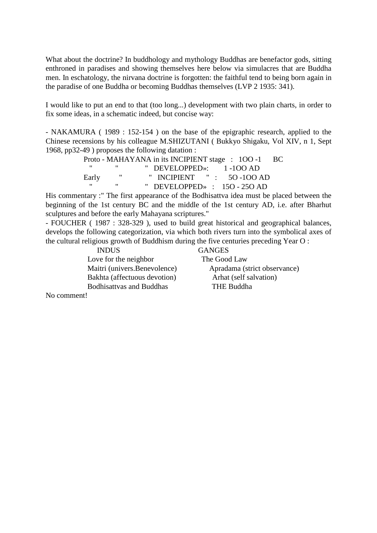What about the doctrine? In buddhology and mythology Buddhas are benefactor gods, sitting enthroned in paradises and showing themselves here below via simulacres that are Buddha men. In eschatology, the nirvana doctrine is forgotten: the faithful tend to being born again in the paradise of one Buddha or becoming Buddhas themselves (LVP 2 1935: 341).

I would like to put an end to that (too long...) development with two plain charts, in order to fix some ideas, in a schematic indeed, but concise way:

- NAKAMURA ( 1989 : 152-154 ) on the base of the epigraphic research, applied to the Chinese recensions by his colleague M.SHIZUTANI ( Bukkyo Shigaku, Vol XIV, n 1, Sept 1968, pp32-49 ) proposes the following datation :

> Proto - MAHAYANA in its INCIPIENT stage : 100 -1 BC " DEVELOPPED»: 1 -100 AD<br>" INCIPIENT " : 50 -100 A Early " INCIPIENT " : 50-100 AD " DEVELOPPED» :  $150 - 250$  AD

His commentary :" The first appearance of the Bodhisattva idea must be placed between the beginning of the 1st century BC and the middle of the 1st century AD, i.e. after Bharhut sculptures and before the early Mahayana scriptures."

- FOUCHER ( 1987 : 328-329 ), used to build great historical and geographical balances, develops the following categorization, via which both rivers turn into the symbolical axes of the cultural religious growth of Buddhism during the five centuries preceding Year O :

 INDUS GANGES Love for the neighbor The Good Law Maitri (univers.Benevolence) Apradama (strict observance) Bakhta (affectuous devotion) Arhat (self salvation) Bodhisattvas and Buddhas THE Buddha

No comment!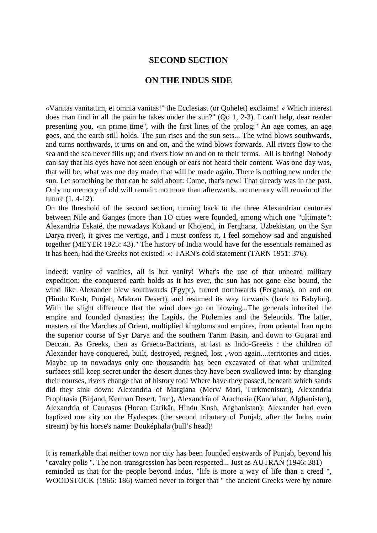#### **SECOND SECTION**

#### **ON THE INDUS SIDE**

«Vanitas vanitatum, et omnia vanitas!" the Ecclesiast (or Qohelet) exclaims! » Which interest does man find in all the pain he takes under the sun?" (Qo 1, 2-3). I can't help, dear reader presenting you, «in prime time", with the first lines of the prolog:" An age comes, an age goes, and the earth still holds. The sun rises and the sun sets... The wind blows southwards, and turns northwards, it urns on and on, and the wind blows forwards. All rivers flow to the sea and the sea never fills up; and rivers flow on and on to their terms. All is boring! Nobody can say that his eyes have not seen enough or ears not heard their content. Was one day was, that will be; what was one day made, that will be made again. There is nothing new under the sun. Let something be that can be said about: Come, that's new! That already was in the past. Only no memory of old will remain; no more than afterwards, no memory will remain of the future (1, 4-12).

On the threshold of the second section, turning back to the three Alexandrian centuries between Nile and Ganges (more than 1O cities were founded, among which one "ultimate": Alexandria Eskaté, the nowadays Kokand or Khojend, in Ferghana, Uzbekistan, on the Syr Darya river), it gives me vertigo, and I must confess it, I feel somehow sad and anguished together (MEYER 1925: 43)." The history of India would have for the essentials remained as it has been, had the Greeks not existed! »: TARN's cold statement (TARN 1951: 376).

Indeed: vanity of vanities, all is but vanity! What's the use of that unheard military expedition: the conquered earth holds as it has ever, the sun has not gone else bound, the wind like Alexander blew southwards (Egypt), turned northwards (Ferghana), on and on (Hindu Kush, Punjab, Makran Desert), and resumed its way forwards (back to Babylon). With the slight difference that the wind does go on blowing...The generals inherited the empire and founded dynasties: the Lagids, the Ptolemies and the Seleucids. The latter, masters of the Marches of Orient, multiplied kingdoms and empires, from oriental Iran up to the superior course of Syr Darya and the southern Tarim Basin, and down to Gujarat and Deccan. As Greeks, then as Graeco-Bactrians, at last as Indo-Greeks : the children of Alexander have conquered, built, destroyed, reigned, lost , won again....territories and cities. Maybe up to nowadays only one thousandth has been excavated of that what unlimited surfaces still keep secret under the desert dunes they have been swallowed into: by changing their courses, rivers change that of history too! Where have they passed, beneath which sands did they sink down: Alexandria of Margiana (Merv/ Mari, Turkmenistan), Alexandria Prophtasia (Birjand, Kerman Desert, Iran), Alexandria of Arachosia (Kandahar, Afghanistan), Alexandria of Caucasus (Hocan Carikär, Hindu Kush, Afghanistan): Alexander had even baptized one city on the Hydaspes (the second tributary of Punjab, after the Indus main stream) by his horse's name: Bouképhala (bull's head)!

It is remarkable that neither town nor city has been founded eastwards of Punjab, beyond his "cavalry polis ". The non-transgression has been respected... Just as AUTRAN (1946: 381) reminded us that for the people beyond Indus, "life is more a way of life than a creed ", WOODSTOCK (1966: 186) warned never to forget that " the ancient Greeks were by nature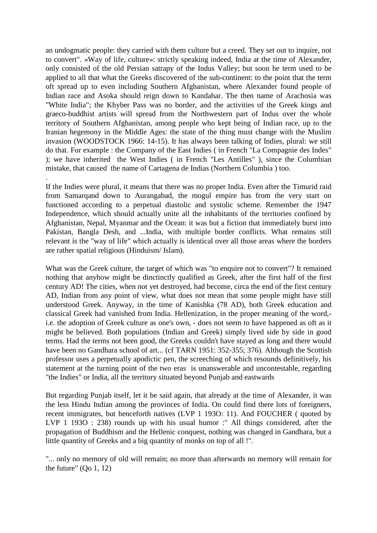an undogmatic people: they carried with them culture but a creed. They set out to inquire, not to convert". «Way of life, culture»: strictly speaking indeed, India at the time of Alexander, only consisted of the old Persian satrapy of the Indus Valley; but soon he term used to be applied to all that what the Greeks discovered of the sub-continent: to the point that the term oft spread up to even including Southern Afghanistan, where Alexander found people of Indian race and Asoka should reign down to Kandahar. The then name of Arachosia was "White India"; the Khyber Pass was no border, and the activities of the Greek kings and graeco-buddhist artists will spread from the Northwestern part of Indus over the whole territory of Southern Afghanistan, among people who kept being of Indian race, up to the Iranian hegemony in the Middle Ages: the state of the thing must change with the Muslim invasion (WOODSTOCK 1966: 14-15). It has always been talking of Indies, plural: we still do that. For example : the Company of the East Indies ( in French "La Compagnie des Indes" ); we have inherited the West Indies ( in French "Les Antilles" ), since the Columbian mistake, that caused the name of Cartagena de Indias (Northern Columbia ) too.

If the Indies were plural, it means that there was no proper India. Even after the Timurid raid from Samarqand down to Aurangabad, the mogul empire has from the very start on functioned according to a perpetual diastolic and systolic scheme. Remember the 1947 Independence, which should actually unite all the inhabitants of the territories confined by Afghanistan, Nepal, Myanmar and the Ocean: it was but a fiction that immediately burst into Pakistan, Bangla Desh, and ...India, with multiple border conflicts. What remains still relevant is the "way of life" which actually is identical over all those areas where the borders are rather spatial religious (Hinduism/ Islam).

.

What was the Greek culture, the target of which was "to enquire not to convert"? It remained nothing that anyhow might be dinctinctly qualified as Greek, after the first half of the first century AD! The cities, when not yet destroyed, had become, circa the end of the first century AD, Indian from any point of view, what does not mean that some people might have still understood Greek. Anyway, in the time of Kanishka (78 AD), both Greek education and classical Greek had vanished from India. Hellenization, in the proper meaning of the word, i.e. the adoption of Greek culture as one's own, - does not seem to have happened as oft as it might be believed. Both populations (Indian and Greek) simply lived side by side in good terms. Had the terms not been good, the Greeks couldn't have stayed as long and there would have been no Gandhara school of art... (cf TARN 1951: 352-355; 376). Although the Scottish professor uses a perpetually apodictic pen, the screeching of which resounds definitively, his statement at the turning point of the two eras is unanswerable and uncontestable, regarding "the Indies" or India, all the territory situated beyond Punjab and eastwards

But regarding Punjab itself, let it be said again, that already at the time of Alexander, it was the less Hindu Indian among the provinces of India. On could find there lots of foreigners, recent immigrates, but henceforth natives (LVP 1 193O: 11). And FOUCHER ( quoted by LVP 1 193O : 238) rounds up with his usual humor :" All things considered, after the propagation of Buddhism and the Hellenic conquest, nothing was changed in Gandhara, but a little quantity of Greeks and a big quantity of monks on top of all !".

"... only no memory of old will remain; no more than afterwards no memory will remain for the future" (Qo 1, 12)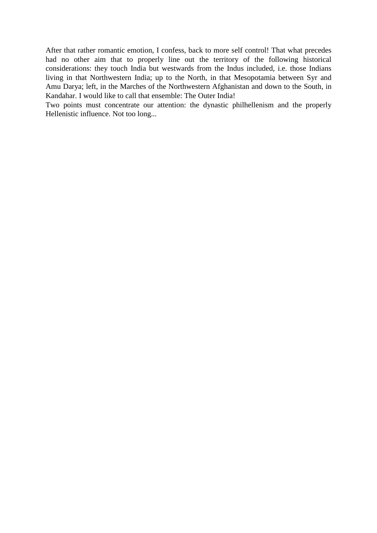After that rather romantic emotion, I confess, back to more self control! That what precedes had no other aim that to properly line out the territory of the following historical considerations: they touch India but westwards from the Indus included, i.e. those Indians living in that Northwestern India; up to the North, in that Mesopotamia between Syr and Amu Darya; left, in the Marches of the Northwestern Afghanistan and down to the South, in Kandahar. I would like to call that ensemble: The Outer India!

Two points must concentrate our attention: the dynastic philhellenism and the properly Hellenistic influence. Not too long...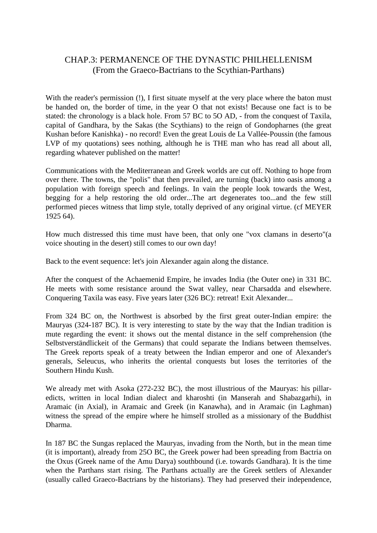#### CHAP.3: PERMANENCE OF THE DYNASTIC PHILHELLENISM (From the Graeco-Bactrians to the Scythian-Parthans)

With the reader's permission (!), I first situate myself at the very place where the baton must be handed on, the border of time, in the year O that not exists! Because one fact is to be stated: the chronology is a black hole. From 57 BC to 5O AD, - from the conquest of Taxila, capital of Gandhara, by the Sakas (the Scythians) to the reign of Gondopharnes (the great Kushan before Kanishka) - no record! Even the great Louis de La Vallée-Poussin (the famous LVP of my quotations) sees nothing, although he is THE man who has read all about all. regarding whatever published on the matter!

Communications with the Mediterranean and Greek worlds are cut off. Nothing to hope from over there. The towns, the "polis" that then prevailed, are turning (back) into oasis among a population with foreign speech and feelings. In vain the people look towards the West, begging for a help restoring the old order...The art degenerates too...and the few still performed pieces witness that limp style, totally deprived of any original virtue. (cf MEYER 1925 64).

How much distressed this time must have been, that only one "vox clamans in deserto"(a voice shouting in the desert) still comes to our own day!

Back to the event sequence: let's join Alexander again along the distance.

After the conquest of the Achaemenid Empire, he invades India (the Outer one) in 331 BC. He meets with some resistance around the Swat valley, near Charsadda and elsewhere. Conquering Taxila was easy. Five years later (326 BC): retreat! Exit Alexander...

From 324 BC on, the Northwest is absorbed by the first great outer-Indian empire: the Mauryas (324-187 BC). It is very interesting to state by the way that the Indian tradition is mute regarding the event: it shows out the mental distance in the self comprehension (the Selbstverständlickeit of the Germans) that could separate the Indians between themselves. The Greek reports speak of a treaty between the Indian emperor and one of Alexander's generals, Seleucus, who inherits the oriental conquests but loses the territories of the Southern Hindu Kush.

We already met with Asoka (272-232 BC), the most illustrious of the Mauryas: his pillaredicts, written in local Indian dialect and kharoshti (in Manserah and Shabazgarhi), in Aramaic (in Axial), in Aramaic and Greek (in Kanawha), and in Aramaic (in Laghman) witness the spread of the empire where he himself strolled as a missionary of the Buddhist Dharma.

In 187 BC the Sungas replaced the Mauryas, invading from the North, but in the mean time (it is important), already from 25O BC, the Greek power had been spreading from Bactria on the Oxus (Greek name of the Amu Darya) southbound (i.e. towards Gandhara). It is the time when the Parthans start rising. The Parthans actually are the Greek settlers of Alexander (usually called Graeco-Bactrians by the historians). They had preserved their independence,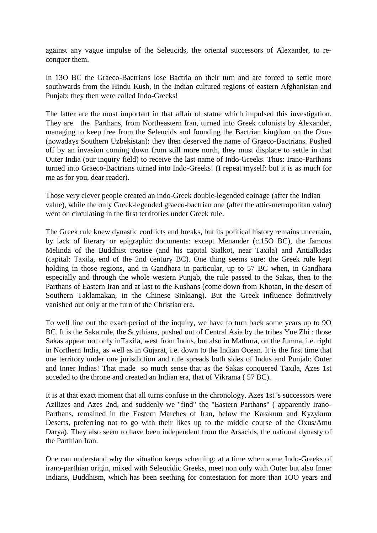against any vague impulse of the Seleucids, the oriental successors of Alexander, to reconquer them.

In 13O BC the Graeco-Bactrians lose Bactria on their turn and are forced to settle more southwards from the Hindu Kush, in the Indian cultured regions of eastern Afghanistan and Punjab: they then were called Indo-Greeks!

The latter are the most important in that affair of statue which impulsed this investigation. They are the Parthans, from Northeastern Iran, turned into Greek colonists by Alexander, managing to keep free from the Seleucids and founding the Bactrian kingdom on the Oxus (nowadays Southern Uzbekistan): they then deserved the name of Graeco-Bactrians. Pushed off by an invasion coming down from still more north, they must displace to settle in that Outer India (our inquiry field) to receive the last name of Indo-Greeks. Thus: Irano-Parthans turned into Graeco-Bactrians turned into Indo-Greeks! (I repeat myself: but it is as much for me as for you, dear reader).

Those very clever people created an indo-Greek double-legended coinage (after the Indian value), while the only Greek-legended graeco-bactrian one (after the attic-metropolitan value) went on circulating in the first territories under Greek rule.

The Greek rule knew dynastic conflicts and breaks, but its political history remains uncertain, by lack of literary or epigraphic documents: except Menander (c.15O BC), the famous Melinda of the Buddhist treatise (and his capital Sialkot, near Taxila) and Antialkidas (capital: Taxila, end of the 2nd century BC). One thing seems sure: the Greek rule kept holding in those regions, and in Gandhara in particular, up to 57 BC when, in Gandhara especially and through the whole western Punjab, the rule passed to the Sakas, then to the Parthans of Eastern Iran and at last to the Kushans (come down from Khotan, in the desert of Southern Taklamakan, in the Chinese Sinkiang). But the Greek influence definitively vanished out only at the turn of the Christian era.

To well line out the exact period of the inquiry, we have to turn back some years up to 9O BC. It is the Saka rule, the Scythians, pushed out of Central Asia by the tribes Yue Zhi : those Sakas appear not only inTaxila, west from Indus, but also in Mathura, on the Jumna, i.e. right in Northern India, as well as in Gujarat, i.e. down to the Indian Ocean. It is the first time that one territory under one jurisdiction and rule spreads both sides of Indus and Punjab: Outer and Inner Indias! That made so much sense that as the Sakas conquered Taxila, Azes 1st acceded to the throne and created an Indian era, that of Vikrama ( 57 BC).

It is at that exact moment that all turns confuse in the chronology. Azes 1st 's successors were Azilizes and Azes 2nd, and suddenly we "find" the "Eastern Parthans" ( apparently Irano-Parthans, remained in the Eastern Marches of Iran, below the Karakum and Kyzykum Deserts, preferring not to go with their likes up to the middle course of the Oxus/Amu Darya). They also seem to have been independent from the Arsacids, the national dynasty of the Parthian Iran.

One can understand why the situation keeps scheming: at a time when some Indo-Greeks of irano-parthian origin, mixed with Seleucidic Greeks, meet non only with Outer but also Inner Indians, Buddhism, which has been seething for contestation for more than 1OO years and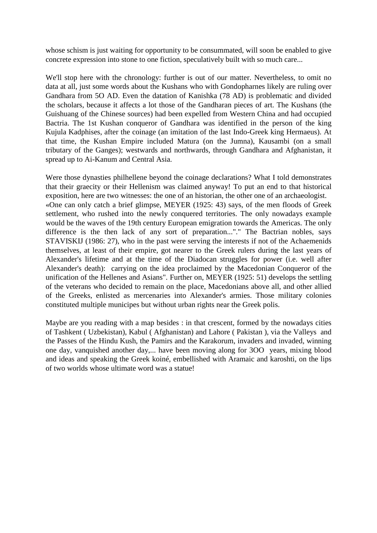whose schism is just waiting for opportunity to be consummated, will soon be enabled to give concrete expression into stone to one fiction, speculatively built with so much care...

We'll stop here with the chronology: further is out of our matter. Nevertheless, to omit no data at all, just some words about the Kushans who with Gondopharnes likely are ruling over Gandhara from 5O AD. Even the datation of Kanishka (78 AD) is problematic and divided the scholars, because it affects a lot those of the Gandharan pieces of art. The Kushans (the Guishuang of the Chinese sources) had been expelled from Western China and had occupied Bactria. The 1st Kushan conqueror of Gandhara was identified in the person of the king Kujula Kadphises, after the coinage (an imitation of the last Indo-Greek king Hermaeus). At that time, the Kushan Empire included Matura (on the Jumna), Kausambi (on a small tributary of the Ganges); westwards and northwards, through Gandhara and Afghanistan, it spread up to Ai-Kanum and Central Asia.

Were those dynasties philhellene beyond the coinage declarations? What I told demonstrates that their graecity or their Hellenism was claimed anyway! To put an end to that historical exposition, here are two witnesses: the one of an historian, the other one of an archaeologist. «One can only catch a brief glimpse, MEYER (1925: 43) says, of the men floods of Greek settlement, who rushed into the newly conquered territories. The only nowadays example would be the waves of the 19th century European emigration towards the Americas. The only difference is the then lack of any sort of preparation..."." The Bactrian nobles, says STAVISKIJ (1986: 27), who in the past were serving the interests if not of the Achaemenids themselves, at least of their empire, got nearer to the Greek rulers during the last years of Alexander's lifetime and at the time of the Diadocan struggles for power (i.e. well after Alexander's death): carrying on the idea proclaimed by the Macedonian Conqueror of the unification of the Hellenes and Asians". Further on, MEYER (1925: 51) develops the settling of the veterans who decided to remain on the place, Macedonians above all, and other allied of the Greeks, enlisted as mercenaries into Alexander's armies. Those military colonies constituted multiple municipes but without urban rights near the Greek polis.

Maybe are you reading with a map besides : in that crescent, formed by the nowadays cities of Tashkent ( Uzbekistan), Kabul ( Afghanistan) and Lahore ( Pakistan ), via the Valleys and the Passes of the Hindu Kush, the Pamirs and the Karakorum, invaders and invaded, winning one day, vanquished another day,... have been moving along for 3OO years, mixing blood and ideas and speaking the Greek koiné, embellished with Aramaic and karoshti, on the lips of two worlds whose ultimate word was a statue!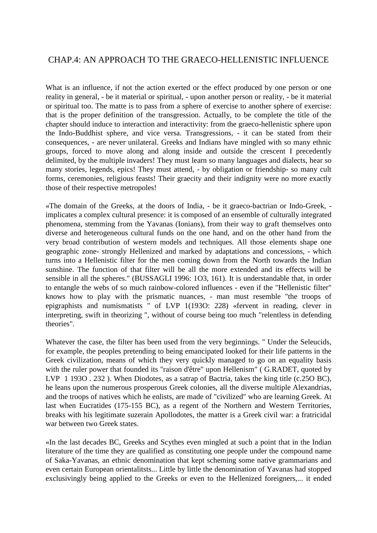#### CHAP.4: AN APPROACH TO THE GRAECO-HELLENISTIC INFLUENCE

What is an influence, if not the action exerted or the effect produced by one person or one reality in general, - be it material or spiritual, - upon another person or reality, - be it material or spiritual too. The matte is to pass from a sphere of exercise to another sphere of exercise: that is the proper definition of the transgression. Actually, to be complete the title of the chapter should induce to interaction and interactivity: from the graeco-hellenistic sphere upon the Indo-Buddhist sphere, and vice versa. Transgressions, - it can be stated from their consequences, - are never unilateral. Greeks and Indians have mingled with so many ethnic groups, forced to move along and along inside and outside the crescent I precedently delimited, by the multiple invaders! They must learn so many languages and dialects, hear so many stories, legends, epics! They must attend, - by obligation or friendship- so many cult forms, ceremonies, religious feasts! Their graecity and their indignity were no more exactly those of their respective metropoles!

«The domain of the Greeks, at the doors of India, - be it graeco-bactrian or Indo-Greek, implicates a complex cultural presence: it is composed of an ensemble of culturally integrated phenomena, stemming from the Yavanas (Ionians), from their way to graft themselves onto diverse and heterogeneous cultural funds on the one hand, and on the other hand from the very broad contribution of western models and techniques. All those elements shape one geographic zone- strongly Hellenized and marked by adaptations and concessions, - which turns into a Hellenistic filter for the men coming down from the North towards the Indian sunshine. The function of that filter will be all the more extended and its effects will be sensible in all the spheres." (BUSSAGLI 1996: 1O3, 161). It is understandable that, in order to entangle the webs of so much rainbow-colored influences - even if the "Hellenistic filter" knows how to play with the prismatic nuances, - man must resemble "the troops of epigraphists and numismatists " of LVP 1(193O: 228) «fervent in reading, clever in interpreting, swift in theorizing ", without of course being too much "relentless in defending theories".

Whatever the case, the filter has been used from the very beginnings. " Under the Seleucids, for example, the peoples pretending to being emancipated looked for their life patterns in the Greek civilization, means of which they very quickly managed to go on an equality basis with the ruler power that founded its "raison d'être" upon Hellenism" ( G.RADET, quoted by LVP 1 193O . 232 ). When Diodotes, as a satrap of Bactria, takes the king title (c.25O BC), he leans upon the numerous prosperous Greek colonies, all the diverse multiple Alexandrias, and the troops of natives which he enlists, are made of "civilized" who are learning Greek. At last when Eucratides (175-155 BC), as a regent of the Northern and Western Territories, breaks with his legitimate suzerain Apollodotes, the matter is a Greek civil war: a fratricidal war between two Greek states.

«In the last decades BC, Greeks and Scythes even mingled at such a point that in the Indian literature of the time they are qualified as constituting one people under the compound name of Saka-Yavanas, an ethnic denomination that kept scheming some native grammarians and even certain European orientalitsts... Little by little the denomination of Yavanas had stopped exclusivingly being applied to the Greeks or even to the Hellenized foreigners,... it ended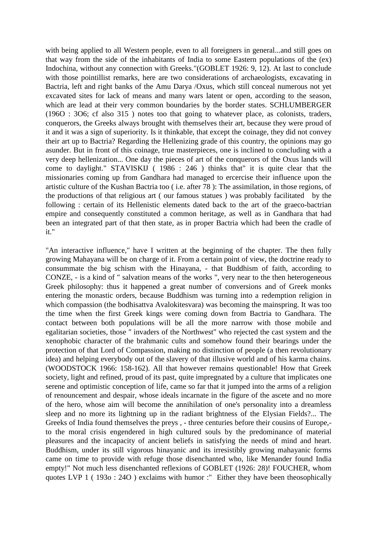with being applied to all Western people, even to all foreigners in general...and still goes on that way from the side of the inhabitants of India to some Eastern populations of the (ex) Indochina, without any connection with Greeks."(GOBLET 1926: 9, 12). At last to conclude with those pointillist remarks, here are two considerations of archaeologists, excavating in Bactria, left and right banks of the Amu Darya /Oxus, which still conceal numerous not yet excavated sites for lack of means and many wars latent or open, according to the season, which are lead at their very common boundaries by the border states. SCHLUMBERGER (196O : 3O6; cf also 315 ) notes too that going to whatever place, as colonists, traders, conquerors, the Greeks always brought with themselves their art, because they were proud of it and it was a sign of superiority. Is it thinkable, that except the coinage, they did not convey their art up to Bactria? Regarding the Hellenizing grade of this country, the opinions may go asunder. But in front of this coinage, true masterpieces, one is inclined to concluding with a very deep hellenization... One day the pieces of art of the conquerors of the Oxus lands will come to daylight." STAVISKIJ ( 1986 : 246 ) thinks that" it is quite clear that the missionaries coming up from Gandhara had managed to ercercise their influence upon the artistic culture of the Kushan Bactria too ( i.e. after 78 ): The assimilation, in those regions, of the productions of that religious art ( our famous statues ) was probably facilitated by the following : certain of its Hellenistic elements dated back to the art of the graeco-bactrian empire and consequently constituted a common heritage, as well as in Gandhara that had been an integrated part of that then state, as in proper Bactria which had been the cradle of it."

"An interactive influence," have I written at the beginning of the chapter. The then fully growing Mahayana will be on charge of it. From a certain point of view, the doctrine ready to consummate the big schism with the Hinayana, - that Buddhism of faith, according to CONZE, - is a kind of " salvation means of the works ", very near to the then heterogeneous Greek philosophy: thus it happened a great number of conversions and of Greek monks entering the monastic orders, because Buddhism was turning into a redemption religion in which compassion (the bodhisattva Avalokitesvara) was becoming the mainspring. It was too the time when the first Greek kings were coming down from Bactria to Gandhara. The contact between both populations will be all the more narrow with those mobile and egalitarian societies, those " invaders of the Northwest" who rejected the cast system and the xenophobic character of the brahmanic cults and somehow found their bearings under the protection of that Lord of Compassion, making no distinction of people (a then revolutionary idea) and helping everybody out of the slavery of that illusive world and of his karma chains. (WOODSTOCK 1966: 158-162). All that however remains questionable! How that Greek society, light and refined, proud of its past, quite impregnated by a culture that implicates one serene and optimistic conception of life, came so far that it jumped into the arms of a religion of renouncement and despair, whose ideals incarnate in the figure of the ascete and no more of the hero, whose aim will become the annihilation of one's personality into a dreamless sleep and no more its lightning up in the radiant brightness of the Elysian Fields?... The Greeks of India found themselves the preys , - three centuries before their cousins of Europe, to the moral crisis engendered in high cultured souls by the predominance of material pleasures and the incapacity of ancient beliefs in satisfying the needs of mind and heart. Buddhism, under its still vigorous hinayanic and its irresistibly growing mahayanic forms came on time to provide with refuge those disenchanted who, like Menander found India empty!" Not much less disenchanted reflexions of GOBLET (1926: 28)! FOUCHER, whom quotes LVP 1 ( 193o : 24O ) exclaims with humor :" Either they have been theosophically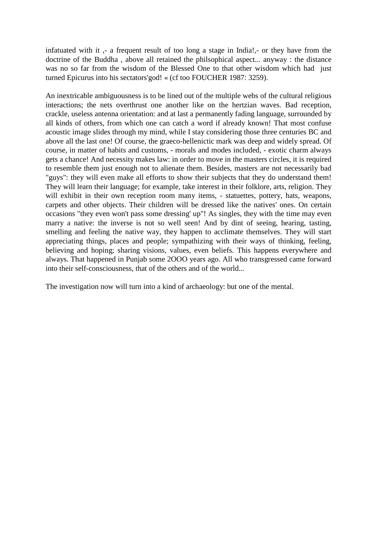infatuated with it ,- a frequent result of too long a stage in India!,- or they have from the doctrine of the Buddha , above all retained the philsophical aspect... anyway : the distance was no so far from the wisdom of the Blessed One to that other wisdom which had just turned Epicurus into his sectators'god! « (cf too FOUCHER 1987: 3259).

An inextricable ambiguousness is to be lined out of the multiple webs of the cultural religious interactions; the nets overthrust one another like on the hertzian waves. Bad reception, crackle, useless antenna orientation: and at last a permanently fading language, surrounded by all kinds of others, from which one can catch a word if already known! That most confuse acoustic image slides through my mind, while I stay considering those three centuries BC and above all the last one! Of course, the graeco-hellenictic mark was deep and widely spread. Of course, in matter of habits and customs, - morals and modes included, - exotic charm always gets a chance! And necessity makes law: in order to move in the masters circles, it is required to resemble them just enough not to alienate them. Besides, masters are not necessarily bad "guys": they will even make all efforts to show their subjects that they do understand them! They will learn their language; for example, take interest in their folklore, arts, religion. They will exhibit in their own reception room many items, - statuettes, pottery, hats, weapons, carpets and other objects. Their children will be dressed like the natives' ones. On certain occasions "they even won't pass some dressing' up"! As singles, they with the time may even marry a native: the inverse is not so well seen! And by dint of seeing, hearing, tasting, smelling and feeling the native way, they happen to acclimate themselves. They will start appreciating things, places and people; sympathizing with their ways of thinking, feeling, believing and hoping; sharing visions, values, even beliefs. This happens everywhere and always. That happened in Punjab some 2OOO years ago. All who transgressed came forward into their self-consciousness, that of the others and of the world...

The investigation now will turn into a kind of archaeology: but one of the mental.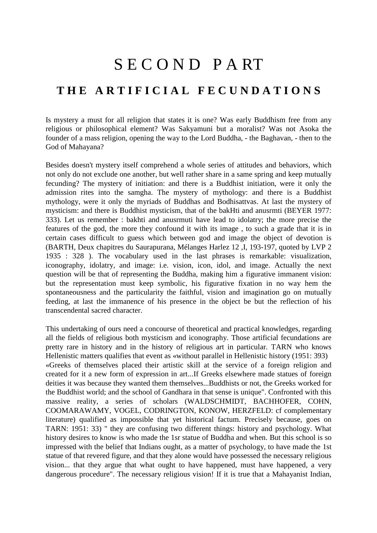### S E C O N D P A RT

### **T H E A R T I F I C I A L F E C U N D A T I O N S**

Is mystery a must for all religion that states it is one? Was early Buddhism free from any religious or philosophical element? Was Sakyamuni but a moralist? Was not Asoka the founder of a mass religion, opening the way to the Lord Buddha, - the Baghavan, - then to the God of Mahayana?

Besides doesn't mystery itself comprehend a whole series of attitudes and behaviors, which not only do not exclude one another, but well rather share in a same spring and keep mutually fecunding? The mystery of initiation: and there is a Buddhist initiation, were it only the admission rites into the samgha. The mystery of mythology: and there is a Buddhist mythology, were it only the myriads of Buddhas and Bodhisattvas. At last the mystery of mysticism: and there is Buddhist mysticism, that of the bakHti and anusrmti (BEYER 1977: 333). Let us remember : bakhti and anusrmuti have lead to idolatry; the more precise the features of the god, the more they confound it with its image , to such a grade that it is in certain cases difficult to guess which between god and image the object of devotion is (BARTH, Deux chapitres du Saurapurana, Mélanges Harlez 12 ,I, 193-197, quoted by LVP 2 1935 : 328 ). The vocabulary used in the last phrases is remarkable: visualization, iconography, idolatry, and image: i.e. vision, icon, idol, and image. Actually the next question will be that of representing the Buddha, making him a figurative immanent vision: but the representation must keep symbolic, his figurative fixation in no way hem the spontaneousness and the particularity the faithful, vision and imagination go on mutually feeding, at last the immanence of his presence in the object be but the reflection of his transcendental sacred character.

This undertaking of ours need a concourse of theoretical and practical knowledges, regarding all the fields of religious both mysticism and iconography. Those artificial fecundations are pretty rare in history and in the history of religious art in particular. TARN who knows Hellenistic matters qualifies that event as «without parallel in Hellenistic history (1951: 393) «Greeks of themselves placed their artistic skill at the service of a foreign religion and created for it a new form of expression in art...If Greeks elsewhere made statues of foreign deities it was because they wanted them themselves...Buddhists or not, the Greeks worked for the Buddhist world; and the school of Gandhara in that sense is unique". Confronted with this massive reality, a series of scholars (WALDSCHMIDT, BACHHOFER, COHN, COOMARAWAMY, VOGEL, CODRINGTON, KONOW, HERZFELD: cf complementary literature) qualified as impossible that yet historical factum. Precisely because, goes on TARN: 1951: 33) " they are confusing two different things: history and psychology. What history desires to know is who made the 1sr statue of Buddha and when. But this school is so impressed with the belief that Indians ought, as a matter of psychology, to have made the 1st statue of that revered figure, and that they alone would have possessed the necessary religious vision... that they argue that what ought to have happened, must have happened, a very dangerous procedure". The necessary religious vision! If it is true that a Mahayanist Indian,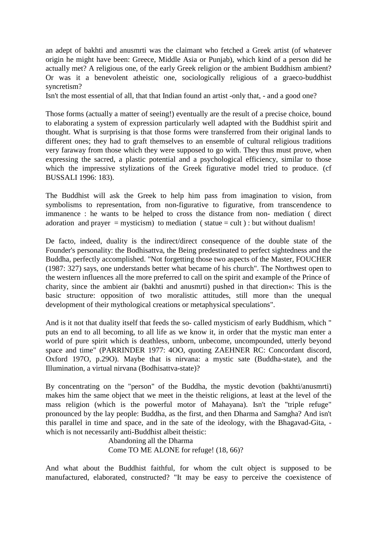an adept of bakhti and anusmrti was the claimant who fetched a Greek artist (of whatever origin he might have been: Greece, Middle Asia or Punjab), which kind of a person did he actually met? A religious one, of the early Greek religion or the ambient Buddhism ambient? Or was it a benevolent atheistic one, sociologically religious of a graeco-buddhist syncretism?

Isn't the most essential of all, that that Indian found an artist -only that, - and a good one?

Those forms (actually a matter of seeing!) eventually are the result of a precise choice, bound to elaborating a system of expression particularly well adapted with the Buddhist spirit and thought. What is surprising is that those forms were transferred from their original lands to different ones; they had to graft themselves to an ensemble of cultural religious traditions very faraway from those which they were supposed to go with. They thus must prove, when expressing the sacred, a plastic potential and a psychological efficiency, similar to those which the impressive stylizations of the Greek figurative model tried to produce. (cf BUSSALI 1996: 183).

The Buddhist will ask the Greek to help him pass from imagination to vision, from symbolisms to representation, from non-figurative to figurative, from transcendence to immanence : he wants to be helped to cross the distance from non- mediation ( direct adoration and prayer = mysticism) to mediation (statue = cult) : but without dualism!

De facto, indeed, duality is the indirect/direct consequence of the double state of the Founder's personality: the Bodhisattva, the Being predestinated to perfect sightedness and the Buddha, perfectly accomplished. "Not forgetting those two aspects of the Master, FOUCHER (1987: 327) says, one understands better what became of his church". The Northwest open to the western influences all the more preferred to call on the spirit and example of the Prince of charity, since the ambient air (bakhti and anusmrti) pushed in that direction»: This is the basic structure: opposition of two moralistic attitudes, still more than the unequal development of their mythological creations or metaphysical speculations".

And is it not that duality itself that feeds the so- called mysticism of early Buddhism, which " puts an end to all becoming, to all life as we know it, in order that the mystic man enter a world of pure spirit which is deathless, unborn, unbecome, uncompounded, utterly beyond space and time" (PARRINDER 1977: 4OO, quoting ZAEHNER RC: Concordant discord, Oxford 197O, p.29O). Maybe that is nirvana: a mystic sate (Buddha-state), and the Illumination, a virtual nirvana (Bodhisattva-state)?

By concentrating on the "person" of the Buddha, the mystic devotion (bakhti/anusmrti) makes him the same object that we meet in the theistic religions, at least at the level of the mass religion (which is the powerful motor of Mahayana). Isn't the "triple refuge" pronounced by the lay people: Buddha, as the first, and then Dharma and Samgha? And isn't this parallel in time and space, and in the sate of the ideology, with the Bhagavad-Gita, which is not necessarily anti-Buddhist albeit theistic:

 Abandoning all the Dharma Come TO ME ALONE for refuge! (18, 66)?

And what about the Buddhist faithful, for whom the cult object is supposed to be manufactured, elaborated, constructed? "It may be easy to perceive the coexistence of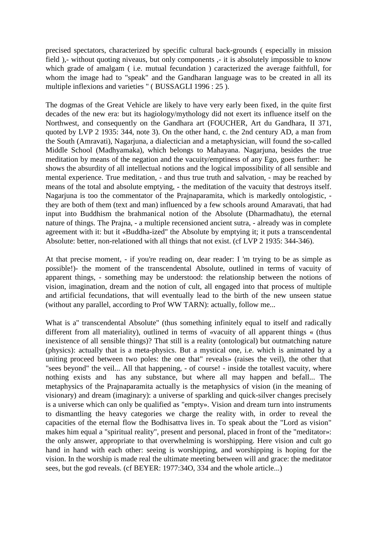precised spectators, characterized by specific cultural back-grounds ( especially in mission field ),- without quoting niveaus, but only components ,- it is absolutely impossible to know which grade of amalgam ( i.e. mutual fecundation ) caracterized the average faithfull, for whom the image had to "speak" and the Gandharan language was to be created in all its multiple inflexions and varieties " ( BUSSAGLI 1996 : 25 ).

The dogmas of the Great Vehicle are likely to have very early been fixed, in the quite first decades of the new era: but its hagiology/mythology did not exert its influence itself on the Northwest, and consequently on the Gandhara art (FOUCHER, Art du Gandhara, II 371, quoted by LVP 2 1935: 344, note 3). On the other hand, c. the 2nd century AD, a man from the South (Amravati), Nagarjuna, a dialectician and a metaphysician, will found the so-called Middle School (Madhyamaka), which belongs to Mahayana. Nagarjuna, besides the true meditation by means of the negation and the vacuity/emptiness of any Ego, goes further: he shows the absurdity of all intellectual notions and the logical impossibility of all sensible and mental experience. True meditation, - and thus true truth and salvation, - may be reached by means of the total and absolute emptying, - the meditation of the vacuity that destroys itself. Nagarjuna is too the commentator of the Prajnaparamita, which is markedly ontologistic, they are both of them (text and man) influenced by a few schools around Amaravati, that had input into Buddhism the brahmanical notion of the Absolute (Dharmadhatu), the eternal nature of things. The Prajna, - a multiple recensioned ancient sutra, - already was in complete agreement with it: but it «Buddha-ized" the Absolute by emptying it; it puts a transcendental Absolute: better, non-relationed with all things that not exist. (cf LVP 2 1935: 344-346).

At that precise moment, - if you're reading on, dear reader: I 'm trying to be as simple as possible!)- the moment of the transcendental Absolute, outlined in terms of vacuity of apparent things, - something may be understood: the relationship between the notions of vision, imagination, dream and the notion of cult, all engaged into that process of multiple and artificial fecundations, that will eventually lead to the birth of the new unseen statue (without any parallel, according to Prof WW TARN): actually, follow me...

What is a" transcendental Absolute" (thus something infinitely equal to itself and radically different from all materiality), outlined in terms of «vacuity of all apparent things « (thus inexistence of all sensible things)? That still is a reality (ontological) but outmatching nature (physics): actually that is a meta-physics. But a mystical one, i.e. which is animated by a uniting proceed between two poles: the one that" reveals» (raises the veil), the other that "sees beyond" the veil... All that happening, - of course! - inside the totallest vacuity, where nothing exists and has any substance, but where all may happen and befall... The metaphysics of the Prajnaparamita actually is the metaphysics of vision (in the meaning of visionary) and dream (imaginary): a universe of sparkling and quick-silver changes precisely is a universe which can only be qualified as "empty». Vision and dream turn into instruments to dismantling the heavy categories we charge the reality with, in order to reveal the capacities of the eternal flow the Bodhisattva lives in. To speak about the "Lord as vision" makes him equal a "spiritual reality", present and personal, placed in front of the "meditator»: the only answer, appropriate to that overwhelming is worshipping. Here vision and cult go hand in hand with each other: seeing is worshipping, and worshipping is hoping for the vision. In the worship is made real the ultimate meeting between will and grace: the meditator sees, but the god reveals. (cf BEYER: 1977:34O, 334 and the whole article...)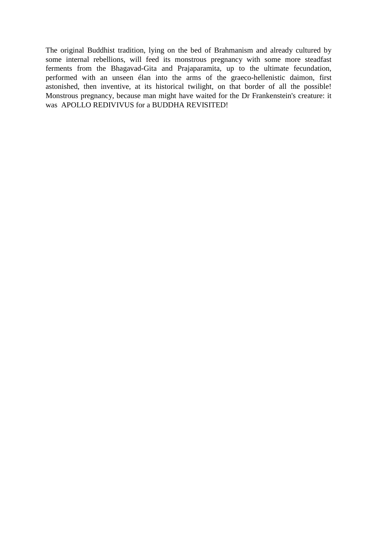The original Buddhist tradition, lying on the bed of Brahmanism and already cultured by some internal rebellions, will feed its monstrous pregnancy with some more steadfast ferments from the Bhagavad-Gita and Prajaparamita, up to the ultimate fecundation, performed with an unseen élan into the arms of the graeco-hellenistic daimon, first astonished, then inventive, at its historical twilight, on that border of all the possible! Monstrous pregnancy, because man might have waited for the Dr Frankenstein's creature: it was APOLLO REDIVIVUS for a BUDDHA REVISITED!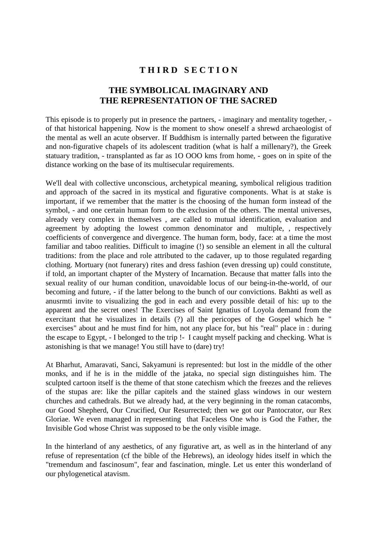# **T H I R D S E C T I O N**

### **THE SYMBOLICAL IMAGINARY AND THE REPRESENTATION OF THE SACRED**

This episode is to properly put in presence the partners, - imaginary and mentality together, of that historical happening. Now is the moment to show oneself a shrewd archaeologist of the mental as well an acute observer. If Buddhism is internally parted between the figurative and non-figurative chapels of its adolescent tradition (what is half a millenary?), the Greek statuary tradition, - transplanted as far as 1O OOO kms from home, - goes on in spite of the distance working on the base of its multisecular requirements.

We'll deal with collective unconscious, archetypical meaning, symbolical religious tradition and approach of the sacred in its mystical and figurative components. What is at stake is important, if we remember that the matter is the choosing of the human form instead of the symbol, - and one certain human form to the exclusion of the others. The mental universes, already very complex in themselves , are called to mutual identification, evaluation and agreement by adopting the lowest common denominator and multiple, , respectively coefficients of convergence and divergence. The human form, body, face: at a time the most familiar and taboo realities. Difficult to imagine (!) so sensible an element in all the cultural traditions: from the place and role attributed to the cadaver, up to those regulated regarding clothing. Mortuary (not funerary) rites and dress fashion (even dressing up) could constitute, if told, an important chapter of the Mystery of Incarnation. Because that matter falls into the sexual reality of our human condition, unavoidable locus of our being-in-the-world, of our becoming and future, - if the latter belong to the bunch of our convictions. Bakhti as well as anusrmti invite to visualizing the god in each and every possible detail of his: up to the apparent and the secret ones! The Exercises of Saint Ignatius of Loyola demand from the exercitant that he visualizes in details (?) all the pericopes of the Gospel which he " exercises" about and he must find for him, not any place for, but his "real" place in : during the escape to Egypt, - I belonged to the trip !- I caught myself packing and checking. What is astonishing is that we manage! You still have to (dare) try!

At Bharhut, Amaravati, Sanci, Sakyamuni is represented: but lost in the middle of the other monks, and if he is in the middle of the jataka, no special sign distinguishes him. The sculpted cartoon itself is the theme of that stone catechism which the freezes and the relieves of the stupas are: like the pillar capitels and the stained glass windows in our western churches and cathedrals. But we already had, at the very beginning in the roman catacombs, our Good Shepherd, Our Crucified, Our Resurrected; then we got our Pantocrator, our Rex Gloriae. We even managed in representing that Faceless One who is God the Father, the Invisible God whose Christ was supposed to be the only visible image.

In the hinterland of any aesthetics, of any figurative art, as well as in the hinterland of any refuse of representation (cf the bible of the Hebrews), an ideology hides itself in which the "tremendum and fascinosum", fear and fascination, mingle. Let us enter this wonderland of our phylogenetical atavism.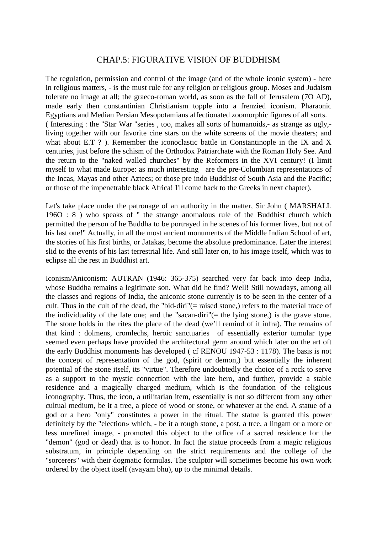#### CHAP.5: FIGURATIVE VISION OF BUDDHISM

The regulation, permission and control of the image (and of the whole iconic system) - here in religious matters, - is the must rule for any religion or religious group. Moses and Judaism tolerate no image at all; the graeco-roman world, as soon as the fall of Jerusalem (7O AD), made early then constantinian Christianism topple into a frenzied iconism. Pharaonic Egyptians and Median Persian Mesopotamians affectionated zoomorphic figures of all sorts. ( Interesting : the "Star War "series , too, makes all sorts of humanoids,- as strange as ugly, living together with our favorite cine stars on the white screens of the movie theaters; and what about E.T ?). Remember the iconoclastic battle in Constantinople in the IX and X centuries, just before the schism of the Orthodox Patriarchate with the Roman Holy See. And the return to the "naked walled churches" by the Reformers in the XVI century! (I limit myself to what made Europe: as much interesting are the pre-Columbian representations of the Incas, Mayas and other Aztecs; or those pre indo Buddhist of South Asia and the Pacific; or those of the impenetrable black Africa! I'll come back to the Greeks in next chapter).

Let's take place under the patronage of an authority in the matter, Sir John ( MARSHALL 196O : 8 ) who speaks of " the strange anomalous rule of the Buddhist church which permitted the person of he Buddha to be portrayed in he scenes of his former lives, but not of his last one!" Actually, in all the most ancient monuments of the Middle Indian School of art, the stories of his first births, or Jatakas, become the absolute predominance. Later the interest slid to the events of his last terrestrial life. And still later on, to his image itself, which was to eclipse all the rest in Buddhist art.

Iconism/Aniconism: AUTRAN (1946: 365-375) searched very far back into deep India, whose Buddha remains a legitimate son. What did he find? Well! Still nowadays, among all the classes and regions of India, the aniconic stone currently is to be seen in the center of a cult. Thus in the cult of the dead, the "bid-diri"(= raised stone,) refers to the material trace of the individuality of the late one; and the "sacan-diri"( $=$  the lying stone,) is the grave stone. The stone holds in the rites the place of the dead (we'll remind of it infra). The remains of that kind : dolmens, cromlechs, heroic sanctuaries of essentially exterior tumular type seemed even perhaps have provided the architectural germ around which later on the art oft the early Buddhist monuments has developed ( cf RENOU 1947-53 : 1178). The basis is not the concept of representation of the god, (spirit or demon,) but essentially the inherent potential of the stone itself, its "virtue". Therefore undoubtedly the choice of a rock to serve as a support to the mystic connection with the late hero, and further, provide a stable residence and a magically charged medium, which is the foundation of the religious iconography. Thus, the icon, a utilitarian item, essentially is not so different from any other cultual medium, be it a tree, a piece of wood or stone, or whatever at the end. A statue of a god or a hero "only" constitutes a power in the ritual. The statue is granted this power definitely by the "election» which, - be it a rough stone, a post, a tree, a lingam or a more or less unrefined image, - promoted this object to the office of a sacred residence for the "demon" (god or dead) that is to honor. In fact the statue proceeds from a magic religious substratum, in principle depending on the strict requirements and the college of the "sorcerers" with their dogmatic formulas. The sculptor will sometimes become his own work ordered by the object itself (avayam bhu), up to the minimal details.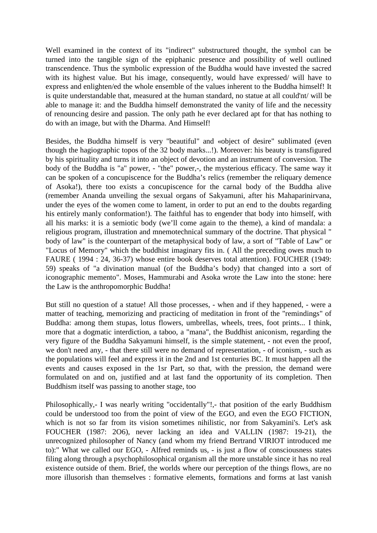Well examined in the context of its "indirect" substructured thought, the symbol can be turned into the tangible sign of the epiphanic presence and possibility of well outlined transcendence. Thus the symbolic expression of the Buddha would have invested the sacred with its highest value. But his image, consequently, would have expressed/ will have to express and enlighten/ed the whole ensemble of the values inherent to the Buddha himself! It is quite understandable that, measured at the human standard, no statue at all could'nt/ will be able to manage it: and the Buddha himself demonstrated the vanity of life and the necessity of renouncing desire and passion. The only path he ever declared apt for that has nothing to do with an image, but with the Dharma. And Himself!

Besides, the Buddha himself is very "beautiful" and «object of desire" sublimated (even though the hagiographic topos of the 32 body marks...!). Moreover: his beauty is transfigured by his spirituality and turns it into an object of devotion and an instrument of conversion. The body of the Buddha is "a" power, - "the" power,-, the mysterious efficacy. The same way it can be spoken of a concupiscence for the Buddha's relics (remember the reliquary demence of Asoka!), there too exists a concupiscence for the carnal body of the Buddha alive (remember Ananda unveiling the sexual organs of Sakyamuni, after his Mahaparinirvana, under the eyes of the women come to lament, in order to put an end to the doubts regarding his entirely manly conformation!). The faithful has to engender that body into himself, with all his marks: it is a semiotic body (we'll come again to the theme), a kind of mandala: a religious program, illustration and mnemotechnical summary of the doctrine. That physical " body of law" is the counterpart of the metaphysical body of law, a sort of "Table of Law" or "Locus of Memory" which the buddhist imaginary fits in. ( All the preceding owes much to FAURE ( 1994 : 24, 36-37) whose entire book deserves total attention). FOUCHER (1949: 59) speaks of "a divination manual (of the Buddha's body) that changed into a sort of iconographic memento". Moses, Hammurabi and Asoka wrote the Law into the stone: here the Law is the anthropomorphic Buddha!

But still no question of a statue! All those processes, - when and if they happened, - were a matter of teaching, memorizing and practicing of meditation in front of the "remindings" of Buddha: among them stupas, lotus flowers, umbrellas, wheels, trees, foot prints... I think, more that a dogmatic interdiction, a taboo, a "mana", the Buddhist aniconism, regarding the very figure of the Buddha Sakyamuni himself, is the simple statement, - not even the proof, we don't need any, - that there still were no demand of representation, - of iconism, - such as the populations will feel and express it in the 2nd and 1st centuries BC. It must happen all the events and causes exposed in the 1sr Part, so that, with the pression, the demand were formulated on and on, justified and at last fand the opportunity of its completion. Then Buddhism itself was passing to another stage, too

Philosophically, - I was nearly writing "occidentally"!, - that position of the early Buddhism could be understood too from the point of view of the EGO, and even the EGO FICTION, which is not so far from its vision sometimes nihilistic, nor from Sakyamini's. Let's ask FOUCHER (1987: 2O6), never lacking an idea and VALLIN (1987: 19-21), the unrecognized philosopher of Nancy (and whom my friend Bertrand VIRIOT introduced me to):" What we called our EGO, - Alfred reminds us, - is just a flow of consciousness states filing along through a psychophilosophical organism all the more unstable since it has no real existence outside of them. Brief, the worlds where our perception of the things flows, are no more illusorish than themselves : formative elements, formations and forms at last vanish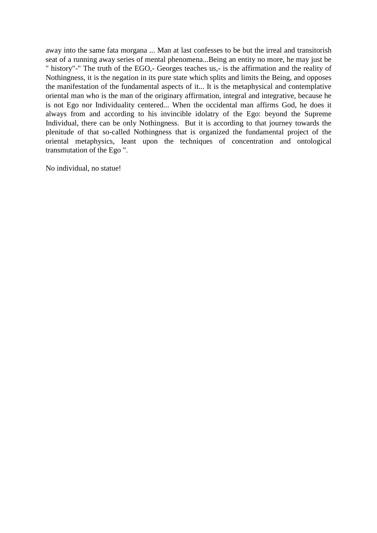away into the same fata morgana ... Man at last confesses to be but the irreal and transitorish seat of a running away series of mental phenomena...Being an entity no more, he may just be " history"-" The truth of the EGO,- Georges teaches us,- is the affirmation and the reality of Nothingness, it is the negation in its pure state which splits and limits the Being, and opposes the manifestation of the fundamental aspects of it... It is the metaphysical and contemplative oriental man who is the man of the originary affirmation, integral and integrative, because he is not Ego nor Individuality centered... When the occidental man affirms God, he does it always from and according to his invincible idolatry of the Ego: beyond the Supreme Individual, there can be only Nothingness. But it is according to that journey towards the plenitude of that so-called Nothingness that is organized the fundamental project of the oriental metaphysics, leant upon the techniques of concentration and ontological transmutation of the Ego ".

No individual, no statue!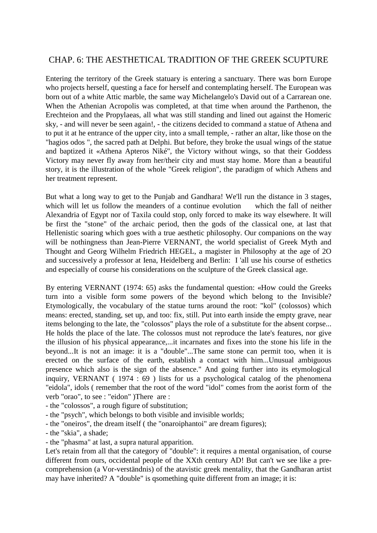# CHAP. 6: THE AESTHETICAL TRADITION OF THE GREEK SCUPTURE

Entering the territory of the Greek statuary is entering a sanctuary. There was born Europe who projects herself, questing a face for herself and contemplating herself. The European was born out of a white Attic marble, the same way Michelangelo's David out of a Carrarean one. When the Athenian Acropolis was completed, at that time when around the Parthenon, the Erechteion and the Propylaeas, all what was still standing and lined out against the Homeric sky, - and will never be seen again!, - the citizens decided to command a statue of Athena and to put it at he entrance of the upper city, into a small temple, - rather an altar, like those on the "hagios odos ", the sacred path at Delphi. But before, they broke the usual wings of the statue and baptized it «Athena Apteros Niké", the Victory without wings, so that their Goddess Victory may never fly away from her/their city and must stay home. More than a beautiful story, it is the illustration of the whole "Greek religion", the paradigm of which Athens and her treatment represent.

But what a long way to get to the Punjab and Gandhara! We'll run the distance in 3 stages, which will let us follow the meanders of a continue evolution which the fall of neither Alexandria of Egypt nor of Taxila could stop, only forced to make its way elsewhere. It will be first the "stone" of the archaic period, then the gods of the classical one, at last that Hellenistic soaring which goes with a true aesthetic philosophy. Our companions on the way will be nothingness than Jean-Pierre VERNANT, the world specialist of Greek Myth and Thought and Georg Wilhelm Friedrich HEGEL, a magister in Philosophy at the age of 2O and successively a professor at Iena, Heidelberg and Berlin: I 'all use his course of esthetics and especially of course his considerations on the sculpture of the Greek classical age.

By entering VERNANT (1974: 65) asks the fundamental question: «How could the Greeks turn into a visible form some powers of the beyond which belong to the Invisible? Etymologically, the vocabulary of the statue turns around the root: "kol" (colossos) which means: erected, standing, set up, and too: fix, still. Put into earth inside the empty grave, near items belonging to the late, the "colossos" plays the role of a substitute for the absent corpse... He holds the place of the late. The colossos must not reproduce the late's features, nor give the illusion of his physical appearance,...it incarnates and fixes into the stone his life in the beyond...It is not an image: it is a "double"...The same stone can permit too, when it is erected on the surface of the earth, establish a contact with him...Unusual ambiguous presence which also is the sign of the absence." And going further into its etymological inquiry, VERNANT ( 1974 : 69 ) lists for us a psychological catalog of the phenomena "eidola", idols ( remember that the root of the word "idol" comes from the aorist form of the verb "orao", to see : "eidon" )There are :

- the "colossos", a rough figure of substitution;
- the "psych", which belongs to both visible and invisible worlds;
- the "oneiros", the dream itself ( the "onaroiphantoi" are dream figures);
- the "skia", a shade;
- the "phasma" at last, a supra natural apparition.

Let's retain from all that the category of "double": it requires a mental organisation, of course different from ours, occidental people of the XXth century AD! But can't we see like a precomprehension (a Vor-verständnis) of the atavistic greek mentality, that the Gandharan artist may have inherited? A "double" is qsomething quite different from an image; it is: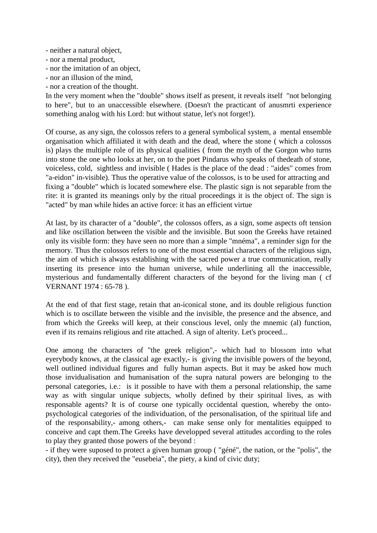- neither a natural object,
- nor a mental product,
- nor the imitation of an object,
- nor an illusion of the mind,
- nor a creation of the thought.

In the very moment when the "double" shows itself as present, it reveals itself "not belonging to here", but to an unaccessible elsewhere. (Doesn't the practicant of anusmrti experience something analog with his Lord: but without statue, let's not forget!).

Of course, as any sign, the colossos refers to a general symbolical system, a mental ensemble organisation which affiliated it with death and the dead, where the stone ( which a colossos is) plays the multiple role of its physical qualities ( from the myth of the Gorgon who turns into stone the one who looks at her, on to the poet Pindarus who speaks of thedeath of stone, voiceless, cold, sightless and invisible ( Hades is the place of the dead : "aides" comes from "a-eidon" in-visible). Thus the operative value of the colossos, is to be used for attracting and fixing a "double" which is located somewhere else. The plastic sign is not separable from the rite: it is granted its meanings only by the ritual proceedings it is the object of. The sign is "acted" by man while hides an active force: it has an efficient virtue

At last, by its character of a "double", the colossos offers, as a sign, some aspects oft tension and like oscillation between the visible and the invisible. But soon the Greeks have retained only its visible form: they have seen no more than a simple "mnéma", a reminder sign for the memory. Thus the colossos refers to one of the most essential characters of the religious sign, the aim of which is always establishing with the sacred power a true communication, really inserting its presence into the human universe, while underlining all the inaccessible, mysterious and fundamentally different characters of the beyond for the living man ( cf VERNANT 1974 : 65-78 ).

At the end of that first stage, retain that an-iconical stone, and its double religious function which is to oscillate between the visible and the invisible, the presence and the absence, and from which the Greeks will keep, at their conscious level, only the mnemic (al) function, even if its remains religious and rite attached. A sign of alterity. Let's proceed...

One among the characters of "the greek religion",- which had to blossom into what eyerybody knows, at the classical age exactly,- is giving the invisible powers of the beyond, well outlined individual figures and fully human aspects. But it may be asked how much those invidualisation and humanisation of the supra natural powers are belonging to the personal categories, i.e.: is it possible to have with them a personal relationship, the same way as with singular unique subjects, wholly defined by their spiritual lives, as with responsable agents? It is of course one typically occidental question, whereby the ontopsychological categories of the individuation, of the personalisation, of the spiritual life and of the responsability,- among others,- can make sense only for mentalities equipped to conceive and capt them.The Greeks have developped several attitudes according to the roles to play they granted those powers of the beyond :

- if they were suposed to protect a given human group ( "géné", the nation, or the "polis", the city), then they received the "eusebeia", the piety, a kind of civic duty;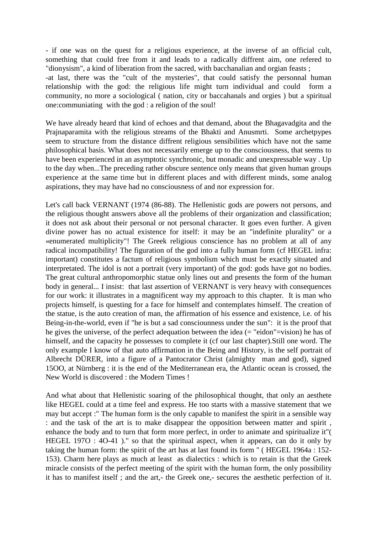- if one was on the quest for a religious experience, at the inverse of an official cult, something that could free from it and leads to a radically diffrent aim, one refered to "dionysism", a kind of liberation from the sacred, with bacchanalian and orgian feasts ;

-at last, there was the "cult of the mysteries", that could satisfy the personnal human relationship with the god: the religious life might turn individual and could form a community, no more a sociological ( nation, city or baccahanals and orgies ) but a spiritual one:communiating with the god : a religion of the soul!

We have already heard that kind of echoes and that demand, about the Bhagavadgita and the Prajnaparamita with the religious streams of the Bhakti and Anusmrti. Some archetpypes seem to structure from the distance diffrent religious sensibilities which have not the same philosophical basis. What does not necessarily emerge up to the consciousness, that seems to have been experienced in an asymptotic synchronic, but monadic and unexpressable way . Up to the day when...The preceding rather obscure sentence only means that given human groups experience at the same time but in different places and with different minds, some analog aspirations, they may have had no consciousness of and nor expression for.

Let's call back VERNANT (1974 (86-88). The Hellenistic gods are powers not persons, and the religious thought answers above all the problems of their organization and classification; it does not ask about their personal or not personal character. It goes even further. A given divine power has no actual existence for itself: it may be an "indefinite plurality" or a «enumerated multiplicity"! The Greek religious conscience has no problem at all of any radical incompatibility! The figuration of the god into a fully human form (cf HEGEL infra: important) constitutes a factum of religious symbolism which must be exactly situated and interpretated. The idol is not a portrait (very important) of the god: gods have got no bodies. The great cultural anthropomorphic statue only lines out and presents the form of the human body in general... I insist: that last assertion of VERNANT is very heavy with consequences for our work: it illustrates in a magnificent way my approach to this chapter. It is man who projects himself, is questing for a face for himself and contemplates himself. The creation of the statue, is the auto creation of man, the affirmation of his essence and existence, i.e. of his Being-in-the-world, even if "he is but a sad consciounness under the sun": it is the proof that he gives the universe, of the perfect adequation between the idea (= "eidon"=vision) he has of himself, and the capacity he possesses to complete it (cf our last chapter).Still one word. The only example I know of that auto affirmation in the Being and History, is the self portrait of Albrecht DÜRER, into a figure of a Pantocrator Christ (almighty man and god), signed 15OO, at Nürnberg : it is the end of the Mediterranean era, the Atlantic ocean is crossed, the New World is discovered : the Modern Times !

And what about that Hellenistic soaring of the philosophical thought, that only an aesthete like HEGEL could at a time feel and express. He too starts with a massive statement that we may but accept :" The human form is the only capable to manifest the spirit in a sensible way : and the task of the art is to make disappear the opposition between matter and spirit , enhance the body and to turn that form more perfect, in order to animate and spiritualize it"( HEGEL 197O : 4O-41 )." so that the spiritual aspect, when it appears, can do it only by taking the human form: the spirit of the art has at last found its form " ( HEGEL 1964a : 152- 153). Charm here plays as much at least as dialectics : which is to retain is that the Greek miracle consists of the perfect meeting of the spirit with the human form, the only possibility it has to manifest itself ; and the art,- the Greek one,- secures the aesthetic perfection of it.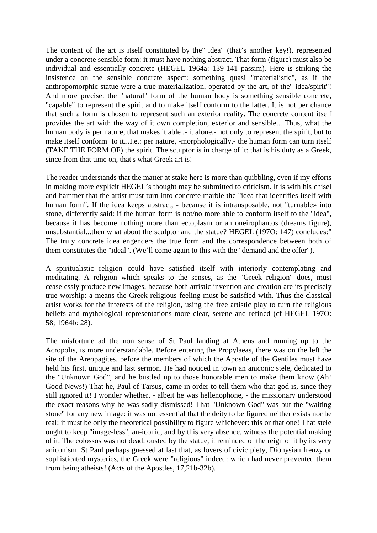The content of the art is itself constituted by the" idea" (that's another key!), represented under a concrete sensible form: it must have nothing abstract. That form (figure) must also be individual and essentially concrete (HEGEL 1964a: 139-141 passim). Here is striking the insistence on the sensible concrete aspect: something quasi "materialistic", as if the anthropomorphic statue were a true materialization, operated by the art, of the" idea/spirit"! And more precise: the "natural" form of the human body is something sensible concrete, "capable" to represent the spirit and to make itself conform to the latter. It is not per chance that such a form is chosen to represent such an exterior reality. The concrete content itself provides the art with the way of it own completion, exterior and sensible... Thus, what the human body is per nature, that makes it able  $\cdot$ - it alone,- not only to represent the spirit, but to make itself conform to it...I.e.: per nature, -morphologically,- the human form can turn itself (TAKE THE FORM OF) the spirit. The sculptor is in charge of it: that is his duty as a Greek, since from that time on, that's what Greek art is!

The reader understands that the matter at stake here is more than quibbling, even if my efforts in making more explicit HEGEL's thought may be submitted to criticism. It is with his chisel and hammer that the artist must turn into concrete marble the "idea that identifies itself with human form". If the idea keeps abstract, - because it is intransposable, not "turnable» into stone, differently said: if the human form is not/no more able to conform itself to the "idea", because it has become nothing more than ectoplasm or an oneirophantos (dreams figure), unsubstantial...then what about the sculptor and the statue? HEGEL (197O: 147) concludes:" The truly concrete idea engenders the true form and the correspondence between both of them constitutes the "ideal". (We'll come again to this with the "demand and the offer").

A spiritualistic religion could have satisfied itself with interiorly contemplating and meditating. A religion which speaks to the senses, as the "Greek religion" does, must ceaselessly produce new images, because both artistic invention and creation are its precisely true worship: a means the Greek religious feeling must be satisfied with. Thus the classical artist works for the interests of the religion, using the free artistic play to turn the religious beliefs and mythological representations more clear, serene and refined (cf HEGEL 197O: 58; 1964b: 28).

The misfortune ad the non sense of St Paul landing at Athens and running up to the Acropolis, is more understandable. Before entering the Propylaeas, there was on the left the site of the Areopagites, before the members of which the Apostle of the Gentiles must have held his first, unique and last sermon. He had noticed in town an aniconic stele, dedicated to the "Unknown God", and he bustled up to those honorable men to make them know (Ah! Good News!) That he, Paul of Tarsus, came in order to tell them who that god is, since they still ignored it! I wonder whether, - albeit he was hellenophone, - the missionary understood the exact reasons why he was sadly dismissed! That "Unknown God" was but the "waiting stone" for any new image: it was not essential that the deity to be figured neither exists nor be real; it must be only the theoretical possibility to figure whichever: this or that one! That stele ought to keep "image-less", an-iconic, and by this very absence, witness the potential making of it. The colossos was not dead: ousted by the statue, it reminded of the reign of it by its very aniconism. St Paul perhaps guessed at last that, as lovers of civic piety, Dionysian frenzy or sophisticated mysteries, the Greek were "religious" indeed: which had never prevented them from being atheists! (Acts of the Apostles, 17,21b-32b).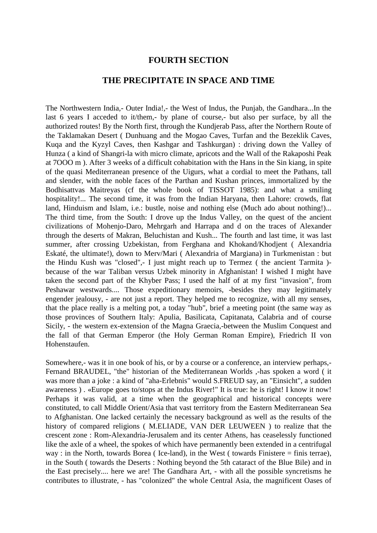#### **FOURTH SECTION**

#### **THE PRECIPITATE IN SPACE AND TIME**

The Northwestern India,- Outer India!,- the West of Indus, the Punjab, the Gandhara...In the last 6 years I acceded to it/them,- by plane of course,- but also per surface, by all the authorized routes! By the North first, through the Kundjerab Pass, after the Northern Route of the Taklamakan Desert ( Dunhuang and the Mogao Caves, Turfan and the Bezeklik Caves, Kuqa and the Kyzyl Caves, then Kashgar and Tashkurgan) : driving down the Valley of Hunza ( a kind of Shangri-la with micro climate, apricots and the Wall of the Rakaposhi Peak at 7OOO m ). After 3 weeks of a difficult cohabitation with the Hans in the Sin kiang, in spite of the quasi Mediterranean presence of the Uigurs, what a cordial to meet the Pathans, tall and slender, with the noble faces of the Parthan and Kushan princes, immortalized by the Bodhisattvas Maitreyas (cf the whole book of TISSOT 1985): and what a smiling hospitality!... The second time, it was from the Indian Haryana, then Lahore: crowds, flat land, Hinduism and Islam, i.e.: bustle, noise and nothing else (Much ado about nothing!)... The third time, from the South: I drove up the Indus Valley, on the quest of the ancient civilizations of Mohenjo-Daro, Mehrgarh and Harrapa and d on the traces of Alexander through the deserts of Makran, Beluchistan and Kush... The fourth and last time, it was last summer, after crossing Uzbekistan, from Ferghana and Khokand/Khodjent ( Alexandria Eskaté, the ultimate!), down to Merv/Mari ( Alexandria of Margiana) in Turkmenistan : but the Hindu Kush was "closed",- I just might reach up to Termez ( the ancient Tarmita ) because of the war Taliban versus Uzbek minority in Afghanistan! I wished I might have taken the second part of the Khyber Pass; I used the half of at my first "invasion", from Peshawar westwards.... Those expeditionary memoirs, -besides they may legitimately engender jealousy, - are not just a report. They helped me to recognize, with all my senses, that the place really is a melting pot, a today "hub", brief a meeting point (the same way as those provinces of Southern Italy: Apulia, Basilicata, Capitanata, Calabria and of course Sicily, - the western ex-extension of the Magna Graecia,-between the Muslim Conquest and the fall of that German Emperor (the Holy German Roman Empire), Friedrich II von Hohenstaufen.

Somewhere,- was it in one book of his, or by a course or a conference, an interview perhaps,- Fernand BRAUDEL, "the" historian of the Mediterranean Worlds ,-has spoken a word ( it was more than a joke : a kind of "aha-Erlebnis" would S.FREUD say, an "Einsicht", a sudden awareness ) . «Europe goes to/stops at the Indus River!" It is true: he is right! I know it now! Perhaps it was valid, at a time when the geographical and historical concepts were constituted, to call Middle Orient/Asia that vast territory from the Eastern Mediterranean Sea to Afghanistan. One lacked certainly the necessary background as well as the results of the history of compared religions ( M.ELIADE, VAN DER LEUWEEN ) to realize that the crescent zone : Rom-Alexandria-Jerusalem and its center Athens, has ceaselessly functioned like the axle of a wheel, the spokes of which have permanently been extended in a centrifugal way : in the North, towards Borea ( Ice-land), in the West ( towards Finistere = finis terrae), in the South ( towards the Deserts : Nothing beyond the 5th cataract of the Blue Bile) and in the East precisely.... here we are! The Gandhara Art, - with all the possible syncretisms he contributes to illustrate, - has "colonized" the whole Central Asia, the magnificent Oases of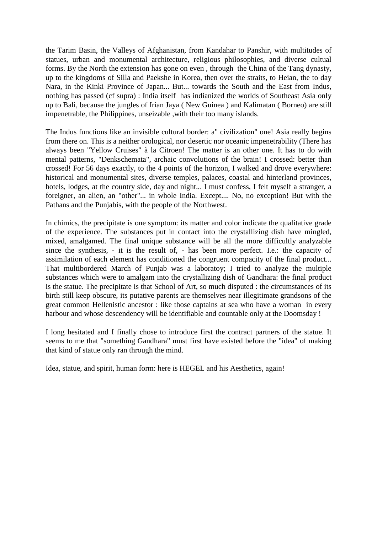the Tarim Basin, the Valleys of Afghanistan, from Kandahar to Panshir, with multitudes of statues, urban and monumental architecture, religious philosophies, and diverse cultual forms. By the North the extension has gone on even , through the China of the Tang dynasty, up to the kingdoms of Silla and Paekshe in Korea, then over the straits, to Heian, the to day Nara, in the Kinki Province of Japan... But... towards the South and the East from Indus, nothing has passed (cf supra) : India itself has indianized the worlds of Southeast Asia only up to Bali, because the jungles of Irian Jaya ( New Guinea ) and Kalimatan ( Borneo) are still impenetrable, the Philippines, unseizable ,with their too many islands.

The Indus functions like an invisible cultural border: a" civilization" one! Asia really begins from there on. This is a neither orological, nor desertic nor oceanic impenetrability (There has always been "Yellow Cruises" à la Citroen! The matter is an other one. It has to do with mental patterns, "Denkschemata", archaic convolutions of the brain! I crossed: better than crossed! For 56 days exactly, to the 4 points of the horizon, I walked and drove everywhere: historical and monumental sites, diverse temples, palaces, coastal and hinterland provinces, hotels, lodges, at the country side, day and night... I must confess, I felt myself a stranger, a foreigner, an alien, an "other"... in whole India. Except.... No, no exception! But with the Pathans and the Punjabis, with the people of the Northwest.

In chimics, the precipitate is one symptom: its matter and color indicate the qualitative grade of the experience. The substances put in contact into the crystallizing dish have mingled, mixed, amalgamed. The final unique substance will be all the more difficultly analyzable since the synthesis, - it is the result of, - has been more perfect. I.e.: the capacity of assimilation of each element has conditioned the congruent compacity of the final product... That multibordered March of Punjab was a laboratoy; I tried to analyze the multiple substances which were to amalgam into the crystallizing dish of Gandhara: the final product is the statue. The precipitate is that School of Art, so much disputed : the circumstances of its birth still keep obscure, its putative parents are themselves near illegitimate grandsons of the great common Hellenistic ancestor : like those captains at sea who have a woman in every harbour and whose descendency will be identifiable and countable only at the Doomsday !

I long hesitated and I finally chose to introduce first the contract partners of the statue. It seems to me that "something Gandhara" must first have existed before the "idea" of making that kind of statue only ran through the mind.

Idea, statue, and spirit, human form: here is HEGEL and his Aesthetics, again!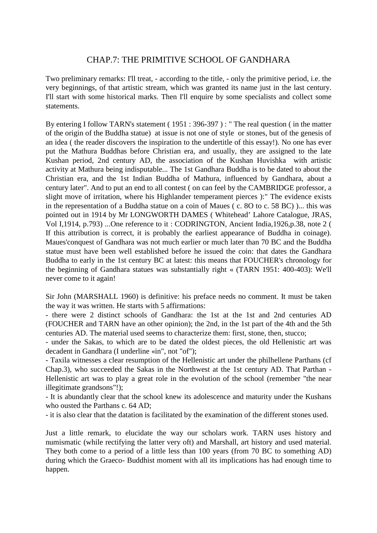# CHAP.7: THE PRIMITIVE SCHOOL OF GANDHARA

Two preliminary remarks: I'll treat, - according to the title, - only the primitive period, i.e. the very beginnings, of that artistic stream, which was granted its name just in the last century. I'll start with some historical marks. Then I'll enquire by some specialists and collect some statements.

By entering I follow TARN's statement (1951 : 396-397) : " The real question (in the matter of the origin of the Buddha statue) at issue is not one of style or stones, but of the genesis of an idea ( the reader discovers the inspiration to the undertitle of this essay!). No one has ever put the Mathura Buddhas before Christian era, and usually, they are assigned to the late Kushan period, 2nd century AD, the association of the Kushan Huvishka with artistic activity at Mathura being indisputable... The 1st Gandhara Buddha is to be dated to about the Christian era, and the 1st Indian Buddha of Mathura, influenced by Gandhara, about a century later". And to put an end to all contest ( on can feel by the CAMBRIDGE professor, a slight move of irritation, where his Highlander temperament pierces ):" The evidence exists in the representation of a Buddha statue on a coin of Maues ( c. 8O to c. 58 BC) )... this was pointed out in 1914 by Mr LONGWORTH DAMES ( Whitehead' Lahore Catalogue, JRAS, Vol I,1914, p.793) ...One reference to it : CODRINGTON, Ancient India,1926,p.38, note 2 ( If this attribution is correct, it is probably the earliest appearance of Buddha in coinage). Maues'conquest of Gandhara was not much earlier or much later than 70 BC and the Buddha statue must have been well established before he issued the coin: that dates the Gandhara Buddha to early in the 1st century BC at latest: this means that FOUCHER's chronology for the beginning of Gandhara statues was substantially right « (TARN 1951: 400-403): We'll never come to it again!

Sir John (MARSHALL 1960) is definitive: his preface needs no comment. It must be taken the way it was written. He starts with 5 affirmations:

- there were 2 distinct schools of Gandhara: the 1st at the 1st and 2nd centuries AD (FOUCHER and TARN have an other opinion); the 2nd, in the 1st part of the 4th and the 5th centuries AD. The material used seems to characterize them: first, stone, then, stucco;

- under the Sakas, to which are to be dated the oldest pieces, the old Hellenistic art was decadent in Gandhara (I underline «in", not "of");

- Taxila witnesses a clear resumption of the Hellenistic art under the philhellene Parthans (cf Chap.3), who succeeded the Sakas in the Northwest at the 1st century AD. That Parthan - Hellenistic art was to play a great role in the evolution of the school (remember "the near illegitimate grandsons"!);

- It is abundantly clear that the school knew its adolescence and maturity under the Kushans who ousted the Parthans c. 64 AD;

- it is also clear that the datation is facilitated by the examination of the different stones used.

Just a little remark, to elucidate the way our scholars work. TARN uses history and numismatic (while rectifying the latter very oft) and Marshall, art history and used material. They both come to a period of a little less than 100 years (from 70 BC to something AD) during which the Graeco- Buddhist moment with all its implications has had enough time to happen.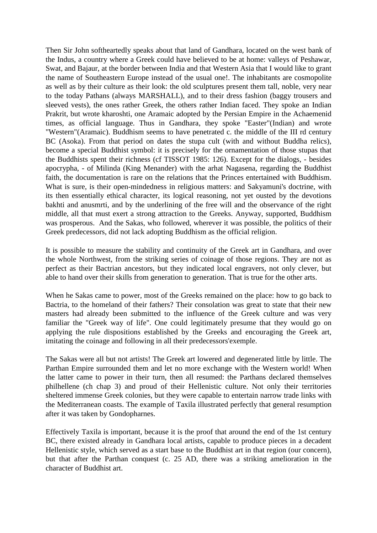Then Sir John softheartedly speaks about that land of Gandhara, located on the west bank of the Indus, a country where a Greek could have believed to be at home: valleys of Peshawar, Swat, and Bajaur, at the border between India and that Western Asia that I would like to grant the name of Southeastern Europe instead of the usual one!. The inhabitants are cosmopolite as well as by their culture as their look: the old sculptures present them tall, noble, very near to the today Pathans (always MARSHALL), and to their dress fashion (baggy trousers and sleeved vests), the ones rather Greek, the others rather Indian faced. They spoke an Indian Prakrit, but wrote kharoshti, one Aramaic adopted by the Persian Empire in the Achaemenid times, as official language. Thus in Gandhara, they spoke "Easter"(Indian) and wrote "Western"(Aramaic). Buddhism seems to have penetrated c. the middle of the III rd century BC (Asoka). From that period on dates the stupa cult (with and without Buddha relics), become a special Buddhist symbol: it is precisely for the ornamentation of those stupas that the Buddhists spent their richness (cf TISSOT 1985: 126). Except for the dialogs, - besides apocrypha, - of Milinda (King Menander) with the arhat Nagasena, regarding the Buddhist faith, the documentation is rare on the relations that the Princes entertained with Buddhism. What is sure, is their open-mindedness in religious matters: and Sakyamuni's doctrine, with its then essentially ethical character, its logical reasoning, not yet ousted by the devotions bakhti and anusmrti, and by the underlining of the free will and the observance of the right middle, all that must exert a strong attraction to the Greeks. Anyway, supported, Buddhism was prosperous. And the Sakas, who followed, wherever it was possible, the politics of their Greek predecessors, did not lack adopting Buddhism as the official religion.

It is possible to measure the stability and continuity of the Greek art in Gandhara, and over the whole Northwest, from the striking series of coinage of those regions. They are not as perfect as their Bactrian ancestors, but they indicated local engravers, not only clever, but able to hand over their skills from generation to generation. That is true for the other arts.

When he Sakas came to power, most of the Greeks remained on the place: how to go back to Bactria, to the homeland of their fathers? Their consolation was great to state that their new masters had already been submitted to the influence of the Greek culture and was very familiar the "Greek way of life". One could legitimately presume that they would go on applying the rule dispositions established by the Greeks and encouraging the Greek art, imitating the coinage and following in all their predecessors'exemple.

The Sakas were all but not artists! The Greek art lowered and degenerated little by little. The Parthan Empire surrounded them and let no more exchange with the Western world! When the latter came to power in their turn, then all resumed: the Parthans declared themselves philhellene (ch chap 3) and proud of their Hellenistic culture. Not only their territories sheltered immense Greek colonies, but they were capable to entertain narrow trade links with the Mediterranean coasts. The example of Taxila illustrated perfectly that general resumption after it was taken by Gondopharnes.

Effectively Taxila is important, because it is the proof that around the end of the 1st century BC, there existed already in Gandhara local artists, capable to produce pieces in a decadent Hellenistic style, which served as a start base to the Buddhist art in that region (our concern), but that after the Parthan conquest (c. 25 AD, there was a striking amelioration in the character of Buddhist art.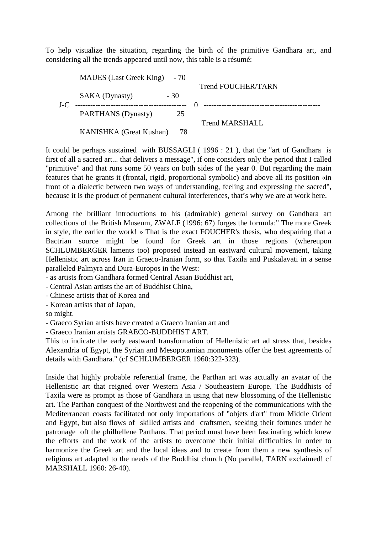To help visualize the situation, regarding the birth of the primitive Gandhara art, and considering all the trends appeared until now, this table is a résumé:

|      | MAUES (Last Greek King) - 70 |       |                                    |
|------|------------------------------|-------|------------------------------------|
|      |                              |       | <b>Trend FOUCHER/TARN</b>          |
|      | <b>SAKA</b> (Dynasty)        | $-30$ |                                    |
| J-C. |                              |       | ---------------------------------- |
|      | PARTHANS (Dynasty)           | 25    |                                    |
|      |                              |       | <b>Trend MARSHALL</b>              |
|      | KANISHKA (Great Kushan)      | -78   |                                    |

It could be perhaps sustained with BUSSAGLI ( 1996 : 21 ), that the "art of Gandhara is first of all a sacred art... that delivers a message", if one considers only the period that I called "primitive" and that runs some 50 years on both sides of the year 0. But regarding the main features that he grants it (frontal, rigid, proportional symbolic) and above all its position «in front of a dialectic between two ways of understanding, feeling and expressing the sacred", because it is the product of permanent cultural interferences, that's why we are at work here.

Among the brilliant introductions to his (admirable) general survey on Gandhara art collections of the British Museum, ZWALF (1996: 67) forges the formula:" The more Greek in style, the earlier the work! » That is the exact FOUCHER's thesis, who despairing that a Bactrian source might be found for Greek art in those regions (whereupon SCHLUMBERGER laments too) proposed instead an eastward cultural movement, taking Hellenistic art across Iran in Graeco-Iranian form, so that Taxila and Puskalavati in a sense paralleled Palmyra and Dura-Europos in the West:

- as artists from Gandhara formed Central Asian Buddhist art,

- Central Asian artists the art of Buddhist China,

- Chinese artists that of Korea and

- Korean artists that of Japan,

so might.

- Graeco Syrian artists have created a Graeco Iranian art and

- Graeco Iranian artists GRAECO-BUDDHIST ART.

This to indicate the early eastward transformation of Hellenistic art ad stress that, besides Alexandria of Egypt, the Syrian and Mesopotamian monuments offer the best agreements of details with Gandhara." (cf SCHLUMBERGER 1960:322-323).

Inside that highly probable referential frame, the Parthan art was actually an avatar of the Hellenistic art that reigned over Western Asia / Southeastern Europe. The Buddhists of Taxila were as prompt as those of Gandhara in using that new blossoming of the Hellenistic art. The Parthan conquest of the Northwest and the reopening of the communications with the Mediterranean coasts facilitated not only importations of "objets d'art" from Middle Orient and Egypt, but also flows of skilled artists and craftsmen, seeking their fortunes under he patronage oft the philhellene Parthans. That period must have been fascinating which knew the efforts and the work of the artists to overcome their initial difficulties in order to harmonize the Greek art and the local ideas and to create from them a new synthesis of religious art adapted to the needs of the Buddhist church (No parallel, TARN exclaimed! cf MARSHALL 1960: 26-40).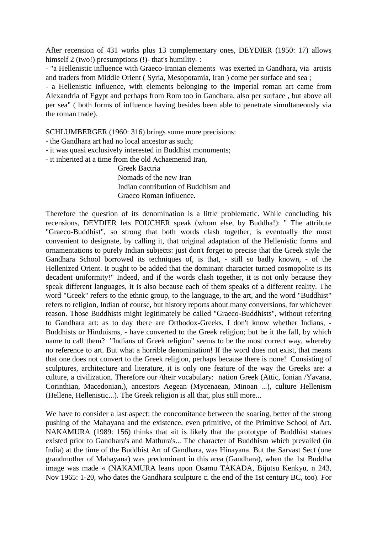After recension of 431 works plus 13 complementary ones, DEYDIER (1950: 17) allows himself 2 (two!) presumptions (!)- that's humility- :

- "a Hellenistic influence with Graeco-Iranian elements was exerted in Gandhara, via artists and traders from Middle Orient ( Syria, Mesopotamia, Iran ) come per surface and sea ;

- a Hellenistic influence, with elements belonging to the imperial roman art came from Alexandria of Egypt and perhaps from Rom too in Gandhara, also per surface , but above all per sea" ( both forms of influence having besides been able to penetrate simultaneously via the roman trade).

SCHLUMBERGER (1960: 316) brings some more precisions:

- the Gandhara art had no local ancestor as such;

- it was quasi exclusively interested in Buddhist monuments;

- it inherited at a time from the old Achaemenid Iran,

 Greek Bactria Nomads of the new Iran Indian contribution of Buddhism and Graeco Roman influence.

Therefore the question of its denomination is a little problematic. While concluding his recensions, DEYDIER lets FOUCHER speak (whom else, by Buddha!): " The attribute "Graeco-Buddhist", so strong that both words clash together, is eventually the most convenient to designate, by calling it, that original adaptation of the Hellenistic forms and ornamentations to purely Indian subjects: just don't forget to precise that the Greek style the Gandhara School borrowed its techniques of, is that, - still so badly known, - of the Hellenized Orient. It ought to be added that the dominant character turned cosmopolite is its decadent uniformity!" Indeed, and if the words clash together, it is not only because they speak different languages, it is also because each of them speaks of a different reality. The word "Greek" refers to the ethnic group, to the language, to the art, and the word "Buddhist" refers to religion, Indian of course, but history reports about many conversions, for whichever reason. Those Buddhists might legitimately be called "Graeco-Buddhists", without referring to Gandhara art: as to day there are Orthodox-Greeks. I don't know whether Indians, - Buddhists or Hinduisms, - have converted to the Greek religion; but be it the fall, by which name to call them? "Indians of Greek religion" seems to be the most correct way, whereby no reference to art. But what a horrible denomination! If the word does not exist, that means that one does not convert to the Greek religion, perhaps because there is none! Consisting of sculptures, architecture and literature, it is only one feature of the way the Greeks are: a culture, a civilization. Therefore our /their vocabulary: nation Greek (Attic, Ionian /Yavana, Corinthian, Macedonian,), ancestors Aegean (Mycenaean, Minoan ...), culture Hellenism (Hellene, Hellenistic...). The Greek religion is all that, plus still more...

We have to consider a last aspect: the concomitance between the soaring, better of the strong pushing of the Mahayana and the existence, even primitive, of the Primitive School of Art. NAKAMURA (1989: 156) thinks that «it is likely that the prototype of Buddhist statues existed prior to Gandhara's and Mathura's... The character of Buddhism which prevailed (in India) at the time of the Buddhist Art of Gandhara, was Hinayana. But the Sarvast Sect (one grandmother of Mahayana) was predominant in this area (Gandhara), when the 1st Buddha image was made « (NAKAMURA leans upon Osamu TAKADA, Bijutsu Kenkyu, n 243, Nov 1965: 1-20, who dates the Gandhara sculpture c. the end of the 1st century BC, too). For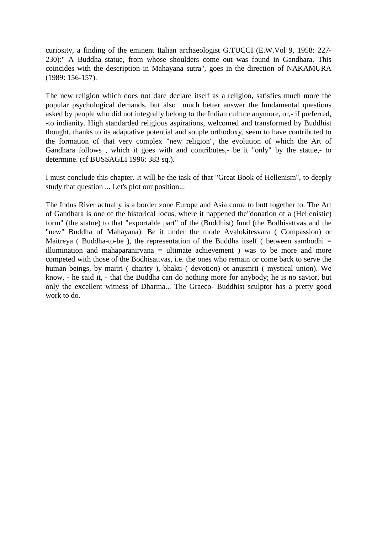curiosity, a finding of the eminent Italian archaeologist G.TUCCI (E.W.Vol 9, 1958: 227- 230):" A Buddha statue, from whose shoulders come out was found in Gandhara. This coincides with the description in Mahayana sutra", goes in the direction of NAKAMURA (1989: 156-157).

The new religion which does not dare declare itself as a religion, satisfies much more the popular psychological demands, but also much better answer the fundamental questions asked by people who did not integrally belong to the Indian culture anymore, or,- if preferred, -to indianity. High standarded religious aspirations, welcomed and transformed by Buddhist thought, thanks to its adaptative potential and souple orthodoxy, seem to have contributed to the formation of that very complex "new religion", the evolution of which the Art of Gandhara follows, which it goes with and contributes,- be it "only" by the statue,- to determine. (cf BUSSAGLI 1996: 383 sq.).

I must conclude this chapter. It will be the task of that "Great Book of Hellenism", to deeply study that question ... Let's plot our position...

The Indus River actually is a border zone Europe and Asia come to butt together to. The Art of Gandhara is one of the historical locus, where it happened the"donation of a (Hellenistic) form" (the statue) to that "exportable part" of the (Buddhist) fund (the Bodhisattvas and the "new" Buddha of Mahayana). Be it under the mode Avalokitesvara ( Compassion) or Maitreya ( Buddha-to-be ), the representation of the Buddha itself ( between sambodhi  $=$ illumination and mahaparanirvana = ultimate achievement ) was to be more and more competed with those of the Bodhisattvas, i.e. the ones who remain or come back to serve the human beings, by maitri ( charity ), bhakti ( devotion) ot anusmrti ( mystical union). We know, - he said it, - that the Buddha can do nothing more for anybody; he is no savior, but only the excellent witness of Dharma... The Graeco- Buddhist sculptor has a pretty good work to do.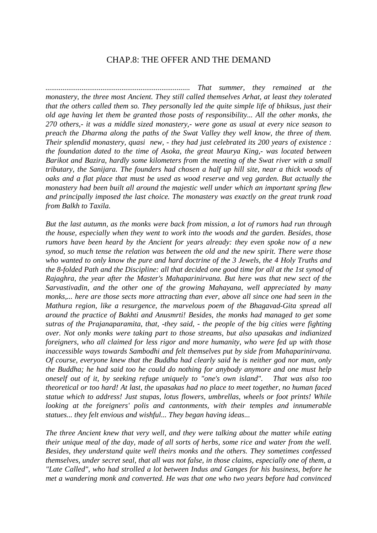#### CHAP.8: THE OFFER AND THE DEMAND

*............................................................................ That summer, they remained at the monastery, the three most Ancient. They still called themselves Arhat, at least they tolerated that the others called them so. They personally led the quite simple life of bhiksus, just their old age having let them be granted those posts of responsibility... All the other monks, the 270 others,- it was a middle sized monastery,- were gone as usual at every nice season to preach the Dharma along the paths of the Swat Valley they well know, the three of them. Their splendid monastery, quasi new, - they had just celebrated its 200 years of existence : the foundation dated to the time of Asoka, the great Maurya King,- was located between Barikot and Bazira, hardly some kilometers from the meeting of the Swat river with a small tributary, the Sanijara. The founders had chosen a half up hill site, near a thick woods of oaks and a flat place that must be used as wood reserve and veg garden. But actually the monastery had been built all around the majestic well under which an important spring flew and principally imposed the last choice. The monastery was exactly on the great trunk road from Balkh to Taxila.* 

*But the last autumn, as the monks were back from mission, a lot of rumors had run through the house, especially when they went to work into the woods and the garden. Besides, those rumors have been heard by the Ancient for years already: they even spoke now of a new synod, so much tense the relation was between the old and the new spirit. There were those who wanted to only know the pure and hard doctrine of the 3 Jewels, the 4 Holy Truths and the 8-folded Path and the Discipline: all that decided one good time for all at the 1st synod of Rajaghra, the year after the Master's Mahaparinirvana. But here was that new sect of the Sarvastivadin, and the other one of the growing Mahayana, well appreciated by many monks,... here are those sects more attracting than ever, above all since one had seen in the Mathura region, like a resurgence, the marvelous poem of the Bhagavad-Gita spread all around the practice of Bakhti and Anusmrti! Besides, the monks had managed to get some sutras of the Prajanaparamita, that, -they said, - the people of the big cities were fighting over. Not only monks were taking part to those streams, but also upasakas and indianized foreigners, who all claimed for less rigor and more humanity, who were fed up with those inaccessible ways towards Sambodhi and felt themselves put by side from Mahaparinirvana. Of course, everyone knew that the Buddha had clearly said he is neither god nor man, only the Buddha; he had said too he could do nothing for anybody anymore and one must help oneself out of it, by seeking refuge uniquely to "one's own island". That was also too theoretical or too hard! At last, the upasakas had no place to meet together, no human faced statue which to address! Just stupas, lotus flowers, umbrellas, wheels or foot prints! While looking at the foreigners' polis and cantonments, with their temples and innumerable statues... they felt envious and wishful... They began having ideas...* 

*The three Ancient knew that very well, and they were talking about the matter while eating their unique meal of the day, made of all sorts of herbs, some rice and water from the well. Besides, they understand quite well theirs monks and the others. They sometimes confessed themselves, under secret seal, that all was not false, in those claims, especially one of them, a "Late Called", who had strolled a lot between Indus and Ganges for his business, before he met a wandering monk and converted. He was that one who two years before had convinced*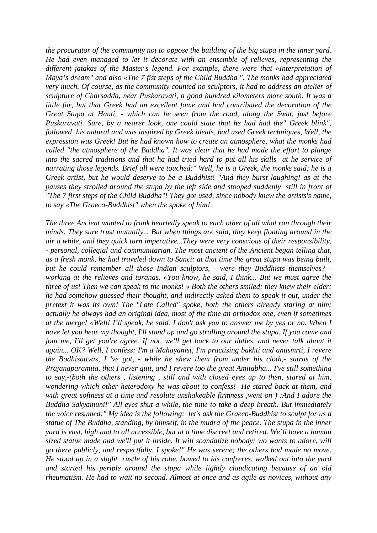*the procurator of the community not to oppose the building of the big stupa in the inner yard. He had even managed to let it decorate with an ensemble of relieves, representing the different jatakas of the Master's legend. For example, there were that «Interpretation of Maya's dream" and also «The 7 fist steps of the Child Buddha ". The monks had appreciated very much. Of course, as the community counted no sculptors, it had to address an atelier of sculpture of Charsadda, near Puskaravati, a good hundred kilometers more south. It was a little far, but that Greek had an excellent fame and had contributed the decoration of the Great Stupa at Hauti, - which can be seen from the road, along the Swat, just before Puskaravati. Sure, by a nearer look, one could state that he had had the" Greek blink", followed his natural and was inspired by Greek ideals, had used Greek techniques, Well, the expression was Greek! But he had known how to create an atmosphere, what the monks had called "the atmosphere of the Buddha". It was clear that he had made the effort to plunge into the sacred traditions and that ha had tried hard to put all his skills at he service of narrating those legends. Brief all were touched:" Well, he is a Greek, the monks said; he is a Greek artist, but he would deserve to be a Buddhist! "And they burst laughing! as at the pauses they strolled around the stupa by the left side and stooped suddenly still in front of "The 7 first steps of the Child Buddha"! They got used, since nobody knew the artists's name, to say «The Graeco-Buddhist" when the spoke of him!*

*The three Ancient wanted to frank heartedly speak to each other of all what ran through their minds. They sure trust mutually... But when things are said, they keep floating around in the air a while, and they quick turn imperative...They were very conscious of their responsibility, - personal, collegial and communitarian. The most ancient of the Ancient began telling that, as a fresh monk, he had traveled down to Sanci: at that time the great stupa was being built, but he could remember all those Indian sculptors, - were they Buddhists themselves? working at the relieves and toranas. «You know, he said, I think... But we must agree the three of us! Then we can speak to the monks! » Both the others smiled: they knew their elder: he had somehow guessed their thought, and indirectly asked them to speak it out, under the pretext it was its own! The "Late Called" spoke, both the others already staring at him: actually he always had an original idea, most of the time an orthodox one, even if sometimes at the merge! «Well! I'll speak, he said. I don't ask you to answer me by yes or no. When I have let you hear my thought, I'll stand up and go strolling around the stupa. If you come and join me, I'll get you're agree. If not, we'll get back to our duties, and never talk about it again... OK? Well, I confess: I'm a Mahayanist, I'm practising bakhti and anusmrti, I revere the Bodhisattvas, I 've got, - while he shew them from under his cloth,- sutras of the Prajanaparamita, that I never quit, and I revere too the great Amitabha... I've still something to say,-(both the others , listening , still and with closed eyes up to then, stared at him, wondering which other heterodoxy he was about to confess!- He stared back at them, and with great softness at a time and resolute unshakeable firmness ,went on ) :And I adore the Buddha Sakyamuni!" All eyes shut a while, the time to take a deep breath. But immediately the voice resumed:" My idea is the following: let's ask the Graeco-Buddhist to sculpt for us a statue of The Buddha, standing, by himself, in the mudra of the peace. The stupa in the inner yard is vast, high and to all accessible, but at a time discreet and retired. We'll have a human sized statue made and we'll put it inside. It will scandalize nobody: wo wants to adore, will go there publicly, and respectfully. I spoke!" He was serene; the others had made no move. He stood up in a slight rustle of his robe, bowed to his confreres, walked out into the yard and started his periple around the stupa while lightly claudicating because of an old rheumatism. He had to wait no second. Almost at once and as agile as novices, without any*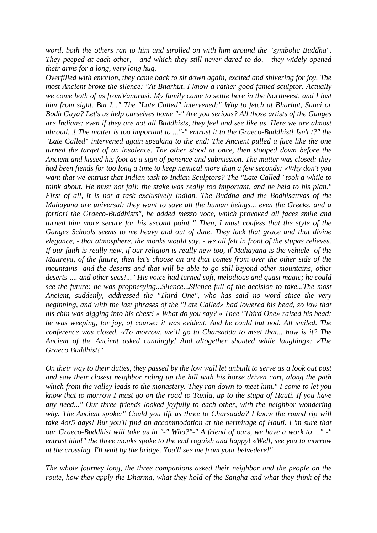*word, both the others ran to him and strolled on with him around the "symbolic Buddha". They peeped at each other, - and which they still never dared to do, - they widely opened their arms for a long, very long hug.* 

*Overfilled with emotion, they came back to sit down again, excited and shivering for joy. The most Ancient broke the silence: "At Bharhut, I know a rather good famed sculptor. Actually we come both of us fromVanarasi. My family came to settle here in the Northwest, and I lost him from sight. But I..." The "Late Called" intervened:" Why to fetch at Bharhut, Sanci or Bodh Gaya? Let's us help ourselves home "-" Are you serious? All those artists of the Ganges are Indians: even if they are not all Buddhists, they feel and see like us. Here we are almost abroad...! The matter is too important to ..."-" entrust it to the Graeco-Buddhist! Isn't t?" the "Late Called" intervened again speaking to the end! The Ancient pulled a face like the one turned the target of an insolence. The other stood at once, then stooped down before the Ancient and kissed his foot as a sign of penence and submission. The matter was closed: they had been fiends for too long a time to keep nemical more than a few seconds: «Why don't you want that we entrust that Indian task to Indian Sculptors? The "Late Called "took a while to think about. He must not fail: the stake was really too important, and he held to his plan." First of all, it is not a task exclusively Indian. The Buddha and the Bodhisattvas of the Mahayana are universal: they want to save all the human beings... even the Greeks, and a fortiori the Graeco-Buddhists", he added mezzo voce, which provoked all faces smile and turned him more secure for his second point " Then, I must confess that the style of the Ganges Schools seems to me heavy and out of date. They lack that grace and that divine elegance, - that atmosphere, the monks would say, - we all felt in front of the stupas relieves. If our faith is really new, if our religion is really new too, if Mahayana is the vehicle of the Maitreya, of the future, then let's choose an art that comes from over the other side of the mountains and the deserts and that will be able to go still beyond other mountains, other deserts-.... and other seas!..." His voice had turned soft, melodious and quasi magic; he could see the future: he was prophesying...Silence...Silence full of the decision to take...The most Ancient, suddenly, addressed the "Third One", who has said no word since the very beginning, and with the last phrases of the "Late Called» had lowered his head, so low that his chin was digging into his chest! » What do you say? » Thee "Third One» raised his head: he was weeping, for joy, of course: it was evident. And he could but nod. All smiled. The conference was closed. «To morrow, we'll go to Charsadda to meet that... how is it? The Ancient of the Ancient asked cunningly! And altogether shouted while laughing»: «The Graeco Buddhist!"* 

*On their way to their duties, they passed by the low wall let unbuilt to serve as a look out post and saw their closest neighbor riding up the hill with his horse driven cart, along the path which from the valley leads to the monastery. They ran down to meet him." I come to let you know that to morrow I must go on the road to Taxila, up to the stupa of Hauti. If you have any need..." Our three friends looked joyfully to each other, with the neighbor wondering why. The Ancient spoke:" Could you lift us three to Charsadda? I know the round rip will take 4or5 days! But you'll find an accommodation at the hermitage of Hauti. I 'm sure that our Graeco-Buddhist will take us in "-" Who?"-" A friend of ours, we have a work to ..." -" entrust him!" the three monks spoke to the end roguish and happy! «Well, see you to morrow at the crossing. I'll wait by the bridge. You'll see me from your belvedere!"* 

*The whole journey long, the three companions asked their neighbor and the people on the route, how they apply the Dharma, what they hold of the Sangha and what they think of the*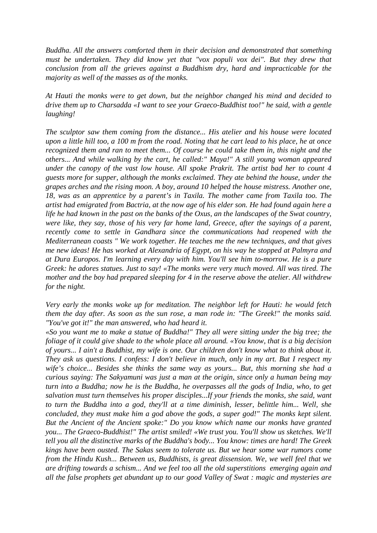*Buddha. All the answers comforted them in their decision and demonstrated that something must be undertaken. They did know yet that "vox populi vox dei". But they drew that conclusion from all the grieves against a Buddhism dry, hard and impracticable for the majority as well of the masses as of the monks.* 

*At Hauti the monks were to get down, but the neighbor changed his mind and decided to drive them up to Charsadda «I want to see your Graeco-Buddhist too!" he said, with a gentle laughing!* 

*The sculptor saw them coming from the distance... His atelier and his house were located upon a little hill too, a 100 m from the road. Noting that he cart lead to his place, he at once recognized them and ran to meet them... Of course he could take them in, this night and the others... And while walking by the cart, he called:" Maya!" A still young woman appeared under the canopy of the vast low house. All spoke Prakrit. The artist bad her to count 4 guests more for supper, although the monks exclaimed. They ate behind the house, under the grapes arches and the rising moon. A boy, around 10 helped the house mistress. Another one, 18, was as an apprentice by a parent's in Taxila. The mother came from Taxila too. The artist had emigrated from Bactria, at the now age of his elder son. He had found again here a life he had known in the past on the banks of the Oxus, an the landscapes of the Swat country, were like, they say, those of his very far home land, Greece, after the sayings of a parent, recently come to settle in Gandhara since the communications had reopened with the Mediterranean coasts " We work together. He teaches me the new techniques, and that gives me new ideas! He has worked at Alexandria of Egypt, on his way he stopped at Palmyra and at Dura Europos. I'm learning every day with him. You'll see him to-morrow. He is a pure Greek: he adores statues. Just to say! «The monks were very much moved. All was tired. The mother and the boy had prepared sleeping for 4 in the reserve above the atelier. All withdrew for the night.* 

*Very early the monks woke up for meditation. The neighbor left for Hauti: he would fetch them the day after. As soon as the sun rose, a man rode in: "The Greek!" the monks said. "You've got it!" the man answered, who had heard it.* 

*«So you want me to make a statue of Buddha!" They all were sitting under the big tree; the foliage of it could give shade to the whole place all around. «You know, that is a big decision of yours... I ain't a Buddhist, my wife is one. Our children don't know what to think about it. They ask us questions. I confess: I don't believe in much, only in my art. But I respect my wife's choice... Besides she thinks the same way as yours... But, this morning she had a curious saying: The Sakyamuni was just a man at the origin, since only a human being may turn into a Buddha; now he is the Buddha, he overpasses all the gods of India, who, to get salvation must turn themselves his proper disciples...If your friends the monks, she said, want to turn the Buddha into a god, they'll at a time diminish, lesser, belittle him... Well, she concluded, they must make him a god above the gods, a super god!" The monks kept silent. But the Ancient of the Ancient spoke:" Do you know which name our monks have granted you... The Graeco-Buddhist!" The artist smiled! «We trust you. You'll show us sketches. We'll tell you all the distinctive marks of the Buddha's body... You know: times are hard! The Greek kings have been ousted. The Sakas seem to tolerate us. But we hear some war rumors come from the Hindu Kush... Between us, Buddhists, is great dissension. We, we well feel that we are drifting towards a schism... And we feel too all the old superstitions emerging again and all the false prophets get abundant up to our good Valley of Swat : magic and mysteries are*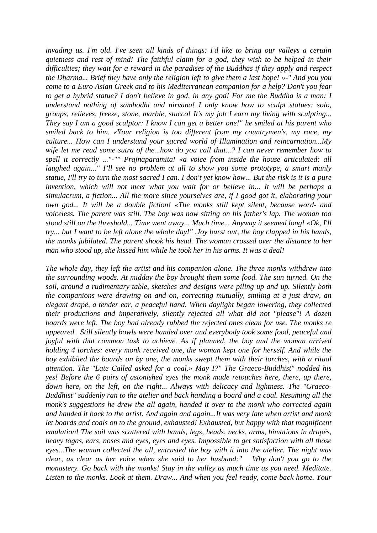*invading us. I'm old. I've seen all kinds of things: I'd like to bring our valleys a certain quietness and rest of mind! The faithful claim for a god, they wish to be helped in their difficulties; they wait for a reward in the paradises of the Buddhas if they apply and respect the Dharma... Brief they have only the religion left to give them a last hope! »-" And you you come to a Euro Asian Greek and to his Mediterranean companion for a help? Don't you fear to get a hybrid statue? I don't believe in god, in any god! For me the Buddha is a man: I understand nothing of sambodhi and nirvana! I only know how to sculpt statues: solo, groups, relieves, freeze, stone, marble, stucco! It's my job I earn my living with sculpting... They say I am a good sculptor: I know I can get a better one!" he smiled at his parent who smiled back to him. «Your religion is too different from my countrymen's, my race, my culture... How can I understand your sacred world of Illumination and reincarnation...My wife let me read some sutra of the...how do you call that...? I can never remember how to spell it correctly ..."-"" Prajnaparamita! «a voice from inside the house articulated: all laughed again..." I'll see no problem at all to show you some prototype, a smart manly statue, I'll try to turn the most sacred I can. I don't yet know how... But the risk is it is a pure invention, which will not meet what you wait for or believe in... It will be perhaps a simulacrum, a fiction... All the more since yourselves are, if I good got it, elaborating your own god... It will be a double fiction! «The monks still kept silent, because word- and voiceless. The parent was still. The boy was now sitting on his father's lap. The woman too stood still on the threshold... Time went away... Much time... Anyway it seemed long! «Ok, I'll try... but I want to be left alone the whole day!" .Joy burst out, the boy clapped in his hands, the monks jubilated. The parent shook his head. The woman crossed over the distance to her man who stood up, she kissed him while he took her in his arms. It was a deal!* 

*The whole day, they left the artist and his companion alone. The three monks withdrew into the surrounding woods. At midday the boy brought them some food. The sun turned. On the soil, around a rudimentary table, sketches and designs were piling up and up. Silently both the companions were drawing on and on, correcting mutually, smiling at a just draw, an elegant drapé, a tender ear, a peaceful hand. When daylight began lowering, they collected their productions and imperatively, silently rejected all what did not "please"! A dozen boards were left. The boy had already rubbed the rejected ones clean for use. The monks re appeared. Still silently bowls were handed over and everybody took some food, peaceful and joyful with that common task to achieve. As if planned, the boy and the woman arrived holding 4 torches: every monk received one, the woman kept one for herself. And while the boy exhibited the boards on by one, the monks swept them with their torches, with a ritual attention. The "Late Called asked for a coal.» May I?" The Graeco-Buddhist" nodded his yes! Before the 6 pairs of astonished eyes the monk made retouches here, there, up there, down here, on the left, on the right... Always with delicacy and lightness. The "Graeco-Buddhist" suddenly ran to the atelier and back handing a board and a coal. Resuming all the monk's suggestions he drew the all again, handed it over to the monk who corrected again and handed it back to the artist. And again and again...It was very late when artist and monk let boards and coals on to the ground, exhausted! Exhausted, but happy with that magnificent emulation! The soil was scattered with hands, legs, heads, necks, arms, himations in drapés, heavy togas, ears, noses and eyes, eyes and eyes. Impossible to get satisfaction with all those eyes...The woman collected the all, entrusted the boy with it into the atelier. The night was clear, as clear as her voice when she said to her husband:" Why don't you go to the monastery. Go back with the monks! Stay in the valley as much time as you need. Meditate. Listen to the monks. Look at them. Draw... And when you feel ready, come back home. Your*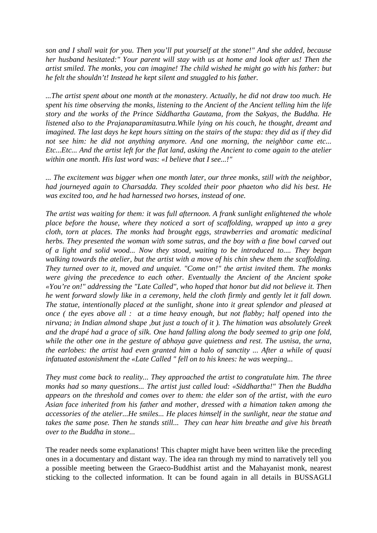*son and I shall wait for you. Then you'll put yourself at the stone!" And she added, because her husband hesitated:" Your parent will stay with us at home and look after us! Then the artist smiled. The monks, you can imagine! The child wished he might go with his father: but he felt the shouldn't! Instead he kept silent and snuggled to his father.* 

*...The artist spent about one month at the monastery. Actually, he did not draw too much. He spent his time observing the monks, listening to the Ancient of the Ancient telling him the life story and the works of the Prince Siddhartha Gautama, from the Sakyas, the Buddha. He listened also to the Prajanaparamitasutra.While lying on his couch, he thought, dreamt and imagined. The last days he kept hours sitting on the stairs of the stupa: they did as if they did not see him: he did not anything anymore. And one morning, the neighbor came etc... Etc...Etc... And the artist left for the flat land, asking the Ancient to come again to the atelier within one month. His last word was: «I believe that I see...!"* 

*... The excitement was bigger when one month later, our three monks, still with the neighbor, had journeyed again to Charsadda. They scolded their poor phaeton who did his best. He was excited too, and he had harnessed two horses, instead of one.* 

*The artist was waiting for them: it was full afternoon. A frank sunlight enlightened the whole place before the house, where they noticed a sort of scaffolding, wrapped up into a grey cloth, torn at places. The monks had brought eggs, strawberries and aromatic medicinal herbs. They presented the woman with some sutras, and the boy with a fine bowl carved out of a light and solid wood... Now they stood, waiting to be introduced to.... They began walking towards the atelier, but the artist with a move of his chin shew them the scaffolding. They turned over to it, moved and unquiet. "Come on!" the artist invited them. The monks were giving the precedence to each other. Eventually the Ancient of the Ancient spoke «You're on!" addressing the "Late Called", who hoped that honor but did not believe it. Then he went forward slowly like in a ceremony, held the cloth firmly and gently let it fall down. The statue, intentionally placed at the sunlight, shone into it great splendor and pleased at once ( the eyes above all : at a time heavy enough, but not flabby; half opened into the nirvana; in Indian almond shape ,but just a touch of it ). The himation was absolutely Greek and the drapé had a grace of silk. One hand falling along the body seemed to grip one fold, while the other one in the gesture of abhaya gave quietness and rest. The usnisa, the urna, the earlobes: the artist had even granted him a halo of sanctity ... After a while of quasi infatuated astonishment the «Late Called " fell on to his knees: he was weeping...* 

*They must come back to reality... They approached the artist to congratulate him. The three monks had so many questions... The artist just called loud: «Siddhartha!" Then the Buddha appears on the threshold and comes over to them: the elder son of the artist, with the euro Asian face inherited from his father and mother, dressed with a himation taken among the accessories of the atelier...He smiles... He places himself in the sunlight, near the statue and takes the same pose. Then he stands still... They can hear him breathe and give his breath over to the Buddha in stone...* 

The reader needs some explanations! This chapter might have been written like the preceding ones in a documentary and distant way. The idea ran through my mind to narratively tell you a possible meeting between the Graeco-Buddhist artist and the Mahayanist monk, nearest sticking to the collected information. It can be found again in all details in BUSSAGLI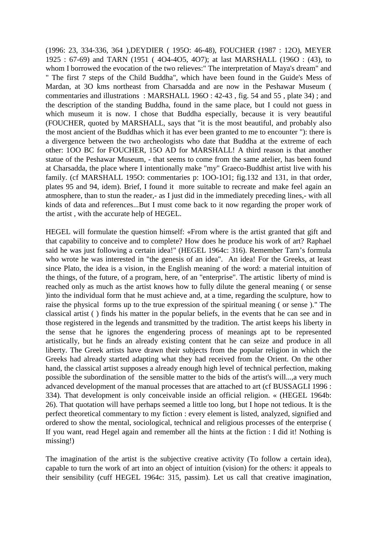(1996: 23, 334-336, 364 ),DEYDIER ( 195O: 46-48), FOUCHER (1987 : 12O), MEYER 1925 : 67-69) and TARN (1951 ( 4O4-4O5, 4O7); at last MARSHALL (196O : (43), to whom I borrowed the evocation of the two relieves:" The interpretation of Maya's dream" and " The first 7 steps of the Child Buddha", which have been found in the Guide's Mess of Mardan, at 3O kms northeast from Charsadda and are now in the Peshawar Museum ( commentaries and illustrations : MARSHALL 196O : 42-43 , fig. 54 and 55 , plate 34) ; and the description of the standing Buddha, found in the same place, but I could not guess in which museum it is now. I chose that Buddha especially, because it is very beautiful (FOUCHER, quoted by MARSHALL, says that "it is the most beautiful, and probably also the most ancient of the Buddhas which it has ever been granted to me to encounter "): there is a divergence between the two archeologists who date that Buddha at the extreme of each other: 1OO BC for FOUCHER, 15O AD for MARSHALL! A third reason is that another statue of the Peshawar Museum, - that seems to come from the same atelier, has been found at Charsadda, the place where I intentionally make "my" Graeco-Buddhist artist live with his family. (cf MARSHALL 1950: commentaries p: 100-101; fig.132 and 131, in that order, plates 95 and 94, idem). Brief, I found it more suitable to recreate and make feel again an atmosphere, than to stun the reader,- as I just did in the immediately preceding lines,- with all kinds of data and references...But I must come back to it now regarding the proper work of the artist , with the accurate help of HEGEL.

HEGEL will formulate the question himself: «From where is the artist granted that gift and that capability to conceive and to complete? How does he produce his work of art? Raphael said he was just following a certain idea!" (HEGEL 1964c: 316). Remember Tarn's formula who wrote he was interested in "the genesis of an idea". An idea! For the Greeks, at least since Plato, the idea is a vision, in the English meaning of the word: a material intuition of the things, of the future, of a program, here, of an "enterprise". The artistic liberty of mind is reached only as much as the artist knows how to fully dilute the general meaning ( or sense )into the individual form that he must achieve and, at a time, regarding the sculpture, how to raise the physical forms up to the true expression of the spiritual meaning ( or sense )." The classical artist ( ) finds his matter in the popular beliefs, in the events that he can see and in those registered in the legends and transmitted by the tradition. The artist keeps his liberty in the sense that he ignores the engendering process of meanings apt to be represented artistically, but he finds an already existing content that he can seize and produce in all liberty. The Greek artists have drawn their subjects from the popular religion in which the Greeks had already started adapting what they had received from the Orient. On the other hand, the classical artist supposes a already enough high level of technical perfection, making possible the subordination of the sensible matter to the bids of the artist's will...,a very much advanced development of the manual processes that are attached to art (cf BUSSAGLI 1996 : 334). That development is only conceivable inside an official religion. « (HEGEL 1964b: 26). That quotation will have perhaps seemed a little too long, but I hope not tedious. It is the perfect theoretical commentary to my fiction : every element is listed, analyzed, signified and ordered to show the mental, sociological, technical and religious processes of the enterprise ( If you want, read Hegel again and remember all the hints at the fiction : I did it! Nothing is missing!)

The imagination of the artist is the subjective creative activity (To follow a certain idea), capable to turn the work of art into an object of intuition (vision) for the others: it appeals to their sensibility (cuff HEGEL 1964c: 315, passim). Let us call that creative imagination,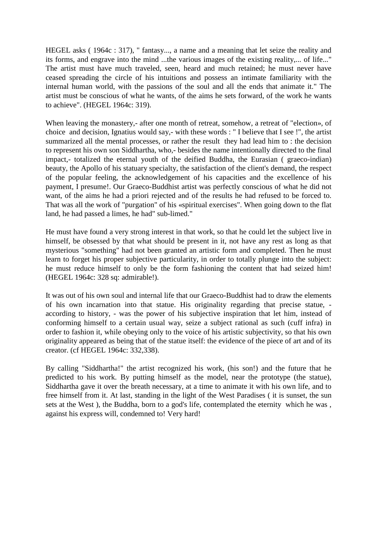HEGEL asks ( 1964c : 317), " fantasy..., a name and a meaning that let seize the reality and its forms, and engrave into the mind ...the various images of the existing reality,... of life..." The artist must have much traveled, seen, heard and much retained; he must never have ceased spreading the circle of his intuitions and possess an intimate familiarity with the internal human world, with the passions of the soul and all the ends that animate it." The artist must be conscious of what he wants, of the aims he sets forward, of the work he wants to achieve". (HEGEL 1964c: 319).

When leaving the monastery,- after one month of retreat, somehow, a retreat of "election», of choice and decision, Ignatius would say,- with these words : " I believe that I see !", the artist summarized all the mental processes, or rather the result they had lead him to : the decision to represent his own son Siddhartha, who,- besides the name intentionally directed to the final impact,- totalized the eternal youth of the deified Buddha, the Eurasian ( graeco-indian) beauty, the Apollo of his statuary specialty, the satisfaction of the client's demand, the respect of the popular feeling, the acknowledgement of his capacities and the excellence of his payment, I presume!. Our Graeco-Buddhist artist was perfectly conscious of what he did not want, of the aims he had a priori rejected and of the results he had refused to be forced to. That was all the work of "purgation" of his «spiritual exercises". When going down to the flat land, he had passed a limes, he had" sub-limed."

He must have found a very strong interest in that work, so that he could let the subject live in himself, be obsessed by that what should be present in it, not have any rest as long as that mysterious "something" had not been granted an artistic form and completed. Then he must learn to forget his proper subjective particularity, in order to totally plunge into the subject: he must reduce himself to only be the form fashioning the content that had seized him! (HEGEL 1964c: 328 sq: admirable!).

It was out of his own soul and internal life that our Graeco-Buddhist had to draw the elements of his own incarnation into that statue. His originality regarding that precise statue, according to history, - was the power of his subjective inspiration that let him, instead of conforming himself to a certain usual way, seize a subject rational as such (cuff infra) in order to fashion it, while obeying only to the voice of his artistic subjectivity, so that his own originality appeared as being that of the statue itself: the evidence of the piece of art and of its creator. (cf HEGEL 1964c: 332,338).

By calling "Siddhartha!" the artist recognized his work, (his son!) and the future that he predicted to his work. By putting himself as the model, near the prototype (the statue), Siddhartha gave it over the breath necessary, at a time to animate it with his own life, and to free himself from it. At last, standing in the light of the West Paradises ( it is sunset, the sun sets at the West ), the Buddha, born to a god's life, contemplated the eternity which he was , against his express will, condemned to! Very hard!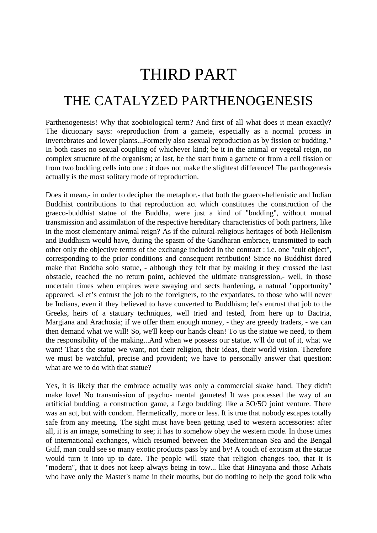# THIRD PART THE CATALYZED PARTHENOGENESIS

Parthenogenesis! Why that zoobiological term? And first of all what does it mean exactly? The dictionary says: «reproduction from a gamete, especially as a normal process in invertebrates and lower plants...Formerly also asexual reproduction as by fission or budding." In both cases no sexual coupling of whichever kind; be it in the animal or vegetal reign, no complex structure of the organism; at last, be the start from a gamete or from a cell fission or from two budding cells into one : it does not make the slightest difference! The parthogenesis actually is the most solitary mode of reproduction.

Does it mean,- in order to decipher the metaphor.- that both the graeco-hellenistic and Indian Buddhist contributions to that reproduction act which constitutes the construction of the graeco-buddhist statue of the Buddha, were just a kind of "budding", without mutual transmission and assimilation of the respective hereditary characteristics of both partners, like in the most elementary animal reign? As if the cultural-religious heritages of both Hellenism and Buddhism would have, during the spasm of the Gandharan embrace, transmitted to each other only the objective terms of the exchange included in the contract : i.e. one "cult object", corresponding to the prior conditions and consequent retribution! Since no Buddhist dared make that Buddha solo statue, - although they felt that by making it they crossed the last obstacle, reached the no return point, achieved the ultimate transgression,- well, in those uncertain times when empires were swaying and sects hardening, a natural "opportunity" appeared. «Let's entrust the job to the foreigners, to the expatriates, to those who will never be Indians, even if they believed to have converted to Buddhism; let's entrust that job to the Greeks, heirs of a statuary techniques, well tried and tested, from here up to Bactria, Margiana and Arachosia; if we offer them enough money, - they are greedy traders, - we can then demand what we will! So, we'll keep our hands clean! To us the statue we need, to them the responsibility of the making...And when we possess our statue, w'll do out of it, what we want! That's the statue we want, not their religion, their ideas, their world vision. Therefore we must be watchful, precise and provident; we have to personally answer that question: what are we to do with that statue?

Yes, it is likely that the embrace actually was only a commercial skake hand. They didn't make love! No transmission of psycho- mental gametes! It was processed the way of an artificial budding, a construction game, a Lego budding: like a 5O/5O joint venture. There was an act, but with condom. Hermetically, more or less. It is true that nobody escapes totally safe from any meeting. The sight must have been getting used to western accessories: after all, it is an image, something to see; it has to somehow obey the western mode. In those times of international exchanges, which resumed between the Mediterranean Sea and the Bengal Gulf, man could see so many exotic products pass by and by! A touch of exotism at the statue would turn it into up to date. The people will state that religion changes too, that it is "modern", that it does not keep always being in tow... like that Hinayana and those Arhats who have only the Master's name in their mouths, but do nothing to help the good folk who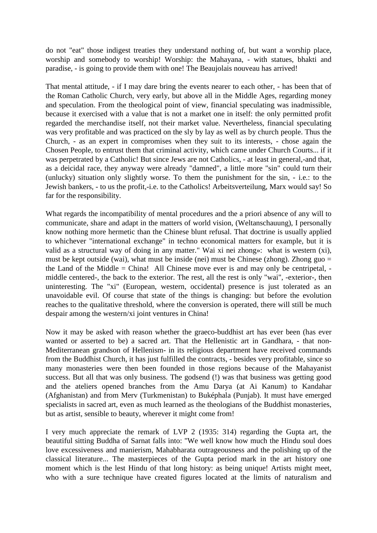do not "eat" those indigest treaties they understand nothing of, but want a worship place, worship and somebody to worship! Worship: the Mahayana, - with statues, bhakti and paradise, - is going to provide them with one! The Beaujolais nouveau has arrived!

That mental attitude, - if I may dare bring the events nearer to each other, - has been that of the Roman Catholic Church, very early, but above all in the Middle Ages, regarding money and speculation. From the theological point of view, financial speculating was inadmissible, because it exercised with a value that is not a market one in itself: the only permitted profit regarded the merchandise itself, not their market value. Nevertheless, financial speculating was very profitable and was practiced on the sly by lay as well as by church people. Thus the Church, - as an expert in compromises when they suit to its interests, - chose again the Chosen People, to entrust them that criminal activity, which came under Church Courts... if it was perpetrated by a Catholic! But since Jews are not Catholics, - at least in general,-and that, as a deicidal race, they anyway were already "damned", a little more "sin" could turn their (unlucky) situation only slightly worse. To them the punishment for the sin, - i.e.: to the Jewish bankers, - to us the profit,-i.e. to the Catholics! Arbeitsverteilung, Marx would say! So far for the responsibility.

What regards the incompatibility of mental procedures and the a priori absence of any will to communicate, share and adapt in the matters of world vision, (Weltanschauung), I personally know nothing more hermetic than the Chinese blunt refusal. That doctrine is usually applied to whichever "international exchange" in techno economical matters for example, but it is valid as a structural way of doing in any matter." Wai xi nei zhong»: what is western (xi), must be kept outside (wai), what must be inside (nei) must be Chinese (zhong). Zhong guo  $=$ the Land of the Middle = China! All Chinese move ever is and may only be centripetal, middle centered-, the back to the exterior. The rest, all the rest is only "wai", -exterior-, then uninteresting. The "xi" (European, western, occidental) presence is just tolerated as an unavoidable evil. Of course that state of the things is changing: but before the evolution reaches to the qualitative threshold, where the conversion is operated, there will still be much despair among the western/xi joint ventures in China!

Now it may be asked with reason whether the graeco-buddhist art has ever been (has ever wanted or asserted to be) a sacred art. That the Hellenistic art in Gandhara, - that non-Mediterranean grandson of Hellenism- in its religious department have received commands from the Buddhist Church, it has just fulfilled the contracts, - besides very profitable, since so many monasteries were then been founded in those regions because of the Mahayanist success. But all that was only business. The godsend (!) was that business was getting good and the ateliers opened branches from the Amu Darya (at Ai Kanum) to Kandahar (Afghanistan) and from Merv (Turkmenistan) to Buképhala (Punjab). It must have emerged specialists in sacred art, even as much learned as the theologians of the Buddhist monasteries, but as artist, sensible to beauty, wherever it might come from!

I very much appreciate the remark of LVP 2 (1935: 314) regarding the Gupta art, the beautiful sitting Buddha of Sarnat falls into: "We well know how much the Hindu soul does love excessiveness and manierism, Mahabharata outrageousness and the polishing up of the classical literature... The masterpieces of the Gupta period mark in the art history one moment which is the lest Hindu of that long history: as being unique! Artists might meet, who with a sure technique have created figures located at the limits of naturalism and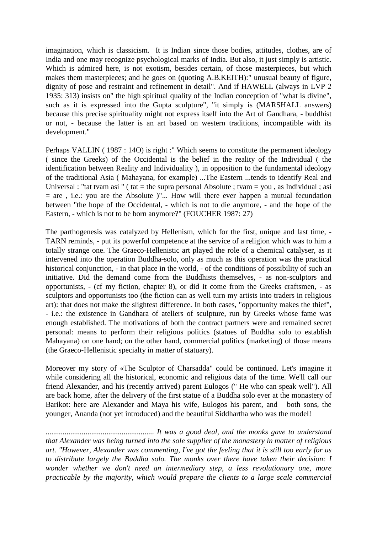imagination, which is classicism. It is Indian since those bodies, attitudes, clothes, are of India and one may recognize psychological marks of India. But also, it just simply is artistic. Which is admired here, is not exotism, besides certain, of those masterpieces, but which makes them masterpieces; and he goes on (quoting A.B.KEITH):" unusual beauty of figure, dignity of pose and restraint and refinement in detail". And if HAWELL (always in LVP 2 1935: 313) insists on" the high spiritual quality of the Indian conception of "what is divine", such as it is expressed into the Gupta sculpture", "it simply is (MARSHALL answers) because this precise spirituality might not express itself into the Art of Gandhara, - buddhist or not, - because the latter is an art based on western traditions, incompatible with its development."

Perhaps VALLIN (1987 : 140) is right :" Which seems to constitute the permanent ideology ( since the Greeks) of the Occidental is the belief in the reality of the Individual ( the identification between Reality and Individuality ), in opposition to the fundamental ideology of the traditional Asia ( Mahayana, for example) ...The Eastern ...tends to identify Real and Universal : "tat tvam asi " ( tat  $=$  the supra personal Absolute ; tvam  $=$  you, as Individual ; asi  $=$  are , i.e.: you are the Absolute )"... How will there ever happen a mutual fecundation between "the hope of the Occidental, - which is not to die anymore, - and the hope of the Eastern, - which is not to be born anymore?" (FOUCHER 1987: 27)

The parthogenesis was catalyzed by Hellenism, which for the first, unique and last time, - TARN reminds, - put its powerful competence at the service of a religion which was to him a totally strange one. The Graeco-Hellenistic art played the role of a chemical catalyser, as it intervened into the operation Buddha-solo, only as much as this operation was the practical historical conjunction, - in that place in the world, - of the conditions of possibility of such an initiative. Did the demand come from the Buddhists themselves, - as non-sculptors and opportunists, - (cf my fiction, chapter 8), or did it come from the Greeks craftsmen, - as sculptors and opportunists too (the fiction can as well turn my artists into traders in religious art): that does not make the slightest difference. In both cases, "opportunity makes the thief", - i.e.: the existence in Gandhara of ateliers of sculpture, run by Greeks whose fame was enough established. The motivations of both the contract partners were and remained secret personal: means to perform their religious politics (statues of Buddha solo to establish Mahayana) on one hand; on the other hand, commercial politics (marketing) of those means (the Graeco-Hellenistic specialty in matter of statuary).

Moreover my story of «The Sculptor of Charsadda" could be continued. Let's imagine it while considering all the historical, economic and religious data of the time. We'll call our friend Alexander, and his (recently arrived) parent Eulogos (" He who can speak well"). All are back home, after the delivery of the first statue of a Buddha solo ever at the monastery of Barikot: here are Alexander and Maya his wife, Eulogos his parent, and both sons, the younger, Ananda (not yet introduced) and the beautiful Siddhartha who was the model!

......................................................... *It was a good deal, and the monks gave to understand that Alexander was being turned into the sole supplier of the monastery in matter of religious art. "However, Alexander was commenting, I've got the feeling that it is still too early for us to distribute largely the Buddha solo. The monks over there have taken their decision: I wonder whether we don't need an intermediary step, a less revolutionary one, more practicable by the majority, which would prepare the clients to a large scale commercial*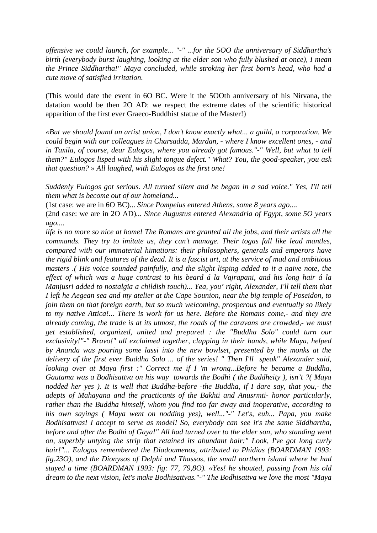*offensive we could launch, for example... "-" ...for the 5OO the anniversary of Siddhartha's birth (everybody burst laughing, looking at the elder son who fully blushed at once), I mean the Prince Siddhartha!" Maya concluded, while stroking her first born's head, who had a cute move of satisfied irritation.* 

(This would date the event in 6O BC. Were it the 5OOth anniversary of his Nirvana, the datation would be then 2O AD: we respect the extreme dates of the scientific historical apparition of the first ever Graeco-Buddhist statue of the Master!)

*«But we should found an artist union, I don't know exactly what... a guild, a corporation. We could begin with our colleagues in Charsadda, Mardan, - where I know excellent ones, - and in Taxila, of course, dear Eulogos, where you already got famous."-" Well, but what to tell them?" Eulogos lisped with his slight tongue defect." What? You, the good-speaker, you ask that question? » All laughed, with Eulogos as the first one!* 

*Suddenly Eulogos got serious. All turned silent and he began in a sad voice." Yes, I'll tell them what is become out of our homeland...* 

(1st case: we are in 6O BC)... *Since Pompeius entered Athens, some 8 years ago....*

(2nd case: we are in 2O AD)*... Since Augustus entered Alexandria of Egypt, some 5O years ago....* 

*life is no more so nice at home! The Romans are granted all the jobs, and their artists all the commands. They try to imitate us, they can't manage. Their togas fall like lead mantles, compared with our immaterial himations: their philosophers, generals and emperors have the rigid blink and features of the dead. It is a fascist art, at the service of mad and ambitious masters .( His voice sounded painfully, and the slight lisping added to it a naive note, the effect of which was a huge contrast to his beard á la Vajrapani, and his long hair á la Manjusri added to nostalgia a childish touch)... Yea, you' right, Alexander, I'll tell them that I left he Aegean sea and my atelier at the Cape Sounion, near the big temple of Poseidon, to join them on that foreign earth, but so much welcoming, prosperous and eventually so likely to my native Attica!... There is work for us here. Before the Romans come,- and they are already coming, the trade is at its utmost, the roads of the caravans are crowded,- we must get established, organized, united and prepared : the "Buddha Solo" could turn our exclusivity!"-" Bravo!" all exclaimed together, clapping in their hands, while Maya, helped by Ananda was pouring some lassi into the new bowlset, presented by the monks at the delivery of the first ever Buddha Solo ... of the series! " Then I'll speak" Alexander said, looking over at Maya first :" Correct me if I 'm wrong...Before he became a Buddha, Gautama was a Bodhisattva on his way towards the Bodhi ( the Buddheity ), isn't ?( Maya nodded her yes ). It is well that Buddha-before -the Buddha, if I dare say, that you,- the adepts of Mahayana and the practicants of the Bakhti and Anusrmti- honor particularly, rather than the Buddha himself, whom you find too far away and inoperative, according to his own sayings ( Maya went on nodding yes), well..."-" Let's, euh... Papa, you make Bodhisattvas! I accept to serve as model! So, everybody can see it's the same Siddhartha, before and after the Bodhi of Gaya!" All had turned over to the elder son, who standing went on, superbly untying the strip that retained its abundant hair:" Look, I've got long curly*  hair!"... Eulogos remembered the Diadoumenos, attributed to Phidias (BOARDMAN 1993: *fig.23O), and the Dionysos of Delphi and Thassos, the small northern island where he had stayed a time (BOARDMAN 1993: fig: 77, 79,8O). «Yes! he shouted, passing from his old dream to the next vision, let's make Bodhisattvas."-" The Bodhisattva we love the most "Maya*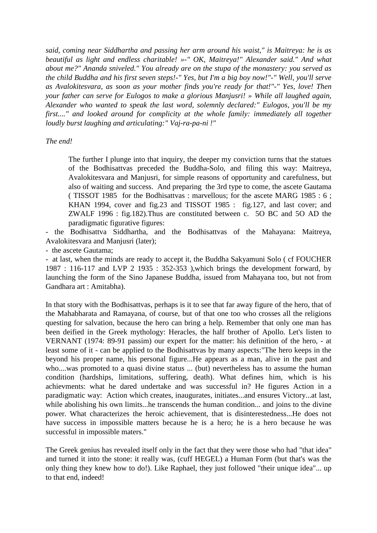*said, coming near Siddhartha and passing her arm around his waist," is Maitreya: he is as beautiful as light and endless charitable! »-" OK, Maitreya!" Alexander said." And what about me?" Ananda sniveled." You already are on the stupa of the monastery: you served as the child Buddha and his first seven steps!-" Yes, but I'm a big boy now!"-" Well, you'll serve as Avalokitesvara, as soon as your mother finds you're ready for that!"-" Yes, love! Then your father can serve for Eulogos to make a glorious Manjusri! » While all laughed again, Alexander who wanted to speak the last word, solemnly declared:" Eulogos, you'll be my first...." and looked around for complicity at the whole family: immediately all together loudly burst laughing and articulating:" Vaj-ra-pa-ni !"* 

#### *The end!*

The further I plunge into that inquiry, the deeper my conviction turns that the statues of the Bodhisattvas preceded the Buddha-Solo, and filing this way: Maitreya, Avalokitesvara and Manjusri, for simple reasons of opportunity and carefulness, but also of waiting and success. And preparing the 3rd type to come, the ascete Gautama ( TISSOT 1985 for the Bodhisattvas : marvellous; for the ascete MARG 1985 : 6 ; KHAN 1994, cover and fig.23 and TISSOT 1985 : fig.127, and last cover; and ZWALF 1996 : fig.182).Thus are constituted between c. 5O BC and 5O AD the paradigmatic figurative figures:

- the Bodhisattva Siddhartha, and the Bodhisattvas of the Mahayana: Maitreya, Avalokitesvara and Manjusri (later);

- the ascete Gautama;

- at last, when the minds are ready to accept it, the Buddha Sakyamuni Solo ( cf FOUCHER 1987 : 116-117 and LVP 2 1935 : 352-353 ),which brings the development forward, by launching the form of the Sino Japanese Buddha, issued from Mahayana too, but not from Gandhara art : Amitabha).

In that story with the Bodhisattvas, perhaps is it to see that far away figure of the hero, that of the Mahabharata and Ramayana, of course, but of that one too who crosses all the religions questing for salvation, because the hero can bring a help. Remember that only one man has been deified in the Greek mythology: Heracles, the half brother of Apollo. Let's listen to VERNANT (1974: 89-91 passim) our expert for the matter: his definition of the hero, - at least some of it - can be applied to the Bodhisattvas by many aspects:"The hero keeps in the beyond his proper name, his personal figure...He appears as a man, alive in the past and who....was promoted to a quasi divine status ... (but) nevertheless has to assume the human condition (hardships, limitations, suffering, death). What defines him, which is his achievments: what he dared undertake and was successful in? He figures Action in a paradigmatic way: Action which creates, inaugurates, initiates...and ensures Victory...at last, while abolishing his own limits...he transcends the human condition... and joins to the divine power. What characterizes the heroic achievement, that is disinterestedness...He does not have success in impossible matters because he is a hero; he is a hero because he was successful in impossible maters."

The Greek genius has revealed itself only in the fact that they were those who had "that idea" and turned it into the stone: it really was, (cuff HEGEL) a Human Form (but that's was the only thing they knew how to do!). Like Raphael, they just followed "their unique idea"... up to that end, indeed!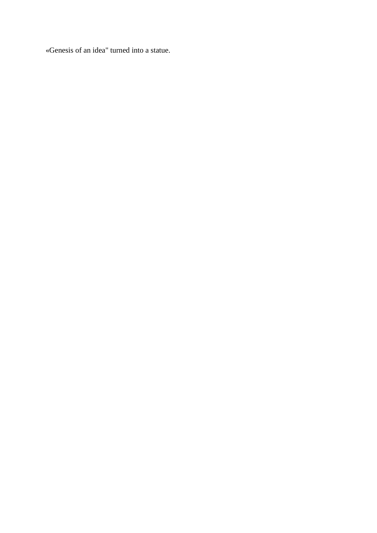«Genesis of an idea" turned into a statue.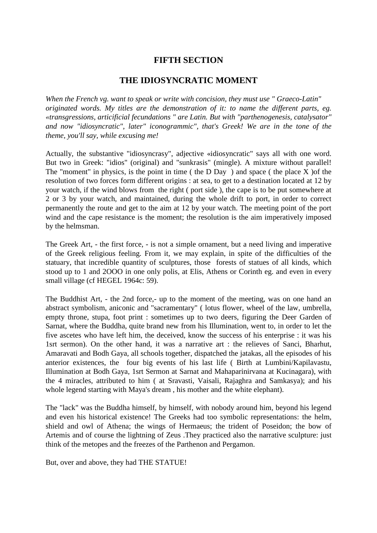# **FIFTH SECTION**

#### **THE IDIOSYNCRATIC MOMENT**

*When the French vg. want to speak or write with concision, they must use " Graeco-Latin" originated words. My titles are the demonstration of it: to name the different parts, eg. «transgressions, articificial fecundations " are Latin. But with "parthenogenesis, catalysator" and now "idiosyncratic", later" iconogrammic", that's Greek! We are in the tone of the theme, you'll say, while excusing me!* 

Actually, the substantive "idiosyncrasy", adjective «idiosyncratic" says all with one word. But two in Greek: "idios" (original) and "sunkrasis" (mingle). A mixture without parallel! The "moment" in physics, is the point in time ( the D Day ) and space ( the place X ) of the resolution of two forces form different origins : at sea, to get to a destination located at 12 by your watch, if the wind blows from the right ( port side ), the cape is to be put somewhere at 2 or 3 by your watch, and maintained, during the whole drift to port, in order to correct permanently the route and get to the aim at 12 by your watch. The meeting point of the port wind and the cape resistance is the moment; the resolution is the aim imperatively imposed by the helmsman.

The Greek Art, - the first force, - is not a simple ornament, but a need living and imperative of the Greek religious feeling. From it, we may explain, in spite of the difficulties of the statuary, that incredible quantity of sculptures, those forests of statues of all kinds, which stood up to 1 and 2OOO in one only polis, at Elis, Athens or Corinth eg. and even in every small village (cf HEGEL 1964c: 59).

The Buddhist Art, - the 2nd force,- up to the moment of the meeting, was on one hand an abstract symbolism, aniconic and "sacramentary" ( lotus flower, wheel of the law, umbrella, empty throne, stupa, foot print : sometimes up to two deers, figuring the Deer Garden of Sarnat, where the Buddha, quite brand new from his Illumination, went to, in order to let the five ascetes who have left him, the deceived, know the success of his enterprise : it was his 1srt sermon). On the other hand, it was a narrative art : the relieves of Sanci, Bharhut, Amaravati and Bodh Gaya, all schools together, dispatched the jatakas, all the episodes of his anterior existences, the four big events of his last life ( Birth at Lumbini/Kapilavastu, Illumination at Bodh Gaya, 1srt Sermon at Sarnat and Mahaparinirvana at Kucinagara), with the 4 miracles, attributed to him ( at Sravasti, Vaisali, Rajaghra and Samkasya); and his whole legend starting with Maya's dream , his mother and the white elephant).

The "lack" was the Buddha himself, by himself, with nobody around him, beyond his legend and even his historical existence! The Greeks had too symbolic representations: the helm, shield and owl of Athena; the wings of Hermaeus; the trident of Poseidon; the bow of Artemis and of course the lightning of Zeus .They practiced also the narrative sculpture: just think of the metopes and the freezes of the Parthenon and Pergamon.

But, over and above, they had THE STATUE!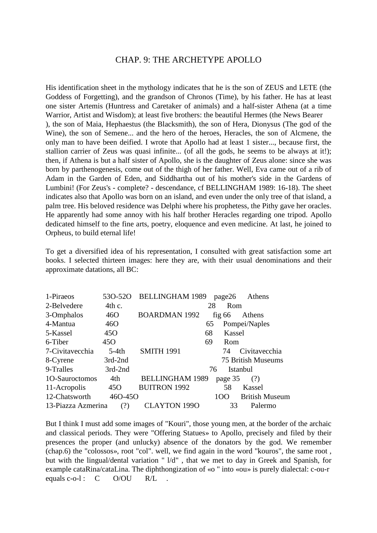#### CHAP. 9: THE ARCHETYPE APOLLO

His identification sheet in the mythology indicates that he is the son of ZEUS and LETE (the Goddess of Forgetting), and the grandson of Chronos (Time), by his father. He has at least one sister Artemis (Huntress and Caretaker of animals) and a half-sister Athena (at a time Warrior, Artist and Wisdom); at least five brothers: the beautiful Hermes (the News Bearer ), the son of Maia, Hephaestus (the Blacksmith), the son of Hera, Dionysus (The god of the Wine), the son of Semene... and the hero of the heroes, Heracles, the son of Alcmene, the only man to have been deified. I wrote that Apollo had at least 1 sister..., because first, the stallion carrier of Zeus was quasi infinite... (of all the gods, he seems to be always at it!); then, if Athena is but a half sister of Apollo, she is the daughter of Zeus alone: since she was born by parthenogenesis, come out of the thigh of her father. Well, Eva came out of a rib of Adam in the Garden of Eden, and Siddhartha out of his mother's side in the Gardens of Lumbini! (For Zeus's - complete? - descendance, cf BELLINGHAM 1989: 16-18). The sheet indicates also that Apollo was born on an island, and even under the only tree of that island, a palm tree. His beloved residence was Delphi where his prophetess, the Pithy gave her oracles. He apparently had some annoy with his half brother Heracles regarding one tripod. Apollo dedicated himself to the fine arts, poetry, eloquence and even medicine. At last, he joined to Orpheus, to build eternal life!

To get a diversified idea of his representation, I consulted with great satisfaction some art books. I selected thirteen images: here they are, with their usual denominations and their approximate datations, all BC:

| 1-Piraeos          | 530-520         | <b>BELLINGHAM 1989</b> |          | page26  | Athens                    |
|--------------------|-----------------|------------------------|----------|---------|---------------------------|
| 2-Belvedere        | 4th c.          |                        | 28       | Rom     |                           |
| 3-Omphalos         | 46O             | <b>BOARDMAN 1992</b>   | fig $66$ |         | Athens                    |
| 4-Mantua           | 46O             | 65                     |          |         | Pompei/Naples             |
| 5-Kassel           | 45 <sub>O</sub> | 68                     |          | Kassel  |                           |
| 6-Tiber            | 45 <sub>O</sub> | 69                     |          | Rom     |                           |
| 7-Civitavecchia    | $5-4th$         | <b>SMITH 1991</b>      |          | 74      | Civitavecchia             |
| 8-Cyrene           | 3rd-2nd         |                        |          |         | <b>75 British Museums</b> |
| 9-Tralles          | 3rd-2nd         |                        | 76       |         | Istanbul                  |
| 10-Sauroctomos     | 4th             | <b>BELLINGHAM 1989</b> |          | page 35 | (?)                       |
| 11-Acropolis       | 45 <sub>O</sub> | <b>BUITRON 1992</b>    |          | 58      | Kassel                    |
| 12-Chatsworth      | 460-450         |                        | 100      |         | <b>British Museum</b>     |
| 13-Piazza Azmerina | (?)             | <b>CLAYTON 1990</b>    |          | 33      | Palermo                   |

But I think I must add some images of "Kouri", those young men, at the border of the archaic and classical periods. They were "Offering Statues» to Apollo, precisely and filed by their presences the proper (and unlucky) absence of the donators by the god. We remember (chap.6) the "colossos», root "col". well, we find again in the word "kouros", the same root , but with the lingual/dental variation " l/d" , that we met to day in Greek and Spanish, for example cataRina/cataLina. The diphthongization of «o " into «ou» is purely dialectal: c-ou-r equals c-o-l :  $C = O/OU$   $R/L$  .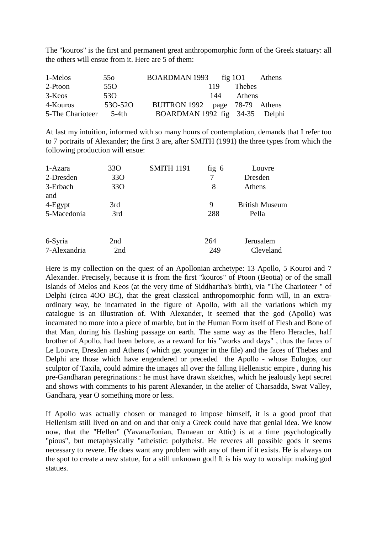The "kouros" is the first and permanent great anthropomorphic form of the Greek statuary: all the others will ensue from it. Here are 5 of them:

| 1-Melos          | 550             | BOARDMAN 1993 $\frac{101}{101}$ |     |        | Athens |
|------------------|-----------------|---------------------------------|-----|--------|--------|
| 2-Ptoon          | 55 <sub>O</sub> |                                 | 119 | Thebes |        |
| 3-Keos           | 53 <sub>O</sub> |                                 | 144 | Athens |        |
| 4-Kouros         | 530-520         | BUITRON 1992 page 78-79 Athens  |     |        |        |
| 5-The Charioteer | .5-4th          | BOARDMAN 1992 fig 34-35 Delphi  |     |        |        |

At last my intuition, informed with so many hours of contemplation, demands that I refer too to 7 portraits of Alexander; the first 3 are, after SMITH (1991) the three types from which the following production will ensue:

| 1-Azara         | 33 <sub>O</sub> | <b>SMITH 1191</b> | fig $6$ | Louvre                |
|-----------------|-----------------|-------------------|---------|-----------------------|
| 2-Dresden       | 33 <sub>O</sub> |                   | 7       | Dresden               |
| 3-Erbach<br>and | 33 <sub>O</sub> |                   | 8       | Athens                |
| $4-Egypt$       | 3rd             |                   | 9       | <b>British Museum</b> |
| 5-Macedonia     | 3rd             |                   | 288     | Pella                 |
| 6-Syria         | 2nd             |                   | 264     | Jerusalem             |
| 7-Alexandria    | 2nd             |                   | 249     | Cleveland             |

Here is my collection on the quest of an Apollonian archetype: 13 Apollo, 5 Kouroi and 7 Alexander. Precisely, because it is from the first "kouros" of Ptoon (Beotia) or of the small islands of Melos and Keos (at the very time of Siddhartha's birth), via "The Charioteer " of Delphi (circa 4OO BC), that the great classical anthropomorphic form will, in an extraordinary way, be incarnated in the figure of Apollo, with all the variations which my catalogue is an illustration of. With Alexander, it seemed that the god (Apollo) was incarnated no more into a piece of marble, but in the Human Form itself of Flesh and Bone of that Man, during his flashing passage on earth. The same way as the Hero Heracles, half brother of Apollo, had been before, as a reward for his "works and days" , thus the faces of Le Louvre, Dresden and Athens ( which get younger in the file) and the faces of Thebes and Delphi are those which have engendered or preceded the Apollo - whose Eulogos, our sculptor of Taxila, could admire the images all over the falling Hellenistic empire , during his pre-Gandharan peregrinations.: he must have drawn sketches, which he jealously kept secret and shows with comments to his parent Alexander, in the atelier of Charsadda, Swat Valley, Gandhara, year O something more or less.

If Apollo was actually chosen or managed to impose himself, it is a good proof that Hellenism still lived on and on and that only a Greek could have that genial idea. We know now, that the "Hellen" (Yavana/Ionian, Danaean or Attic) is at a time psychologically "pious", but metaphysically "atheistic: polytheist. He reveres all possible gods it seems necessary to revere. He does want any problem with any of them if it exists. He is always on the spot to create a new statue, for a still unknown god! It is his way to worship: making god statues.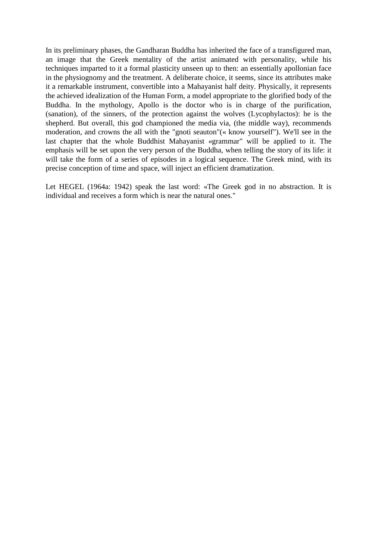In its preliminary phases, the Gandharan Buddha has inherited the face of a transfigured man, an image that the Greek mentality of the artist animated with personality, while his techniques imparted to it a formal plasticity unseen up to then: an essentially apollonian face in the physiognomy and the treatment. A deliberate choice, it seems, since its attributes make it a remarkable instrument, convertible into a Mahayanist half deity. Physically, it represents the achieved idealization of the Human Form, a model appropriate to the glorified body of the Buddha. In the mythology, Apollo is the doctor who is in charge of the purification, (sanation), of the sinners, of the protection against the wolves (Lycophylactos): he is the shepherd. But overall, this god championed the media via, (the middle way), recommends moderation, and crowns the all with the "gnoti seauton"(« know yourself"). We'll see in the last chapter that the whole Buddhist Mahayanist «grammar" will be applied to it. The emphasis will be set upon the very person of the Buddha, when telling the story of its life: it will take the form of a series of episodes in a logical sequence. The Greek mind, with its precise conception of time and space, will inject an efficient dramatization.

Let HEGEL (1964a: 1942) speak the last word: «The Greek god in no abstraction. It is individual and receives a form which is near the natural ones."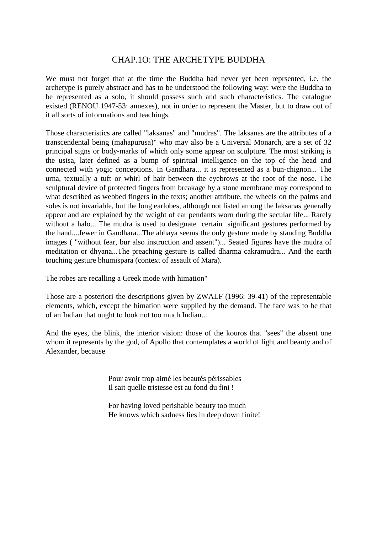# CHAP.1O: THE ARCHETYPE BUDDHA

We must not forget that at the time the Buddha had never yet been reprsented, i.e. the archetype is purely abstract and has to be understood the following way: were the Buddha to be represented as a solo, it should possess such and such characteristics. The catalogue existed (RENOU 1947-53: annexes), not in order to represent the Master, but to draw out of it all sorts of informations and teachings.

Those characteristics are called "laksanas" and "mudras". The laksanas are the attributes of a transcendental being (mahapurusa)" who may also be a Universal Monarch, are a set of 32 principal signs or body-marks of which only some appear on sculpture. The most striking is the usisa, later defined as a bump of spiritual intelligence on the top of the head and connected with yogic conceptions. In Gandhara... it is represented as a bun-chignon... The urna, textually a tuft or whirl of hair between the eyebrows at the root of the nose. The sculptural device of protected fingers from breakage by a stone membrane may correspond to what described as webbed fingers in the texts; another attribute, the wheels on the palms and soles is not invariable, but the long earlobes, although not listed among the laksanas generally appear and are explained by the weight of ear pendants worn during the secular life... Rarely without a halo... The mudra is used to designate certain significant gestures performed by the hand....fewer in Gandhara...The abhaya seems the only gesture made by standing Buddha images ( "without fear, bur also instruction and assent")... Seated figures have the mudra of meditation or dhyana...The preaching gesture is called dharma cakramudra... And the earth touching gesture bhumispara (context of assault of Mara).

The robes are recalling a Greek mode with himation"

Those are a posteriori the descriptions given by ZWALF (1996: 39-41) of the representable elements, which, except the himation were supplied by the demand. The face was to be that of an Indian that ought to look not too much Indian...

And the eyes, the blink, the interior vision: those of the kouros that "sees" the absent one whom it represents by the god, of Apollo that contemplates a world of light and beauty and of Alexander, because

> Pour avoir trop aimé les beautés périssables Il sait quelle tristesse est au fond du fini !

 For having loved perishable beauty too much He knows which sadness lies in deep down finite!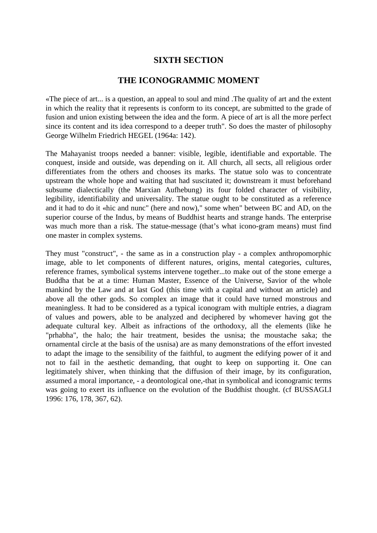### **SIXTH SECTION**

### **THE ICONOGRAMMIC MOMENT**

«The piece of art... is a question, an appeal to soul and mind .The quality of art and the extent in which the reality that it represents is conform to its concept, are submitted to the grade of fusion and union existing between the idea and the form. A piece of art is all the more perfect since its content and its idea correspond to a deeper truth". So does the master of philosophy George Wilhelm Friedrich HEGEL (1964a: 142).

The Mahayanist troops needed a banner: visible, legible, identifiable and exportable. The conquest, inside and outside, was depending on it. All church, all sects, all religious order differentiates from the others and chooses its marks. The statue solo was to concentrate upstream the whole hope and waiting that had suscitated it; downstream it must beforehand subsume dialectically (the Marxian Aufhebung) its four folded character of visibility, legibility, identifiability and universality. The statue ought to be constituted as a reference and it had to do it «hic and nunc" (here and now)," some when" between BC and AD, on the superior course of the Indus, by means of Buddhist hearts and strange hands. The enterprise was much more than a risk. The statue-message (that's what icono-gram means) must find one master in complex systems.

They must "construct", - the same as in a construction play - a complex anthropomorphic image, able to let components of different natures, origins, mental categories, cultures, reference frames, symbolical systems intervene together...to make out of the stone emerge a Buddha that be at a time: Human Master, Essence of the Universe, Savior of the whole mankind by the Law and at last God (this time with a capital and without an article) and above all the other gods. So complex an image that it could have turned monstrous and meaningless. It had to be considered as a typical iconogram with multiple entries, a diagram of values and powers, able to be analyzed and deciphered by whomever having got the adequate cultural key. Albeit as infractions of the orthodoxy, all the elements (like he "prhabha", the halo; the hair treatment, besides the usnisa; the moustache saka; the ornamental circle at the basis of the usnisa) are as many demonstrations of the effort invested to adapt the image to the sensibility of the faithful, to augment the edifying power of it and not to fail in the aesthetic demanding, that ought to keep on supporting it. One can legitimately shiver, when thinking that the diffusion of their image, by its configuration, assumed a moral importance, - a deontological one,-that in symbolical and iconogramic terms was going to exert its influence on the evolution of the Buddhist thought. (cf BUSSAGLI 1996: 176, 178, 367, 62).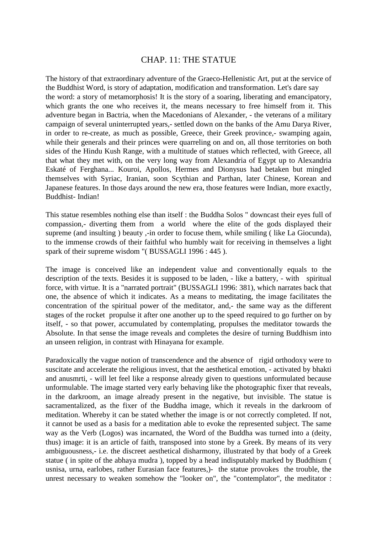### CHAP. 11: THE STATUE

The history of that extraordinary adventure of the Graeco-Hellenistic Art, put at the service of the Buddhist Word, is story of adaptation, modification and transformation. Let's dare say the word: a story of metamorphosis! It is the story of a soaring, liberating and emancipatory, which grants the one who receives it, the means necessary to free himself from it. This adventure began in Bactria, when the Macedonians of Alexander, - the veterans of a military campaign of several uninterrupted years,- settled down on the banks of the Amu Darya River, in order to re-create, as much as possible, Greece, their Greek province,- swamping again, while their generals and their princes were quarreling on and on, all those territories on both sides of the Hindu Kush Range, with a multitude of statues which reflected, with Greece, all that what they met with, on the very long way from Alexandria of Egypt up to Alexandria Eskaté of Ferghana... Kouroi, Apollos, Hermes and Dionysus had betaken but mingled themselves with Syriac, Iranian, soon Scythian and Parthan, later Chinese, Korean and Japanese features. In those days around the new era, those features were Indian, more exactly, Buddhist- Indian!

This statue resembles nothing else than itself : the Buddha Solos " downcast their eyes full of compassion,- diverting them from a world where the elite of the gods displayed their supreme (and insulting ) beauty, -in order to focuse them, while smiling (like La Giocunda), to the immense crowds of their faithful who humbly wait for receiving in themselves a light spark of their supreme wisdom "(BUSSAGLI 1996 : 445).

The image is conceived like an independent value and conventionally equals to the description of the texts. Besides it is supposed to be laden, - like a battery, - with spiritual force, with virtue. It is a "narrated portrait" (BUSSAGLI 1996: 381), which narrates back that one, the absence of which it indicates. As a means to meditating, the image facilitates the concentration of the spiritual power of the meditator, and,- the same way as the different stages of the rocket propulse it after one another up to the speed required to go further on by itself, - so that power, accumulated by contemplating, propulses the meditator towards the Absolute. In that sense the image reveals and completes the desire of turning Buddhism into an unseen religion, in contrast with Hinayana for example.

Paradoxically the vague notion of transcendence and the absence of rigid orthodoxy were to suscitate and accelerate the religious invest, that the aesthetical emotion, - activated by bhakti and anusmrti, - will let feel like a response already given to questions unformulated because unformulable. The image started very early behaving like the photographic fixer that reveals, in the darkroom, an image already present in the negative, but invisible. The statue is sacramentalized, as the fixer of the Buddha image, which it reveals in the darkroom of meditation. Whereby it can be stated whether the image is or not correctly completed. If not, it cannot be used as a basis for a meditation able to evoke the represented subject. The same way as the Verb (Logos) was incarnated, the Word of the Buddha was turned into a (deity, thus) image: it is an article of faith, transposed into stone by a Greek. By means of its very ambiguousness,- i.e. the discreet aesthetical disharmony, illustrated by that body of a Greek statue ( in spite of the abhaya mudra ), topped by a head indisputably marked by Buddhism ( usnisa, urna, earlobes, rather Eurasian face features,)- the statue provokes the trouble, the unrest necessary to weaken somehow the "looker on", the "contemplator", the meditator :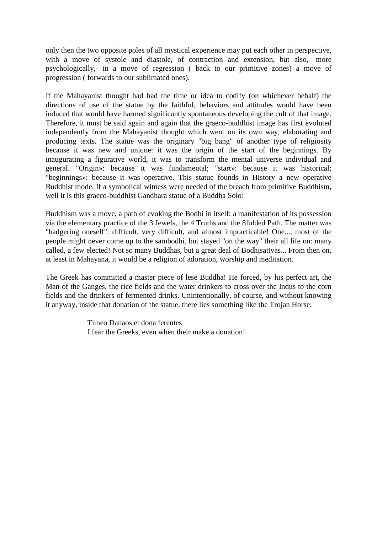only then the two opposite poles of all mystical experience may put each other in perspective, with a move of systole and diastole, of contraction and extension, but also,- more psychologically,- in a move of regression ( back to our primitive zones) a move of progression ( forwards to our sublimated ones).

If the Mahayanist thought had had the time or idea to codify (on whichever behalf) the directions of use of the statue by the faithful, behaviors and attitudes would have been induced that would have harmed significantly spontaneous developing the cult of that image. Therefore, it must be said again and again that the graeco-buddhist image has first evoluted independently from the Mahayanist thought which went on its own way, elaborating and producing texts. The statue was the originary "big bang" of another type of religiosity because it was new and unique: it was the origin of the start of the beginnings. By inaugurating a figurative world, it was to transform the mental universe individual and general. "Origin»: because it was fundamental; "start»: because it was historical; "beginnings»: because it was operative. This statue founds in History a new operative Buddhist mode. If a symbolical witness were needed of the breach from primitive Buddhism, well it is this graeco-buddhist Gandhara statue of a Buddha Solo!

Buddhism was a move, a path of evoking the Bodhi in itself: a manifestation of its possession via the elementary practice of the 3 Jewels, the 4 Truths and the 8folded Path. The matter was "badgering oneself": difficult, very difficult, and almost impracticable! One..., most of the people might never come up to the sambodhi, but stayed "on the way" their all life on: many called, a few elected! Not so many Buddhas, but a great deal of Bodhisattvas... From then on, at least in Mahayana, it would be a religion of adoration, worship and meditation.

The Greek has committed a master piece of lese Buddha! He forced, by his perfect art, the Man of the Ganges, the rice fields and the water drinkers to cross over the Indus to the corn fields and the drinkers of fermented drinks. Unintentionally, of course, and without knowing it anyway, inside that donation of the statue, there lies something like the Trojan Horse:

> Timeo Danaos et dona ferentes I fear the Greeks, even when their make a donation!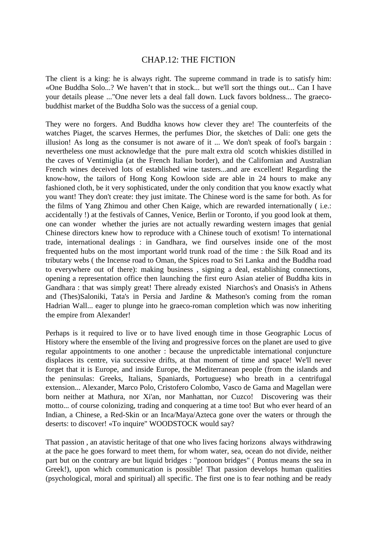### CHAP.12: THE FICTION

The client is a king: he is always right. The supreme command in trade is to satisfy him: «One Buddha Solo...? We haven't that in stock... but we'll sort the things out... Can I have your details please ..."One never lets a deal fall down. Luck favors boldness... The graecobuddhist market of the Buddha Solo was the success of a genial coup.

They were no forgers. And Buddha knows how clever they are! The counterfeits of the watches Piaget, the scarves Hermes, the perfumes Dior, the sketches of Dali: one gets the illusion! As long as the consumer is not aware of it ... We don't speak of fool's bargain : nevertheless one must acknowledge that the pure malt extra old scotch whiskies distilled in the caves of Ventimiglia (at the French Italian border), and the Californian and Australian French wines deceived lots of established wine tasters...and are excellent! Regarding the know-how, the tailors of Hong Kong Kowloon side are able in 24 hours to make any fashioned cloth, be it very sophisticated, under the only condition that you know exactly what you want! They don't create: they just imitate. The Chinese word is the same for both. As for the films of Yang Zhimou and other Chen Kaige, which are rewarded internationally ( i.e.: accidentally !) at the festivals of Cannes, Venice, Berlin or Toronto, if you good look at them, one can wonder whether the juries are not actually rewarding western images that genial Chinese directors knew how to reproduce with a Chinese touch of exotism! To international trade, international dealings : in Gandhara, we find ourselves inside one of the most frequented hubs on the most important world trunk road of the time : the Silk Road and its tributary webs ( the Incense road to Oman, the Spices road to Sri Lanka and the Buddha road to everywhere out of there): making business , signing a deal, establishing connections, opening a representation office then launching the first euro Asian atelier of Buddha kits in Gandhara : that was simply great! There already existed Niarchos's and Onasis's in Athens and (Thes)Saloniki, Tata's in Persia and Jardine & Matheson's coming from the roman Hadrian Wall... eager to plunge into he graeco-roman completion which was now inheriting the empire from Alexander!

Perhaps is it required to live or to have lived enough time in those Geographic Locus of History where the ensemble of the living and progressive forces on the planet are used to give regular appointments to one another : because the unpredictable international conjuncture displaces its centre, via successive drifts, at that moment of time and space! We'll never forget that it is Europe, and inside Europe, the Mediterranean people (from the islands and the peninsulas: Greeks, Italians, Spaniards, Portuguese) who breath in a centrifugal extension... Alexander, Marco Polo, Cristofero Colombo, Vasco de Gama and Magellan were born neither at Mathura, nor Xi'an, nor Manhattan, nor Cuzco! Discovering was their motto... of course colonizing, trading and conquering at a time too! But who ever heard of an Indian, a Chinese, a Red-Skin or an Inca/Maya/Azteca gone over the waters or through the deserts: to discover! «To inquire" WOODSTOCK would say?

That passion , an atavistic heritage of that one who lives facing horizons always withdrawing at the pace he goes forward to meet them, for whom water, sea, ocean do not divide, neither part but on the contrary are but liquid bridges : "pontoon bridges" ( Pontus means the sea in Greek!), upon which communication is possible! That passion develops human qualities (psychological, moral and spiritual) all specific. The first one is to fear nothing and be ready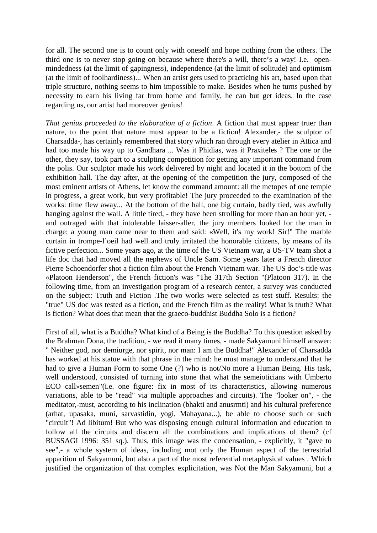for all. The second one is to count only with oneself and hope nothing from the others. The third one is to never stop going on because where there's a will, there's a way! I.e. openmindedness (at the limit of gapingness), independence (at the limit of solitude) and optimism (at the limit of foolhardiness)... When an artist gets used to practicing his art, based upon that triple structure, nothing seems to him impossible to make. Besides when he turns pushed by necessity to earn his living far from home and family, he can but get ideas. In the case regarding us, our artist had moreover genius!

*That genius proceeded to the elaboration of a fiction*. A fiction that must appear truer than nature, to the point that nature must appear to be a fiction! Alexander, the sculptor of Charsadda-, has certainly remembered that story which ran through every atelier in Attica and had too made his way up to Gandhara ... Was it Phidias, was it Praxiteles ? The one or the other, they say, took part to a sculpting competition for getting any important command from the polis. Our sculptor made his work delivered by night and located it in the bottom of the exhibition hall. The day after, at the opening of the competition the jury, composed of the most eminent artists of Athens, let know the command amount: all the metopes of one temple in progress, a great work, but very profitable! The jury proceeded to the examination of the works: time flew away... At the bottom of the hall, one big curtain, badly tied, was awfully hanging against the wall. A little tired, - they have been strolling for more than an hour yet, and outraged with that intolerable laisser-aller, the jury members looked for the man in charge: a young man came near to them and said: «Well, it's my work! Sir!" The marble curtain in trompe-l'oeil had well and truly irritated the honorable citizens, by means of its fictive perfection... Some years ago, at the time of the US Vietnam war, a US-TV team shot a life doc that had moved all the nephews of Uncle Sam. Some years later a French director Pierre Schoendorfer shot a fiction film about the French Vietnam war. The US doc's title was «Platoon Henderson", the French fiction's was "The 317th Section "(Platoon 317). In the following time, from an investigation program of a research center, a survey was conducted on the subject: Truth and Fiction .The two works were selected as test stuff. Results: the "true" US doc was tested as a fiction, and the French film as the reality! What is truth? What is fiction? What does that mean that the graeco-buddhist Buddha Solo is a fiction?

First of all, what is a Buddha? What kind of a Being is the Buddha? To this question asked by the Brahman Dona, the tradition, - we read it many times, - made Sakyamuni himself answer: " Neither god, nor demiurge, nor spirit, nor man: I am the Buddha!" Alexander of Charsadda has worked at his statue with that phrase in the mind: he must manage to understand that he had to give a Human Form to some One (?) who is not/No more a Human Being. His task, well understood, consisted of turning into stone that what the semeioticians with Umberto ECO call»semen"(i.e. one figure: fix in most of its characteristics, allowing numerous variations, able to be "read" via multiple approaches and circuits). The "looker on", - the meditator,-must, according to his inclination (bhakti and anusrmti) and his cultural preference (arhat, upasaka, muni, sarvastidin, yogi, Mahayana...), be able to choose such or such "circuit"! Ad libitum! But who was disposing enough cultural information and education to follow all the circuits and discern all the combinations and implications of them? (cf BUSSAGI 1996: 351 sq.). Thus, this image was the condensation, - explicitly, it "gave to see",- a whole system of ideas, including mot only the Human aspect of the terrestrial apparition of Sakyamuni, but also a part of the most referential metaphysical values . Which justified the organization of that complex explicitation, was Not the Man Sakyamuni, but a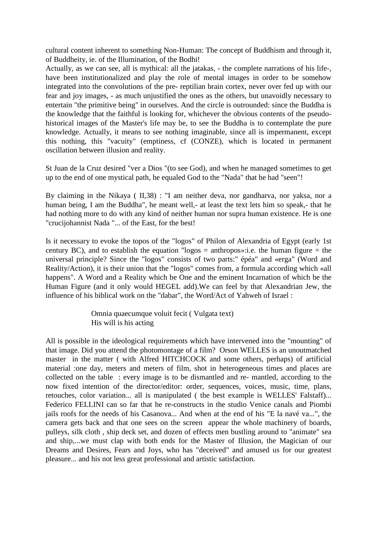cultural content inherent to something Non-Human: The concept of Buddhism and through it, of Buddheity, ie. of the Illumination, of the Bodhi!

Actually, as we can see, all is mythical: all the jatakas, - the complete narrations of his life-, have been institutionalized and play the role of mental images in order to be somehow integrated into the convolutions of the pre- reptilian brain cortex, never over fed up with our fear and joy images, - as much unjustified the ones as the others, but unavoidly necessary to entertain "the primitive being" in ourselves. And the circle is outrounded: since the Buddha is the knowledge that the faithful is looking for, whichever the obvious contents of the pseudohistorical images of the Master's life may be, to see the Buddha is to contemplate the pure knowledge. Actually, it means to see nothing imaginable, since all is impermanent, except this nothing, this "vacuity" (emptiness, cf (CONZE), which is located in permanent oscillation between illusion and reality.

St Juan de la Cruz desired "ver a Dios "(to see God), and when he managed sometimes to get up to the end of one mystical path, he equaled God to the "Nada" that he had "seen"!

By claiming in the Nikaya ( II,38) : "I am neither deva, nor gandharva, nor yaksa, nor a human being, I am the Buddha", he meant well,- at least the text lets him so speak,- that he had nothing more to do with any kind of neither human nor supra human existence. He is one "crucijohannist Nada "... of the East, for the best!

Is it necessary to evoke the topos of the "logos" of Philon of Alexandria of Egypt (early 1st century BC), and to establish the equation "logos  $=$  anthropos»: i.e. the human figure  $=$  the universal principle? Since the "logos" consists of two parts:" épéa" and «erga" (Word and Reality/Action), it is their union that the "logos" comes from, a formula according which «all happens". A Word and a Reality which be One and the eminent Incarnation of which be the Human Figure (and it only would HEGEL add).We can feel by that Alexandrian Jew, the influence of his biblical work on the "dabar", the Word/Act of Yahweh of Israel :

> Omnia quaecumque voluit fecit ( Vulgata text) His will is his acting

All is possible in the ideological requirements which have intervened into the "mounting" of that image. Did you attend the photomontage of a film? Orson WELLES is an unoutmatched master in the matter ( with Alfred HITCHCOCK and some others, perhaps) of artificial material :one day, meters and meters of film, shot in heterogeneous times and places are collected on the table : every image is to be dismantled and re- mantled, according to the now fixed intention of the director/editor: order, sequences, voices, music, time, plans, retouches, color variation... all is manipulated ( the best example is WELLES' Falstaff)... Federico FELLINI can so far that he re-constructs in the studio Venice canals and Piombi jails roofs for the needs of his Casanova... And when at the end of his "E la navé va...", the camera gets back and that one sees on the screen appear the whole machinery of boards, pulleys, silk cloth , ship deck set, and dozen of effects men bustling around to "animate" sea and ship,...we must clap with both ends for the Master of Illusion, the Magician of our Dreams and Desires, Fears and Joys, who has "deceived" and amused us for our greatest pleasure... and his not less great professional and artistic satisfaction.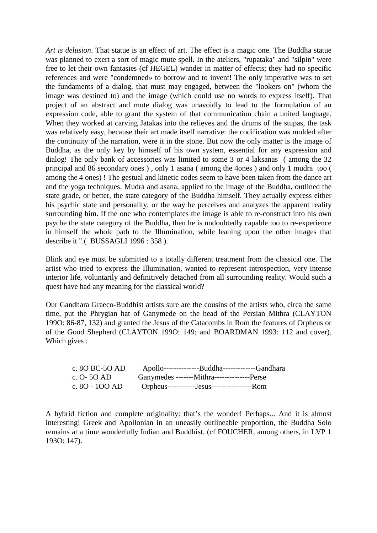*Art is delusion*. That statue is an effect of art. The effect is a magic one. The Buddha statue was planned to exert a sort of magic mute spell. In the ateliers, "rupataka" and "silpin" were free to let their own fantasies (cf HEGEL) wander in matter of effects; they had no specific references and were "condemned» to borrow and to invent! The only imperative was to set the fundaments of a dialog, that must may engaged, between the "lookers on" (whom the image was destined to) and the image (which could use no words to express itself). That project of an abstract and mute dialog was unavoidly to lead to the formulation of an expression code, able to grant the system of that communication chain a united language. When they worked at carving Jatakas into the relieves and the drums of the stupas, the task was relatively easy, because their art made itself narrative: the codification was molded after the continuity of the narration, were it in the stone. But now the only matter is the image of Buddha, as the only key by himself of his own system, essential for any expression and dialog! The only bank of accessories was limited to some 3 or 4 laksanas ( among the 32 principal and 86 secondary ones ) , only 1 asana ( among the 4ones ) and only 1 mudra too ( among the 4 ones) ! The gestual and kinetic codes seem to have been taken from the dance art and the yoga techniques. Mudra and asana, applied to the image of the Buddha, outlined the state grade, or better, the state category of the Buddha himself. They actually express either his psychic state and personality, or the way he perceives and analyzes the apparent reality surrounding him. If the one who contemplates the image is able to re-construct into his own psyche the state category of the Buddha, then he is undoubtedly capable too to re-experience in himself the whole path to the Illumination, while leaning upon the other images that describe it ".( BUSSAGLI 1996 : 358 ).

Blink and eye must be submitted to a totally different treatment from the classical one. The artist who tried to express the Illumination, wanted to represent introspection, very intense interior life, voluntarily and definitively detached from all surrounding reality. Would such a quest have had any meaning for the classical world?

Our Gandhara Graeco-Buddhist artists sure are the cousins of the artists who, circa the same time, put the Phrygian hat of Ganymede on the head of the Persian Mithra (CLAYTON 199O: 86-87, 132) and granted the Jesus of the Catacombs in Rom the features of Orpheus or of the Good Shepherd (CLAYTON 199O: 149; and BOARDMAN 1993: 112 and cover). Which gives :

| c. 80 BC-50 AD | Apollo---------------Buddha--------------Gandhara |  |
|----------------|---------------------------------------------------|--|
| c. O- 50 AD    |                                                   |  |
| c. 80 - 100 AD | Orpheus-----------Jesus------------------Rom      |  |

A hybrid fiction and complete originality: that's the wonder! Perhaps... And it is almost interesting! Greek and Apollonian in an uneasily outlineable proportion, the Buddha Solo remains at a time wonderfully Indian and Buddhist. (cf FOUCHER, among others, in LVP 1 193O: 147).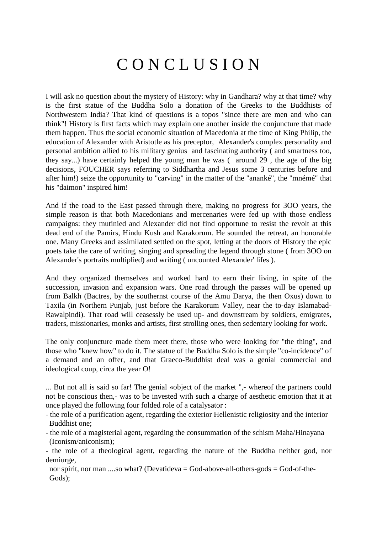# C O N C L U S I O N

I will ask no question about the mystery of History: why in Gandhara? why at that time? why is the first statue of the Buddha Solo a donation of the Greeks to the Buddhists of Northwestern India? That kind of questions is a topos "since there are men and who can think"! History is first facts which may explain one another inside the conjuncture that made them happen. Thus the social economic situation of Macedonia at the time of King Philip, the education of Alexander with Aristotle as his preceptor, Alexander's complex personality and personal ambition allied to his military genius and fascinating authority ( and smartness too, they say...) have certainly helped the young man he was ( around 29 , the age of the big decisions, FOUCHER says referring to Siddhartha and Jesus some 3 centuries before and after him!) seize the opportunity to "carving" in the matter of the "ananké", the "mnémé" that his "daimon" inspired him!

And if the road to the East passed through there, making no progress for 3OO years, the simple reason is that both Macedonians and mercenaries were fed up with those endless campaigns: they mutinied and Alexander did not find opportune to resist the revolt at this dead end of the Pamirs, Hindu Kush and Karakorum. He sounded the retreat, an honorable one. Many Greeks and assimilated settled on the spot, letting at the doors of History the epic poets take the care of writing, singing and spreading the legend through stone ( from 3OO on Alexander's portraits multiplied) and writing ( uncounted Alexander' lifes ).

And they organized themselves and worked hard to earn their living, in spite of the succession, invasion and expansion wars. One road through the passes will be opened up from Balkh (Bactres, by the southernst course of the Amu Darya, the then Oxus) down to Taxila (in Northern Punjab, just before the Karakorum Valley, near the to-day Islamabad-Rawalpindi). That road will ceasessly be used up- and downstream by soldiers, emigrates, traders, missionaries, monks and artists, first strolling ones, then sedentary looking for work.

The only conjuncture made them meet there, those who were looking for "the thing", and those who "knew how" to do it. The statue of the Buddha Solo is the simple "co-incidence" of a demand and an offer, and that Graeco-Buddhist deal was a genial commercial and ideological coup, circa the year O!

... But not all is said so far! The genial «object of the market ",- whereof the partners could not be conscious then,- was to be invested with such a charge of aesthetic emotion that it at once played the following four folded role of a catalysator :

- the role of a purification agent, regarding the exterior Hellenistic religiosity and the interior Buddhist one;

- the role of a magisterial agent, regarding the consummation of the schism Maha/Hinayana (Iconism/aniconism);

- the role of a theological agent, regarding the nature of the Buddha neither god, nor demiurge,

nor spirit, nor man ....so what? (Devatideva = God-above-all-others-gods = God-of-the-Gods);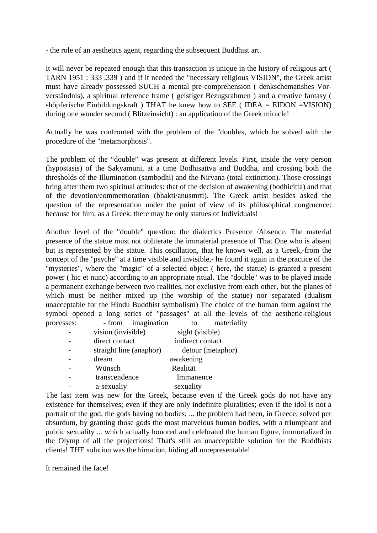- the role of an aesthetics agent, regarding the subsequent Buddhist art.

It will never be repeated enough that this transaction is unique in the history of religious art ( TARN 1951 : 333 ,339 ) and if it needed the "necessary religious VISION", the Greek artist must have already possessed SUCH a mental pre-comprehension ( denkschematishes Vorverständnis), a spiritual reference frame ( geistiger Bezugsrahmen ) and a creative fantasy ( shöpferische Einbildungskraft ) THAT he knew how to SEE ( IDEA = EIDON =VISION) during one wonder second ( Blitzeinsicht) : an application of the Greek miracle!

Actually he was confronted with the problem of the "double», which he solved with the procedure of the "metamorphosis".

The problem of the "double" was present at different levels. First, inside the very person (hypostasis) of the Sakyamuni, at a time Bodhisattva and Buddha, and crossing both the thresholds of the Illumination (sambodhi) and the Nirvana (total extinction). Those crossings bring after them two spiritual attitudes: that of the decision of awakening (bodhicitta) and that of the devotion/commemoration (bhakti/anusmrti). The Greek artist besides asked the question of the representation under the point of view of its philosophical congruence: because for him, as a Greek, there may be only statues of Individuals!

Another level of the "double" question: the dialectics Presence /Absence. The material presence of the statue must not obliterate the immaterial presence of That One who is absent but is represented by the statue. This oscillation, that he knows well, as a Greek,-from the concept of the "psyche" at a time visible and invisible,- he found it again in the practice of the "mysteries", where the "magic" of a selected object ( here, the statue) is granted a present power ( hic et nunc) according to an appropriate ritual. The "double" was to be played inside a permanent exchange between two realities, not exclusive from each other, but the planes of which must be neither mixed up (the worship of the statue) nor separated (dualism unacceptable for the Hindu Buddhist symbolism) The choice of the human form against the symbol opened a long series of "passages" at all the levels of the aesthetic-religious<br>necesses: <br> from imagination to materiality  $\sum_{n=1}^{\infty}$   $\sum_{n=1}^{\infty}$  from imagination to

| processes: | - from magination       | TО.<br>materiali  |  |
|------------|-------------------------|-------------------|--|
|            | vision (invisible)      | sight (visible)   |  |
|            | direct contact          | indirect contact  |  |
|            | straight line (anaphor) | detour (metaphor) |  |
|            | dream                   | awakening         |  |
|            | Wünsch                  | Realität          |  |
|            | transcendence           | Immanence         |  |
|            | a-sexualiy              | sexuality         |  |
|            |                         |                   |  |

The last item was new for the Greek, because even if the Greek gods do not have any existence for themselves; even if they are only indefinite pluralities; even if the idol is not a portrait of the god, the gods having no bodies; ... the problem had been, in Greece, solved per absurdum, by granting those gods the most marvelous human bodies, with a triumphant and public sexuality ... which actually honored and celebrated the human figure, immortalized in the Olymp of all the projections! That's still an unacceptable solution for the Buddhists clients! THE solution was the himation, hiding all unrepresentable!

It remained the face!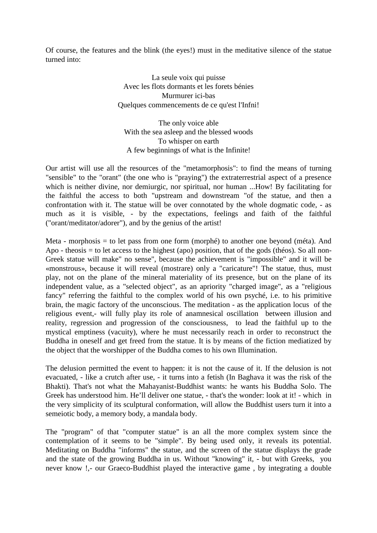Of course, the features and the blink (the eyes!) must in the meditative silence of the statue turned into:

> La seule voix qui puisse Avec les flots dormants et les forets bénies Murmurer ici-bas Quelques commencements de ce qu'est l'Infni!

The only voice able With the sea asleep and the blessed woods To whisper on earth A few beginnings of what is the Infinite!

Our artist will use all the resources of the "metamorphosis": to find the means of turning "sensible" to the "orant" (the one who is "praying") the extraterrestrial aspect of a presence which is neither divine, nor demiurgic, nor spiritual, nor human ...How! By facilitating for the faithful the access to both "upstream and downstream "of the statue, and then a confrontation with it. The statue will be over connotated by the whole dogmatic code, - as much as it is visible, - by the expectations, feelings and faith of the faithful ("orant/meditator/adorer"), and by the genius of the artist!

Meta - morphosis = to let pass from one form (morphé) to another one beyond (méta). And Apo - theosis = to let access to the highest (apo) position, that of the gods (théos). So all non-Greek statue will make" no sense", because the achievement is "impossible" and it will be «monstrous», because it will reveal (mostrare) only a "caricature"! The statue, thus, must play, not on the plane of the mineral materiality of its presence, but on the plane of its independent value, as a "selected object", as an apriority "charged image", as a "religious fancy" referring the faithful to the complex world of his own psyché, i.e. to his primitive brain, the magic factory of the unconscious. The meditation - as the application locus of the religious event,- will fully play its role of anamnesical oscillation between illusion and reality, regression and progression of the consciousness, to lead the faithful up to the mystical emptiness (vacuity), where he must necessarily reach in order to reconstruct the Buddha in oneself and get freed from the statue. It is by means of the fiction mediatized by the object that the worshipper of the Buddha comes to his own Illumination.

The delusion permitted the event to happen: it is not the cause of it. If the delusion is not evacuated, - like a crutch after use, - it turns into a fetish (In Baghava it was the risk of the Bhakti). That's not what the Mahayanist-Buddhist wants: he wants his Buddha Solo. The Greek has understood him. He'll deliver one statue, - that's the wonder: look at it! - which in the very simplicity of its sculptural conformation, will allow the Buddhist users turn it into a semeiotic body, a memory body, a mandala body.

The "program" of that "computer statue" is an all the more complex system since the contemplation of it seems to be "simple". By being used only, it reveals its potential. Meditating on Buddha "informs" the statue, and the screen of the statue displays the grade and the state of the growing Buddha in us. Without "knowing" it, - but with Greeks, you never know !,- our Graeco-Buddhist played the interactive game, by integrating a double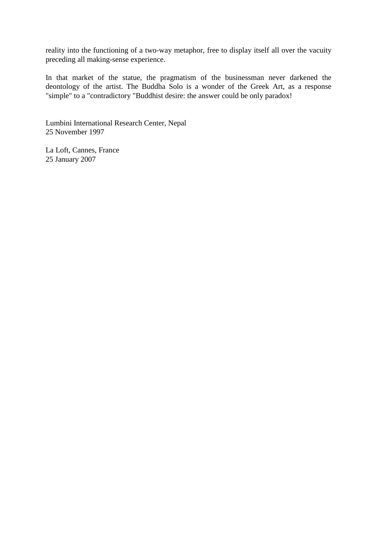reality into the functioning of a two-way metaphor, free to display itself all over the vacuity preceding all making-sense experience.

In that market of the statue, the pragmatism of the businessman never darkened the deontology of the artist. The Buddha Solo is a wonder of the Greek Art, as a response "simple" to a "contradictory "Buddhist desire: the answer could be only paradox!

Lumbini International Research Center, Nepal 25 November 1997

La Loft, Cannes, France 25 January 2007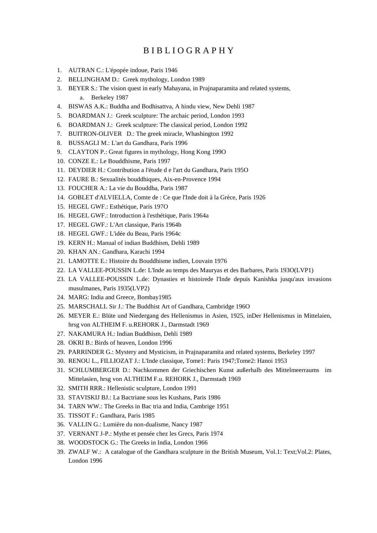### B I B L I O G R A P H Y

- 1. AUTRAN C.: L'épopée indoue, Paris 1946
- 2. BELLINGHAM D.: Greek mythology, London 1989
- 3. BEYER S.: The vision quest in early Mahayana, in Prajnaparamita and related systems, a. Berkeley 1987
- 4. BISWAS A.K.: Buddha and Bodhisattva, A hindu view, New Dehli 1987
- 5. BOARDMAN J.: Greek sculpture: The archaic period, London 1993
- 6. BOARDMAN J.: Greek sculpture: The classical period, London 1992
- 7. BUITRON-OLIVER D.: The greek miracle, Whashington 1992
- 8. BUSSAGLI M.: L'art du Gandhara, Paris 1996
- 9. CLAYTON P.: Great figures in mythology, Hong Kong 199O
- 10. CONZE E.: Le Bouddhisme, Paris 1997
- 11. DEYDIER H.: Contribution a l'étude d e l'art du Gandhara, Paris 195O
- 12. FAURE B.: Sexualités bouddhiques, Aix-en-Provence 1994
- 13. FOUCHER A.: La vie du Bouddha, Paris 1987
- 14. GOBLET d'ALVIELLA, Comte de : Ce que l'Inde doit à la Grèce, Paris 1926
- 15. HEGEL GWF.: Esthétique, Paris 197O
- 16. HEGEL GWF.: Introduction à l'esthétique, Paris 1964a
- 17. HEGEL GWF.: L'Art classique, Paris 1964b
- 18. HEGEL GWF.: L'idée du Beau, Paris 1964c
- 19. KERN H.: Manual of indian Buddhism, Dehli 1989
- 20. KHAN AN.: Gandhara, Karachi 1994
- 21. LAMOTTE E.: Histoire du Bouddhisme indien, Louvain 1976
- 22. LA VALLEE-POUSSIN L.de: L'Inde au temps des Mauryas et des Barbares, Paris 193O(LVP1)
- 23. LA VALLEE-POUSSIN L.de: Dynasties et histoirede l'Inde depuis Kanishka jusqu'aux invasions musulmanes, Paris 1935(LVP2)
- 24. MARG: India and Greece, Bombay1985
- 25. MARSCHALL Sir J.: The Buddhist Art of Gandhara, Cambridge 196O
- 26. MEYER E.: Blüte und Niedergang des Hellenismus in Asien, 1925, inDer Hellenismus in Mittelaien, hrsg von ALTHEIM F. u.REHORK J., Darmstadt 1969
- 27. NAKAMURA H.: Indian Buddhism, Dehli 1989
- 28. OKRI B.: Birds of heaven, London 1996
- 29. PARRINDER G.: Mystery and Mysticism, in Prajnaparamita and related systems, Berkeley 1997
- 30. RENOU L., FILLIOZAT J.: L'Inde classique, Tome1: Paris 1947;Tome2: Hanoi 1953
- 31. SCHLUMBERGER D.: Nachkommen der Griechischen Kunst außerhalb des Mittelmeerraums im Mittelasien, hrsg von ALTHEIM F.u. REHORK J., Darmstadt 1969
- 32. SMITH RRR.: Hellenistic sculpture, London 1991
- 33. STAVISKIJ BJ.: La Bactriane sous les Kushans, Paris 1986
- 34. TARN WW.: The Greeks in Bac tria and India, Cambrige 1951
- 35. TISSOT F.: Gandhara, Paris 1985
- 36. VALLIN G.: Lumière du non-dualisme, Nancy 1987
- 37. VERNANT J-P.: Mythe et pensée chez les Grecs, Paris 1974
- 38. WOODSTOCK G.: The Greeks in India, London 1966
- 39. ZWALF W.: A catalogue of the Gandhara sculpture in the British Museum, Vol.1: Text;Vol.2: Plates, London 1996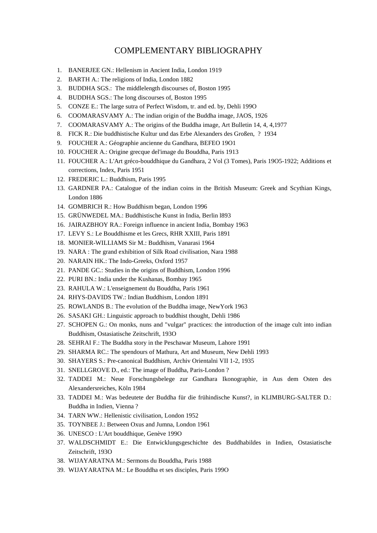#### COMPLEMENTARY BIBLIOGRAPHY

- 1. BANERJEE GN.: Hellenism in Ancient India, London 1919
- 2. BARTH A.: The religions of India, London 1882
- 3. BUDDHA SGS.: The middlelength discourses of, Boston 1995
- 4. BUDDHA SGS.: The long discourses of, Boston 1995
- 5. CONZE E.: The large sutra of Perfect Wisdom, tr. and ed. by, Dehli 199O
- 6. COOMARASVAMY A.: The indian origin of the Buddha image, JAOS, 1926
- 7. COOMARASVAMY A.: The origins of the Buddha image, Art Bulletin 14, 4, 4,1977
- 8. FICK R.: Die buddhistische Kultur und das Erbe Alexanders des Großen, ? 1934
- 9. FOUCHER A.: Géographie ancienne du Gandhara, BEFEO 19O1
- 10. FOUCHER A.: Origine grecque del'image du Bouddha, Paris 1913
- 11. FOUCHER A.: L'Art gréco-bouddhique du Gandhara, 2 Vol (3 Tomes), Paris 19O5-1922; Additions et corrections, Index, Paris 1951
- 12. FREDERIC L.: Buddhism, Paris 1995
- 13. GARDNER PA.: Catalogue of the indian coins in the British Museum: Greek and Scythian Kings, London 1886
- 14. GOMBRICH R.: How Buddhism began, London 1996
- 15. GRÜNWEDEL MA.: Buddhistische Kunst in India, Berlin l893
- 16. JAIRAZBHOY RA.: Foreign influence in ancient India, Bombay 1963
- 17. LEVY S.: Le Bouddhisme et les Grecs, RHR XXIII, Paris 1891
- 18. MONIER-WILLIAMS Sir M.: Buddhism, Vanarasi 1964
- 19. NARA : The grand exhibition of Silk Road civilisation, Nara 1988
- 20. NARAIN HK.: The Indo-Greeks, Oxford 1957
- 21. PANDE GC.: Studies in the origins of Buddhism, London 1996
- 22. PURI BN.: India under the Kushanas, Bombay 1965
- 23. RAHULA W.: L'enseignement du Bouddha, Paris 1961
- 24. RHYS-DAVIDS TW.: Indian Buddhism, London 1891
- 25. ROWLANDS B.: The evolution of the Buddha image, NewYork 1963
- 26. SASAKI GH.: Linguistic approach to buddhist thought, Dehli 1986
- 27. SCHOPEN G.: On monks, nuns and "vulgar" practices: the introduction of the image cult into indian Buddhism, Ostasiatische Zeitschrift, 193O
- 28. SEHRAI F.: The Buddha story in the Peschawar Museum, Lahore 1991
- 29. SHARMA RC.: The spendours of Mathura, Art and Museum, New Dehli 1993
- 30. SHAYERS S.: Pre-canonical Buddhism, Archiv Orientalni VII 1-2, 1935
- 31. SNELLGROVE D., ed.: The image of Buddha, Paris-London ?
- 32. TADDEI M.: Neue Forschungsbelege zur Gandhara Ikonographie, in Aus dem Osten des Alexandersreiches, Köln 1984
- 33. TADDEI M.: Was bedeutete der Buddha für die frühindische Kunst?, in KLIMBURG-SALTER D.: Buddha in Indien, Vienna ?
- 34. TARN WW.: Hellenistic civilisation, London 1952
- 35. TOYNBEE J.: Between Oxus and Jumna, London 1961
- 36. UNESCO : L'Art bouddhique, Genève 199O
- 37. WALDSCHMIDT E.: Die Entwicklungsgeschichte des Buddhabildes in Indien, Ostasiatische Zeitschrift, 193O
- 38. WIJAYARATNA M.: Sermons du Bouddha, Paris 1988
- 39. WIJAYARATNA M.: Le Bouddha et ses disciples, Paris 199O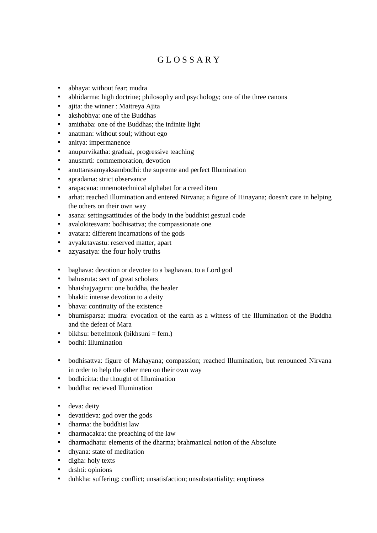## G L O S S A R Y

- abhaya: without fear: mudra
- abhidarma: high doctrine; philosophy and psychology; one of the three canons
- ajita: the winner : Maitreya Ajita
- akshobhya: one of the Buddhas
- amithaba: one of the Buddhas; the infinite light
- anatman: without soul; without ego
- anitya: impermanence
- anupurvikatha: gradual, progressive teaching
- anusmrti: commemoration, devotion
- anuttarasamyaksambodhi: the supreme and perfect Illumination
- apradama: strict observance
- arapacana: mnemotechnical alphabet for a creed item
- arhat: reached Illumination and entered Nirvana; a figure of Hinayana; doesn't care in helping the others on their own way
- asana: settingsattitudes of the body in the buddhist gestual code
- avalokitesvara: bodhisattva; the compassionate one
- avatara: different incarnations of the gods
- avyakrtavastu: reserved matter, apart
- azyasatya: the four holy truths
- baghava: devotion or devotee to a baghavan, to a Lord god
- bahusruta: sect of great scholars
- bhaishajyaguru: one buddha, the healer
- bhakti: intense devotion to a deity
- bhava: continuity of the existence
- bhumisparsa: mudra: evocation of the earth as a witness of the Illumination of the Buddha and the defeat of Mara
- bikhsu: bettelmonk (bikhsuni = fem.)
- bodhi: Illumination
- bodhisattva: figure of Mahayana; compassion; reached Illumination, but renounced Nirvana in order to help the other men on their own way
- bodhicitta: the thought of Illumination
- buddha: recieved Illumination
- deva: deity
- devatideva: god over the gods
- dharma: the buddhist law
- dharmacakra: the preaching of the law
- dharmadhatu: elements of the dharma; brahmanical notion of the Absolute
- dhyana: state of meditation
- digha: holy texts
- drshti: opinions
- duhkha: suffering; conflict; unsatisfaction; unsubstantiality; emptiness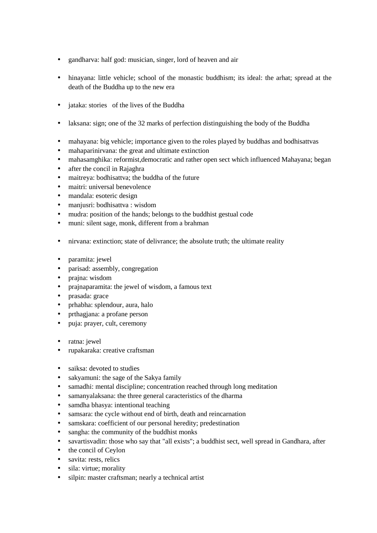- gandharva: half god: musician, singer, lord of heaven and air
- hinayana: little vehicle; school of the monastic buddhism; its ideal: the arhat; spread at the death of the Buddha up to the new era
- jataka: stories of the lives of the Buddha
- laksana: sign; one of the 32 marks of perfection distinguishing the body of the Buddha
- mahayana: big vehicle; importance given to the roles played by buddhas and bodhisattvas
- mahaparinirvana: the great and ultimate extinction
- mahasamghika: reformist, democratic and rather open sect which influenced Mahayana; began
- after the concil in Rajaghra
- maitreya: bodhisattva; the buddha of the future
- maitri: universal benevolence
- mandala: esoteric design
- manjusri: bodhisattva : wisdom
- mudra: position of the hands; belongs to the buddhist gestual code
- muni: silent sage, monk, different from a brahman
- nirvana: extinction; state of delivrance; the absolute truth; the ultimate reality
- paramita: jewel
- parisad: assembly, congregation
- prajna: wisdom
- prajnaparamita: the jewel of wisdom, a famous text
- prasada: grace
- prhabha: splendour, aura, halo
- prthagjana: a profane person
- puja: prayer, cult, ceremony
- ratna: jewel
- rupakaraka: creative craftsman
- saiksa: devoted to studies
- sakyamuni: the sage of the Sakya family
- samadhi: mental discipline; concentration reached through long meditation
- samanyalaksana: the three general caracteristics of the dharma
- samdha bhasya: intentional teaching
- samsara: the cycle without end of birth, death and reincarnation
- samskara: coefficient of our personal heredity; predestination
- sangha: the community of the buddhist monks
- savartisvadin: those who say that "all exists"; a buddhist sect, well spread in Gandhara, after
- the concil of Ceylon
- savita: rests, relics
- sila: virtue; morality
- silpin: master craftsman; nearly a technical artist